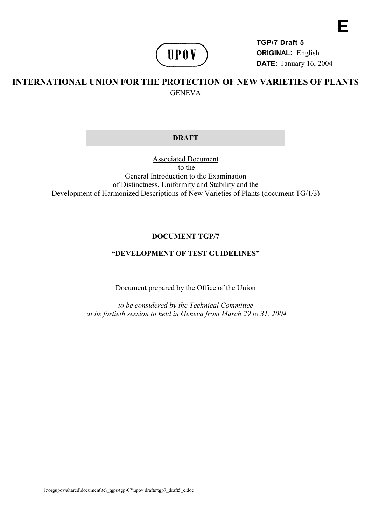

**TGP/7 Draft 5 ORIGINAL:** English **DATE:** January 16, 2004 **E**

## **INTERNATIONAL UNION FOR THE PROTECTION OF NEW VARIETIES OF PLANTS GENEVA**

#### **DRAFT**

Associated Document to the General Introduction to the Examination of Distinctness, Uniformity and Stability and the Development of Harmonized Descriptions of New Varieties of Plants (document TG/1/3)

#### **DOCUMENT TGP/7**

### **"DEVELOPMENT OF TEST GUIDELINES"**

Document prepared by the Office of the Union

*to be considered by the Technical Committee at its fortieth session to held in Geneva from March 29 to 31, 2004*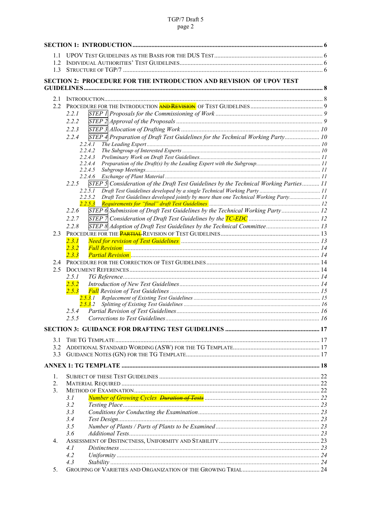# TGP/7 Draft 5<br>page 2

| 1.1            |                                                                                                            |  |
|----------------|------------------------------------------------------------------------------------------------------------|--|
| 1.2            |                                                                                                            |  |
| 1.3            |                                                                                                            |  |
|                | <b>SECTION 2: PROCEDURE FOR THE INTRODUCTION AND REVISION OF UPOV TEST</b>                                 |  |
|                |                                                                                                            |  |
| 2.1            |                                                                                                            |  |
| 2.2            |                                                                                                            |  |
|                | 2.2.1                                                                                                      |  |
|                | 2.2.2                                                                                                      |  |
|                | 2.2.3                                                                                                      |  |
|                | STEP 4 Preparation of Draft Test Guidelines for the Technical Working Party 10<br>2.2.4                    |  |
|                | 2.2.4.1                                                                                                    |  |
|                | 2.2.4.2                                                                                                    |  |
|                | 2.2.4.3<br>2.2.4.4                                                                                         |  |
|                | 2.2.4.5                                                                                                    |  |
|                |                                                                                                            |  |
|                | 2.2.5<br>STEP $\frac{1}{2}$ Consideration of the Draft Test Guidelines by the Technical Working Parties 11 |  |
|                | 2.2.5.1                                                                                                    |  |
|                | Draft Test Guidelines developed jointly by more than one Technical Working Party 11<br>2.2.5.2             |  |
|                | 2.2.5.3<br>STEP 6 Submission of Draft Test Guidelines by the Technical Working Party 12<br>2.2.6           |  |
|                | 2.2.7                                                                                                      |  |
|                | STEP 8 Adoption of Draft Test Guidelines by the Technical Committee 13<br>2.2.8                            |  |
| 2.3            |                                                                                                            |  |
|                | Need for revision of Test Guidelines <b>Mature 1968</b> Controller 13 13<br>2.3.1                          |  |
|                | 2.3.2                                                                                                      |  |
|                | 2, 3, 3                                                                                                    |  |
| 2.4            |                                                                                                            |  |
| 2.5            |                                                                                                            |  |
|                | 2.5.1                                                                                                      |  |
|                | 2, 5, 2                                                                                                    |  |
|                | 2.5.3                                                                                                      |  |
|                | 2.5.3.2                                                                                                    |  |
|                |                                                                                                            |  |
|                |                                                                                                            |  |
|                |                                                                                                            |  |
|                |                                                                                                            |  |
| 3.1            |                                                                                                            |  |
| 3.2            |                                                                                                            |  |
| 3.3            |                                                                                                            |  |
|                |                                                                                                            |  |
| 1.             |                                                                                                            |  |
| 2.             |                                                                                                            |  |
| 3 <sub>1</sub> |                                                                                                            |  |
|                | 3.1                                                                                                        |  |
|                | 3.2                                                                                                        |  |
|                | 3.3                                                                                                        |  |
|                | 3.4                                                                                                        |  |
|                | 3.5<br>3.6                                                                                                 |  |
| 4.             |                                                                                                            |  |
|                | 4. I                                                                                                       |  |
|                | 4.2                                                                                                        |  |
|                | 4.3                                                                                                        |  |
| 5.             |                                                                                                            |  |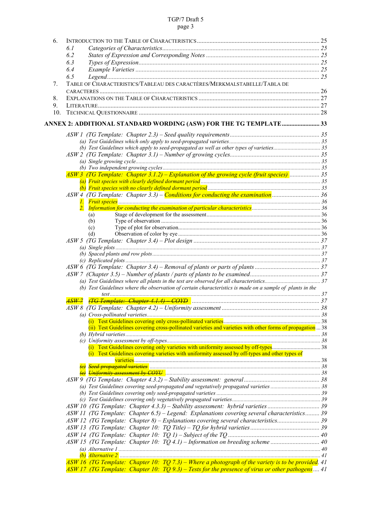#### TGP/7 Draft 5 page 3

| 6.  |                                                                                                            |  |
|-----|------------------------------------------------------------------------------------------------------------|--|
|     | 6.1                                                                                                        |  |
|     | 6.2                                                                                                        |  |
|     | 6.3                                                                                                        |  |
|     | 6.4                                                                                                        |  |
|     | 6.5                                                                                                        |  |
| 7.  | TABLE OF CHARACTERISTICS/TABLEAU DES CARACTÈRES/MERKMALSTABELLE/TABLA DE                                   |  |
|     |                                                                                                            |  |
| 8.  |                                                                                                            |  |
| 9.  |                                                                                                            |  |
| 10. |                                                                                                            |  |
|     | ANNEX 2: ADDITIONAL STANDARD WORDING (ASW) FOR THE TG TEMPLATE 33                                          |  |
|     |                                                                                                            |  |
|     |                                                                                                            |  |
|     |                                                                                                            |  |
|     |                                                                                                            |  |
|     |                                                                                                            |  |
|     |                                                                                                            |  |
|     | $ASW3$ (TG Template: Chapter 3.1.2) – Explanation of the growing cycle (fruit species)  35                 |  |
|     |                                                                                                            |  |
|     |                                                                                                            |  |
|     | ASW 4 (TG Template: Chapter 3.3) – Conditions for conducting the examination  36                           |  |
|     |                                                                                                            |  |
|     |                                                                                                            |  |
|     | (a)                                                                                                        |  |
|     | (b)                                                                                                        |  |
|     | (c)<br>(d)                                                                                                 |  |
|     |                                                                                                            |  |
|     |                                                                                                            |  |
|     |                                                                                                            |  |
|     |                                                                                                            |  |
|     |                                                                                                            |  |
|     |                                                                                                            |  |
|     |                                                                                                            |  |
|     | (b) Test Guidelines where the observation of certain characteristics is made on a sample of plants in the  |  |
|     |                                                                                                            |  |
|     |                                                                                                            |  |
|     |                                                                                                            |  |
|     |                                                                                                            |  |
|     |                                                                                                            |  |
|     | (ii) Test Guidelines covering cross-pollinated varieties and varieties with other forms of propagation  38 |  |
|     |                                                                                                            |  |
|     |                                                                                                            |  |
|     | (i) Test Guidelines covering varieties with uniformity assessed by off-types and other types of            |  |
|     |                                                                                                            |  |
|     |                                                                                                            |  |
|     |                                                                                                            |  |
|     |                                                                                                            |  |
|     |                                                                                                            |  |
|     |                                                                                                            |  |
|     |                                                                                                            |  |
|     |                                                                                                            |  |
|     | ASW 11 (TG Template: Chapter 6.5) - Legend: Explanations covering several characteristics 39               |  |
|     | ASW 12 (TG Template: Chapter 8) – Explanations covering several characteristics 39                         |  |
|     |                                                                                                            |  |
|     |                                                                                                            |  |
|     |                                                                                                            |  |
|     |                                                                                                            |  |
|     |                                                                                                            |  |
|     | ASW 16 (TG Template: Chapter 10: TQ 7.3) – Where a photograph of the variety is to be provided. 41         |  |
|     | ASW 17 (TG Template: Chapter 10: $TQ$ 9.3) – Tests for the presence of virus or other pathogens 41         |  |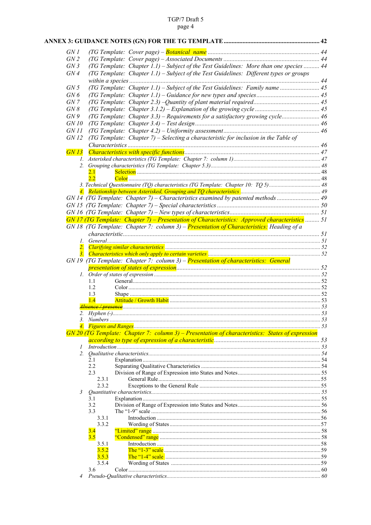# TGP/7 Draft 5<br>page 4

| GN 1            |                                                                                                    |  |
|-----------------|----------------------------------------------------------------------------------------------------|--|
| GN2             |                                                                                                    |  |
| GN3             | (TG Template: Chapter 1.1) - Subject of the Test Guidelines: More than one species  44             |  |
| GN4             | (TG Template: Chapter 1.1) – Subject of the Test Guidelines: Different types or groups             |  |
|                 |                                                                                                    |  |
| GN <sub>5</sub> | (TG Template: Chapter 1.1) – Subject of the Test Guidelines: Family name  45                       |  |
| GN6             |                                                                                                    |  |
| GN 7            |                                                                                                    |  |
| GN 8            |                                                                                                    |  |
| GN9             | (TG Template: Chapter 3.3) – Requirements for a satisfactory growing cycle 46                      |  |
| GN 10           |                                                                                                    |  |
| <i>GN 11</i>    |                                                                                                    |  |
| GN 12           | (TG Template: Chapter 7) – Selecting a characteristic for inclusion in the Table of                |  |
|                 |                                                                                                    |  |
| GN13            |                                                                                                    |  |
|                 |                                                                                                    |  |
|                 |                                                                                                    |  |
|                 | 2.1                                                                                                |  |
|                 | 2.2                                                                                                |  |
|                 |                                                                                                    |  |
|                 |                                                                                                    |  |
|                 | GN 14 (TG Template: Chapter 7) – Characteristics examined by patented methods                      |  |
|                 |                                                                                                    |  |
|                 |                                                                                                    |  |
|                 | GN 17 (TG Template: Chapter 7) – Presentation of Characteristics: Approved characteristics  51     |  |
|                 | GN 18 (TG Template: Chapter 7: column 3) – Presentation of Characteristics: Heading of a           |  |
|                 |                                                                                                    |  |
| 1.              |                                                                                                    |  |
|                 |                                                                                                    |  |
| 3.              |                                                                                                    |  |
|                 | GN 19 (TG Template: Chapter 7: column 3) – Presentation of characteristics: General                |  |
|                 |                                                                                                    |  |
|                 |                                                                                                    |  |
|                 | 1.1                                                                                                |  |
|                 |                                                                                                    |  |
|                 | 1.2                                                                                                |  |
|                 | 1.3                                                                                                |  |
|                 | 1.4                                                                                                |  |
|                 |                                                                                                    |  |
|                 |                                                                                                    |  |
|                 |                                                                                                    |  |
|                 | $GN$ 20 (TG Template: Chapter 7: column 3) – Presentation of characteristics: States of expression |  |
|                 |                                                                                                    |  |
| $\mathcal{I}$   | Introduction 33                                                                                    |  |
|                 |                                                                                                    |  |
|                 | 2.1                                                                                                |  |
|                 | 2.2                                                                                                |  |
|                 | 2.3                                                                                                |  |
|                 | 2.3.1                                                                                              |  |
|                 | 2.3.2                                                                                              |  |
| 3               | 3.1                                                                                                |  |
|                 | 3.2                                                                                                |  |
|                 | 3.3                                                                                                |  |
|                 | 3.3.1                                                                                              |  |
|                 | 3.3.2                                                                                              |  |
|                 | 3.4                                                                                                |  |
|                 | 3.5                                                                                                |  |
|                 | 3.5.1                                                                                              |  |
|                 | 3.5.2                                                                                              |  |
|                 | 3.5.3                                                                                              |  |
|                 | 3.5.4<br>3.6                                                                                       |  |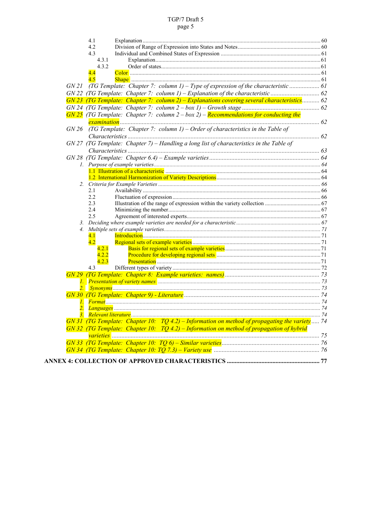#### TGP/7 Draft 5 page 5

| 4.1                                                                                             |  |
|-------------------------------------------------------------------------------------------------|--|
| 4.2                                                                                             |  |
| 4.3                                                                                             |  |
| 4.3.1                                                                                           |  |
| 4.3.2                                                                                           |  |
| $\overline{4.4}$                                                                                |  |
| 4.5                                                                                             |  |
| (TG Template: Chapter 7: column 1) – Type of expression of the characteristic  61<br>GN21       |  |
|                                                                                                 |  |
| $GN$ 23 (TG Template: Chapter 7: column 2) – Explanations covering several characteristics 62   |  |
|                                                                                                 |  |
| $GN$ 25 (TG Template: Chapter 7: column $2 - box$ 2) – Recommendations for conducting the       |  |
|                                                                                                 |  |
|                                                                                                 |  |
| (TG Template: Chapter 7: column $1$ ) – Order of characteristics in the Table of<br>GN 26       |  |
|                                                                                                 |  |
| $GN$ 27 (TG Template: Chapter 7) – Handling a long list of characteristics in the Table of      |  |
|                                                                                                 |  |
|                                                                                                 |  |
|                                                                                                 |  |
|                                                                                                 |  |
|                                                                                                 |  |
|                                                                                                 |  |
| 2.1                                                                                             |  |
| 2.2                                                                                             |  |
| 2.3                                                                                             |  |
| 2.4                                                                                             |  |
| 2.5                                                                                             |  |
| 3.                                                                                              |  |
| 4.                                                                                              |  |
| 4.1                                                                                             |  |
| 4.2                                                                                             |  |
| 4.2.1                                                                                           |  |
| 4.2.2                                                                                           |  |
| 4.2.3                                                                                           |  |
| 4.3                                                                                             |  |
|                                                                                                 |  |
|                                                                                                 |  |
|                                                                                                 |  |
|                                                                                                 |  |
|                                                                                                 |  |
| 2.                                                                                              |  |
|                                                                                                 |  |
| GN 31 (TG Template: Chapter 10: $TQ$ 4.2) – Information on method of propagating the variety 74 |  |
| $GN$ 32 (TG Template: Chapter 10: $TQ$ 4.2) – Information on method of propagation of hybrid    |  |
|                                                                                                 |  |
|                                                                                                 |  |
|                                                                                                 |  |
|                                                                                                 |  |
|                                                                                                 |  |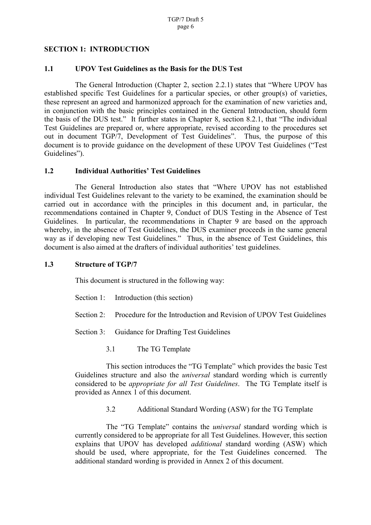#### <span id="page-5-0"></span>**SECTION 1: INTRODUCTION**

#### **1.1 UPOV Test Guidelines as the Basis for the DUS Test**

The General Introduction (Chapter 2, section 2.2.1) states that "Where UPOV has established specific Test Guidelines for a particular species, or other group(s) of varieties, these represent an agreed and harmonized approach for the examination of new varieties and, in conjunction with the basic principles contained in the General Introduction, should form the basis of the DUS test." It further states in Chapter 8, section 8.2.1, that "The individual Test Guidelines are prepared or, where appropriate, revised according to the procedures set out in document TGP/7, Development of Test Guidelines". Thus, the purpose of this document is to provide guidance on the development of these UPOV Test Guidelines ("Test Guidelines").

#### **1.2 Individual Authorities' Test Guidelines**

The General Introduction also states that "Where UPOV has not established individual Test Guidelines relevant to the variety to be examined, the examination should be carried out in accordance with the principles in this document and, in particular, the recommendations contained in Chapter 9, Conduct of DUS Testing in the Absence of Test Guidelines. In particular, the recommendations in Chapter 9 are based on the approach whereby, in the absence of Test Guidelines, the DUS examiner proceeds in the same general way as if developing new Test Guidelines." Thus, in the absence of Test Guidelines, this document is also aimed at the drafters of individual authorities' test guidelines.

#### **1.3 Structure of TGP/7**

This document is structured in the following way:

- Section 1: Introduction (this section)
- Section 2: Procedure for the Introduction and Revision of UPOV Test Guidelines
- Section 3: Guidance for Drafting Test Guidelines
	- 3.1 The TG Template

This section introduces the "TG Template" which provides the basic Test Guidelines structure and also the *universal* standard wording which is currently considered to be *appropriate for all Test Guidelines*. The TG Template itself is provided as Annex 1 of this document.

3.2 Additional Standard Wording (ASW) for the TG Template

The "TG Template" contains the *universal* standard wording which is currently considered to be appropriate for all Test Guidelines. However, this section explains that UPOV has developed *additional* standard wording (ASW) which should be used, where appropriate, for the Test Guidelines concerned. The additional standard wording is provided in Annex 2 of this document.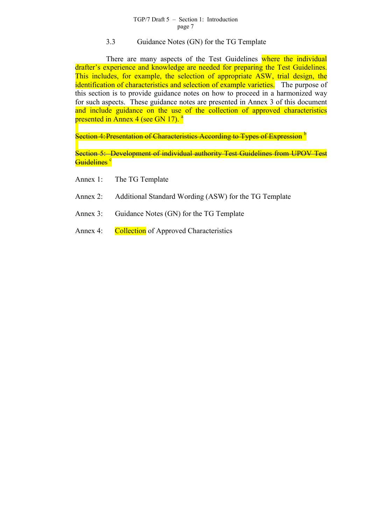#### TGP/7 Draft 5 – Section 1: Introduction page 7

#### 3.3 Guidance Notes (GN) for the TG Template

There are many aspects of the Test Guidelines where the individual drafter's experience and knowledge are needed for preparing the Test Guidelines. This includes, for example, the selection of appropriate ASW, trial design, the identification of characteristics and selection of example varieties. The purpose of this section is to provide guidance notes on how to proceed in a harmonized way for such aspects. These guidance notes are presented in Annex 3 of this document and include guidance on the use of the collection of approved characteristics presented in Annex 4 (see GN 17). <sup>a</sup>

Section 4: Presentation of Characte[ris](#page-81-0)tics According to Types of Expression  $<sup>b</sup>$ </sup>

Section 5: Development of individual authority Test Guidelines from UP[OV](#page-81-0) Test Guidelines<sup>c</sup>

- Annex 1: The TG Template
- Annex 2: Additional Standard Wording (ASW) for the TG Template
- Annex 3: Guidance Notes (GN) for the TG Template
- Annex 4: Collection of Approved Characteristics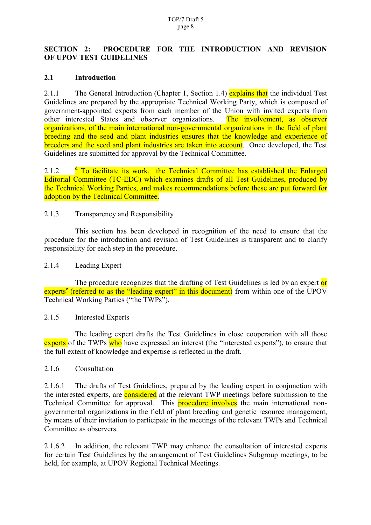### <span id="page-7-0"></span>**SECTION 2: PROCEDURE FOR THE INTRODUCTION AND REVISION OF UPOV TEST GUIDELINES**

#### **2.1 Introduction**

2.1.1 The General Introduction (Chapter 1, Section 1.4) explains that the individual Test Guidelines are prepared by the appropriate Technical Working Party, which is composed of government-appointed experts from each member of the Union with invited experts from other interested States and observer organizations. The involvement, as observer organizations, of the main international non-governmental organizations in the field of plant breeding and the seed and plant industries ensures that the knowledge and experience of breeders and the seed and plant industries are taken into account. Once developed, the Test Guidelines are submitted for approval by the Technical Committee.

 $2.1.2$ <sup>d</sup> To facilitate its work, the Technical Committee has established the Enlarged Editorial Committee (TC-EDC) which examines drafts of all Test Guidelines, produced by the Techn[ic](#page-81-0)al Working Parties, and makes recommendations before these are put forward for adoption by the Technical Committee.

#### 2.1.3 Transparency and Responsibility

This section has been developed in recognition of the need to ensure that the procedure for the introduction and revision of Test Guidelines is transparent and to clarify responsibility for each step in the procedure.

#### 2.1.4 Leading Expert

The procedure recognizes that the drafting of Test Guidelines is led by an expert or experts<sup>e</sup> (referred to as the "leading expert" in this document) from within one of the UPOV Techni[ca](#page-81-0)l Working Parties ("the TWPs").

#### 2.1.5 Interested Experts

The leading expert drafts the Test Guidelines in close cooperation with all those experts of the TWPs who have expressed an interest (the "interested experts"), to ensure that the full extent of knowledge and expertise is reflected in the draft.

#### 2.1.6 Consultation

2.1.6.1 The drafts of Test Guidelines, prepared by the leading expert in conjunction with the interested experts, are **considered** at the relevant TWP meetings before submission to the Technical Committee for approval. This **procedure involves** the main international nongovernmental organizations in the field of plant breeding and genetic resource management, by means of their invitation to participate in the meetings of the relevant TWPs and Technical Committee as observers.

2.1.6.2 In addition, the relevant TWP may enhance the consultation of interested experts for certain Test Guidelines by the arrangement of Test Guidelines Subgroup meetings, to be held, for example, at UPOV Regional Technical Meetings.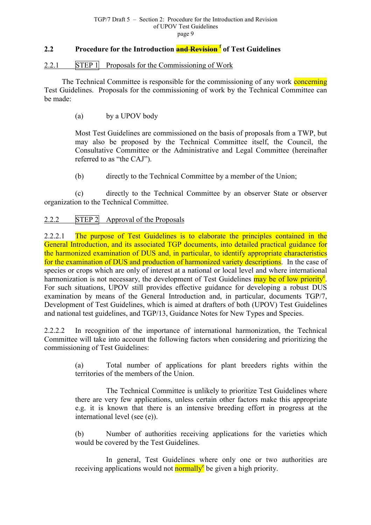## <span id="page-8-0"></span>**2.2 Procedure for the Introduction and Revision <sup>f</sup> of Test Guidelines**

#### 2.2.1 STEP 1 Proposals for the Commissioning of [Wo](#page-81-0)rk

The Technical Committee is responsible for the commissioning of any work concerning Test Guidelines. Proposals for the commissioning of work by the Technical Committee can be made:

(a) by a UPOV body

Most Test Guidelines are commissioned on the basis of proposals from a TWP, but may also be proposed by the Technical Committee itself, the Council, the Consultative Committee or the Administrative and Legal Committee (hereinafter referred to as "the CAJ").

(b) directly to the Technical Committee by a member of the Union;

(c) directly to the Technical Committee by an observer State or observer organization to the Technical Committee.

## 2.2.2 STEP 2 Approval of the Proposals

2.2.2.1 The purpose of Test Guidelines is to elaborate the principles contained in the General Introduction, and its associated TGP documents, into detailed practical guidance for the harmonized examination of DUS and, in particular, to identify appropriate characteristics for the examination of DUS and production of harmonized variety descriptions. In the case of species or crops which are only of interest at a national or local level and where international harmonization is not necessary, the development of Test Guidelines may be of low priority<sup>e</sup>. For such situations, UPOV still provides effective guidance for developing a robust DUS examination by means of the General Introduction and, in particular, documents TGP/[7,](#page-7-0) Development of Test Guidelines, which is aimed at drafters of both (UPOV) Test Guidelines and national test guidelines, and TGP/13, Guidance Notes for New Types and Species.

2.2.2.2 In recognition of the importance of international harmonization, the Technical Committee will take into account the following factors when considering and prioritizing the commissioning of Test Guidelines:

> (a) Total number of applications for plant breeders rights within the territories of the members of the Union.

> The Technical Committee is unlikely to prioritize Test Guidelines where there are very few applications, unless certain other factors make this appropriate e.g. it is known that there is an intensive breeding effort in progress at the international level (see (e)).

> (b) Number of authorities receiving applications for the varieties which would be covered by the Test Guidelines.

> In general, Test Guidelines where only one or two authorities are receiving applications would not **normally**<sup>e</sup> be given a high priority.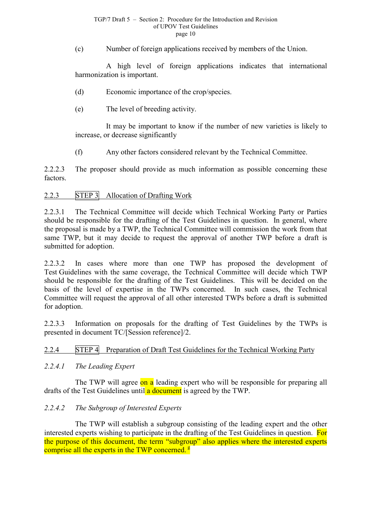#### TGP/7 Draft 5 – Section 2: Procedure for the Introduction and Revision of UPOV Test Guidelines page 10

<span id="page-9-0"></span>(c) Number of foreign applications received by members of the Union.

A high level of foreign applications indicates that international harmonization is important.

(d) Economic importance of the crop/species.

(e) The level of breeding activity.

It may be important to know if the number of new varieties is likely to increase, or decrease significantly

(f) Any other factors considered relevant by the Technical Committee.

2.2.2.3 The proposer should provide as much information as possible concerning these factors.

#### 2.2.3 STEP 3 Allocation of Drafting Work

2.2.3.1 The Technical Committee will decide which Technical Working Party or Parties should be responsible for the drafting of the Test Guidelines in question. In general, where the proposal is made by a TWP, the Technical Committee will commission the work from that same TWP, but it may decide to request the approval of another TWP before a draft is submitted for adoption.

2.2.3.2 In cases where more than one TWP has proposed the development of Test Guidelines with the same coverage, the Technical Committee will decide which TWP should be responsible for the drafting of the Test Guidelines. This will be decided on the basis of the level of expertise in the TWPs concerned. In such cases, the Technical Committee will request the approval of all other interested TWPs before a draft is submitted for adoption.

2.2.3.3 Information on proposals for the drafting of Test Guidelines by the TWPs is presented in document TC/[Session reference]/2.

#### 2.2.4 STEP 4 Preparation of Draft Test Guidelines for the Technical Working Party

#### *2.2.4.1 The Leading Expert*

The TWP will agree on a leading expert who will be responsible for preparing all drafts of the Test Guidelines until **a** document is agreed by the TWP.

#### *2.2.4.2 The Subgroup of Interested Experts*

The TWP will establish a subgroup consisting of the leading expert and the other interested experts wishing to participate in the drafting of the Test Guidelines in question. For the purpose of this document, the term "subgroup" also applies where the interested experts comprise all the experts in the TWP concerned. <sup>g</sup>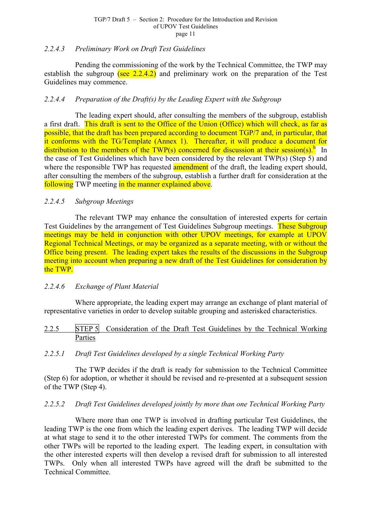### <span id="page-10-0"></span>*2.2.4.3 Preliminary Work on Draft Test Guidelines*

Pending the commissioning of the work by the Technical Committee, the TWP may establish the subgroup (see  $2.2.4.2$ ) and preliminary work on the preparation of the Test Guidelines may commence.

## *2.2.4.4 Preparation of the Draft(s) by the Leading Expert with the Subgroup*

The leading expert should, after consulting the members of the subgroup, establish a first draft. This draft is sent to the Office of the Union (Office) which will check, as far as possible, that the draft has been prepared according to document TGP/7 and, in particular, that it conforms with the TG/Template (Annex 1). Thereafter, it will produce a document for distribution to the members of the TWP(s) concerned for discussion at their session(s).<sup>h</sup> In the case of Test Guidelines which have been considered by the relevant TWP(s) (Step 5) and where the responsible TWP has requested **amendment** of the draft, the leading expert sh[ou](#page-81-0)ld, after consulting the members of the subgroup, establish a further draft for consideration at the following TWP meeting in the manner explained above.

#### *2.2.4.5 Subgroup Meetings*

The relevant TWP may enhance the consultation of interested experts for certain Test Guidelines by the arrangement of Test Guidelines Subgroup meetings. These Subgroup meetings may be held in conjunction with other UPOV meetings, for example at UPOV Regional Technical Meetings, or may be organized as a separate meeting, with or without the Office being present. The leading expert takes the results of the discussions in the Subgroup meeting into account when preparing a new draft of the Test Guidelines for consideration by the TWP.

#### *2.2.4.6 Exchange of Plant Material*

Where appropriate, the leading expert may arrange an exchange of plant material of representative varieties in order to develop suitable grouping and asterisked characteristics.

#### 2.2.5 STEP 5 Consideration of the Draft Test Guidelines by the Technical Working Parties

#### *2.2.5.1 Draft Test Guidelines developed by a single Technical Working Party*

The TWP decides if the draft is ready for submission to the Technical Committee (Step 6) for adoption, or whether it should be revised and re-presented at a subsequent session of the TWP (Step 4).

#### *2.2.5.2 Draft Test Guidelines developed jointly by more than one Technical Working Party*

Where more than one TWP is involved in drafting particular Test Guidelines, the leading TWP is the one from which the leading expert derives. The leading TWP will decide at what stage to send it to the other interested TWPs for comment. The comments from the other TWPs will be reported to the leading expert. The leading expert, in consultation with the other interested experts will then develop a revised draft for submission to all interested TWPs. Only when all interested TWPs have agreed will the draft be submitted to the Technical Committee.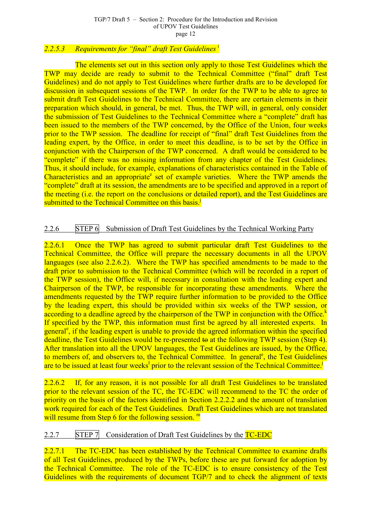### <span id="page-11-0"></span>*2.2.5.3 Requirements for "final" draft Test Guidelines i*

The elements set out in this section only apply [t](#page-81-0)o those Test Guidelines which the TWP may decide are ready to submit to the Technical Committee ("final" draft Test Guidelines) and do not apply to Test Guidelines where further drafts are to be developed for discussion in subsequent sessions of the TWP. In order for the TWP to be able to agree to submit draft Test Guidelines to the Technical Committee, there are certain elements in their preparation which should, in general, be met. Thus, the TWP will, in general, only consider the submission of Test Guidelines to the Technical Committee where a "complete" draft has been issued to the members of the TWP concerned, by the Office of the Union, four weeks prior to the TWP session. The deadline for receipt of "final" draft Test Guidelines from the leading expert, by the Office, in order to meet this deadline, is to be set by the Office in conjunction with the Chairperson of the TWP concerned. A draft would be considered to be "complete" if there was no missing information from any chapter of the Test Guidelines. Thus, it should include, for example, explanations of characteristics contained in the Table of Characteristics and an appropriate set of example varieties. Where the TWP amends the "complete" draft at its session, the amendments are to be specified and approved in a report of the meeting (i.e. the report on the [co](#page-7-0)nclusions or detailed report), and the Test Guidelines are submitted to the Technical Committee on this basis.<sup>j</sup>

## 2.2.6 STEP 6 Submission of Draft Test Guidelines by the Technical Working Party

2.2.6.1 Once the TWP has agreed to submit particular draft Test Guidelines to the Technical Committee, the Office will prepare the necessary documents in all the UPOV languages (see also 2.2.6.2). Where the TWP has specified amendments to be made to the draft prior to submission to the Technical Committee (which will be recorded in a report of the TWP session), the Office will, if necessary in consultation with the leading expert and Chairperson of the TWP, be responsible for incorporating these amendments. Where the amendments requested by the TWP require further information to be provided to the Office by the leading expert, this should be provided within six weeks of the TWP session, or according to a deadline agreed by the chairperson of the TWP in conjunction with the Office.<sup>k</sup> If specified by the TWP, this information must first be agreed by all interested experts. In general<sup>e</sup>, if the lea[d](#page-81-0)ing expert is unable to provide the agreed information within the specified deadline, the Test Guidelines would be re-presented to at the following TWP session (Step 4). After t[ra](#page-7-0)nslation into all the UPOV languages, the Test Guidelines are issued, by the Office, to members of, and observers to, the Technical Committee. In general<sup>e</sup>, the Test Guidelines are to be issued at least four weeks<sup>1</sup> prior to the relevant session of the Technical Committee.<sup>j</sup>

2.2.6.2 If, for a[n](#page-81-0)y reason, it is not possible for all draft Test Guidelines to be translated prior to the relevant session of the TC, the TC-EDC will recommend to the TC the order of priority on the basis of the factors identified in Section 2.2.2.2 and the amount of translation work required for each of the Test Guidelines. Draft Test Guidelines which are not translated will resume from Step 6 for the following session. <sup>m</sup>

## 2.2.7 STEP 7 Consideration of Draft Test G[uid](#page-81-0)elines by the TC-EDC

2.2.7.1 The TC-EDC has been established by the Technical Committee to examine drafts of all Test Guidelines, produced by the TWPs, before these are put forward for adoption by the Technical Committee. The role of the TC-EDC is to ensure consistency of the Test Guidelines with the requirements of document TGP/7 and to check the alignment of texts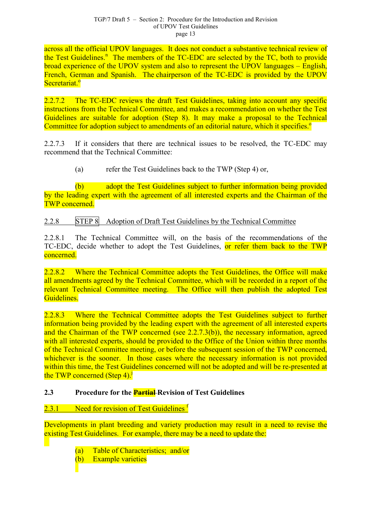<span id="page-12-0"></span>across all the official UPOV languages. It does not conduct a substantive technical review of the Test Guidelines.<sup>n</sup> The members of the TC-EDC are selected by the TC, both to provide broad experience of the UPOV system and also to represent the UPOV languages – English, French, German an[d](#page-81-0) Spanish. The chairperson of the TC-EDC is provided by the UPOV Secretariat.<sup>o</sup>

2.2.7.2 [Th](#page-81-0)e TC-EDC reviews the draft Test Guidelines, taking into account any specific instructions from the Technical Committee, and makes a recommendation on whether the Test Guidelines are suitable for adoption (Step 8). It may make a proposal to the Technical Committee for adoption subject to amendments of an editorial nature, which it specifies.<sup>o</sup>

2.2.7.3 If it considers that there are technical issues to be resolved, the TC-EDC may recommend that the Technical Committee:

(a) refer the Test Guidelines back to the TWP (Step 4) or,

(b) adopt the Test Guidelines subject to further information being provided by the leading expert with the agreement of all interested experts and the Chairman of the TWP concerned.

## 2.2.8 STEP 8 Adoption of Draft Test Guidelines by the Technical Committee

2.2.8.1 The Technical Committee will, on the basis of the recommendations of the TC-EDC, decide whether to adopt the Test Guidelines, or refer them back to the TWP concerned.

2.2.8.2 Where the Technical Committee adopts the Test Guidelines, the Office will make all amendments agreed by the Technical Committee, which will be recorded in a report of the relevant Technical Committee meeting. The Office will then publish the adopted Test Guidelines.

2.2.8.3 Where the Technical Committee adopts the Test Guidelines subject to further information being provided by the leading expert with the agreement of all interested experts and the Chairman of the TWP concerned (see 2.2.7.3(b)), the necessary information, agreed with all interested experts, should be provided to the Office of the Union within three months of the Technical Committee meeting, or before the subsequent session of the TWP concerned, whichever is the sooner. In those cases where the necessary information is not provided within this time, the Test Guidelines concerned will not be adopted and will be re-presented at the TWP concerned  $(Step 4)$ <sup> $\cdot$ </sup>

## **2.3 Procedure for th[e](#page-11-0) Partial Revision of Test Guidelines**

## 2.3.1 Need for revision of Test Guidelines  $f$

Developments in plant breeding and variety [pr](#page-8-0)oduction may result in a need to revise the existing Test Guidelines. For example, there may be a need to update the:

(a) Table of Characteristics; and/or

(b) Example varieties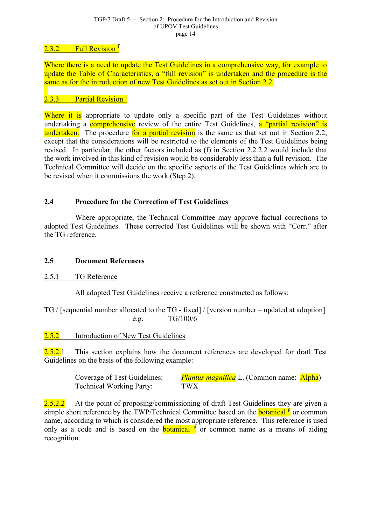### <span id="page-13-0"></span>2.3.2 Full Revision <sup>f</sup>

Where there is a need t[o](#page-8-0) update the Test Guidelines in a comprehensive way, for example to update the Table of Characteristics, a "full revision" is undertaken and the procedure is the same as for the introduction of new Test Guidelines as set out in Section 2.2.

## $2.3.3$  Partial Revision  $f$

Where it is appropriate [to](#page-8-0) update only a specific part of the Test Guidelines without undertaking a **comprehensive** review of the entire Test Guidelines, a "partial revision" is undertaken. The procedure for a partial revision is the same as that set out in Section 2.2, except that the considerations will be restricted to the elements of the Test Guidelines being revised. In particular, the other factors included as (f) in Section 2.2.2.2 would include that the work involved in this kind of revision would be considerably less than a full revision. The Technical Committee will decide on the specific aspects of the Test Guidelines which are to be revised when it commissions the work (Step 2).

## **2.4 Procedure for the Correction of Test Guidelines**

Where appropriate, the Technical Committee may approve factual corrections to adopted Test Guidelines. These corrected Test Guidelines will be shown with "Corr." after the TG reference.

#### **2.5 Document References**

2.5.1 TG Reference

All adopted Test Guidelines receive a reference constructed as follows:

TG / [sequential number allocated to the TG - fixed] / [version number – updated at adoption] e.g. TG/100/6

2.5.2 Introduction of New Test Guidelines

 $2.5.2.1$  This section explains how the document references are developed for draft Test Guidelines on the basis of the following example:

| Coverage of Test Guidelines:    | <i>Plantus magnifica</i> L. (Common name: <b>Alpha)</b> |  |
|---------------------------------|---------------------------------------------------------|--|
| <b>Technical Working Party:</b> | <b>TWX</b>                                              |  |

 $2.5.2.2$  At the point of proposing/commissioning of draft Test Guidelines they are given a simple short reference by the TWP/Technical Committee based on the **botanical** P or common name, according to which is considered the most appropriate reference. This reference is used only as a code and is based on the **botanical**  $\vec{p}$  or common name as a me[ans](#page-81-0) of aiding recognition.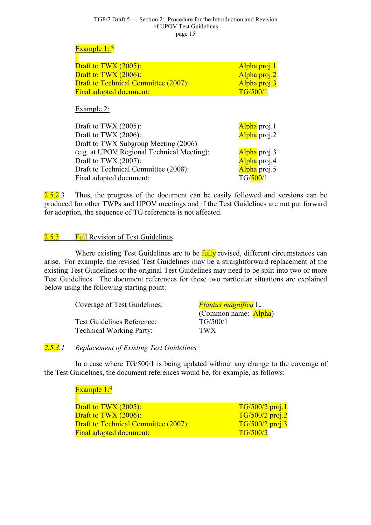#### TGP/7 Draft 5 – Section 2: Procedure for the Introduction and Revision of UPOV Test Guidelines page 15

#### <span id="page-14-0"></span>Example 1: <sup>q</sup>

| Draft to TWX $(2005)$ :                     | Alpha proj.1 |
|---------------------------------------------|--------------|
| <b>Draft to TWX (2006):</b>                 | Alpha proj.2 |
| <b>Draft to Technical Committee (2007):</b> | Alpha proj.3 |
| <b>Final adopted document:</b>              | TG/500/1     |
|                                             |              |

Example 2:

| Draft to TWX $(2005)$ :                    | Alpha proj.1 |
|--------------------------------------------|--------------|
| Draft to TWX $(2006)$ :                    | Alpha proj.2 |
|                                            |              |
| Draft to TWX Subgroup Meeting (2006)       |              |
| (e.g. at UPOV Regional Technical Meeting): | Alpha proj.3 |
| Draft to TWX $(2007)$ :                    | Alpha proj.4 |
| Draft to Technical Committee (2008):       | Alpha proj.5 |
| Final adopted document:                    | TG/500/1     |

2.5.2.3 Thus, the progress of the document can be easily followed and versions can be produced for other TWPs and UPOV meetings and if the Test Guidelines are not put forward for adoption, the sequence of TG references is not affected.

## 2.5.3 Full Revision of Test Guidelines

Where existing Test Guidelines are to be fully revised, different circumstances can arise. For example, the revised Test Guidelines may be a straightforward replacement of the existing Test Guidelines or the original Test Guidelines may need to be split into two or more Test Guidelines. The document references for these two particular situations are explained below using the following starting point:

| Coverage of Test Guidelines:    | <i>Plantus magnifica</i> L.  |
|---------------------------------|------------------------------|
|                                 | (Common name: <b>Alpha</b> ) |
| Test Guidelines Reference:      | TG/500/1                     |
| <b>Technical Working Party:</b> | TWX                          |

## *2.5.3.1 Replacement of Existing Test Guidelines*

In a case where TG/500/1 is being updated without any change to the coverage of the Test Guidelines, the document references would be, for example, as follows:

#### Example 1:<sup>q</sup>

| Draft to TWX $(2005)$ :                     | $T G/500/2$ proj.1 |
|---------------------------------------------|--------------------|
| Draft to $TWX(2006)$ :                      | $TG/500/2$ proj.2  |
| <b>Draft to Technical Committee (2007):</b> | $T G/500/2$ proj.3 |
| <b>Final adopted document:</b>              | TG/500/2           |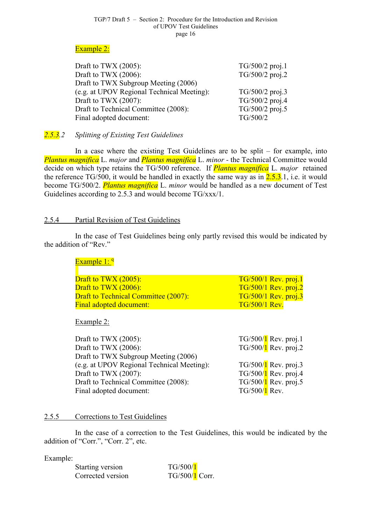#### TGP/7 Draft 5 – Section 2: Procedure for the Introduction and Revision of UPOV Test Guidelines page 16

#### <span id="page-15-0"></span>Example 2:

| $TG/500/2$ proj.1 |
|-------------------|
| TG/500/2 proj.2   |
|                   |
| TG/500/2 proj.3   |
| TG/500/2 proj.4   |
| TG/500/2 proj.5   |
| TG/500/2          |
|                   |

## *2.5.3.2 Splitting of Existing Test Guidelines*

In a case where the existing Test Guidelines are to be split – for example, into *Plantus magnifica* L. *major* and *Plantus magnifica* L. *minor -* the Technical Committee would decide on which type retains the TG/500 reference. If *Plantus magnifica* L. *major* retained the reference TG/500, it would be handled in exactly the same way as in  $2.5.3.1$ , i.e. it would become TG/500/2. *Plantus magnifica* L. *minor* would be handled as a new document of Test Guidelines according to 2.5.3 and would become TG/xxx/1.

#### 2.5.4 Partial Revision of Test Guidelines

In the case of Test Guidelines being only partly revised this would be indicated by the addition of "Rev."

## Example 1: 9

| <b>Draft to TWX (2005):</b>                 | $TG/500/1$ Rev. proj.1 |
|---------------------------------------------|------------------------|
| Draft to $TWX(2006)$ :                      | $TG/500/1$ Rev. proj.2 |
| <b>Draft to Technical Committee (2007):</b> | $TG/500/1$ Rev. proj.3 |
| <b>Final adopted document:</b>              | $TG/500/1$ Rev.        |

Example 2:

| Draft to TWX $(2005)$ :                    |                 | $TG/500/1$ Rev. proj.1 |
|--------------------------------------------|-----------------|------------------------|
| Draft to TWX $(2006)$ :                    |                 | $TG/500/1$ Rev. proj.2 |
| Draft to TWX Subgroup Meeting (2006)       |                 |                        |
| (e.g. at UPOV Regional Technical Meeting): |                 | $TG/500/1$ Rev. proj.3 |
| Draft to TWX $(2007)$ :                    |                 | $TG/500/1$ Rev. proj.4 |
| Draft to Technical Committee (2008):       |                 | $TG/500/1$ Rev. proj.5 |
| Final adopted document:                    | $TG/500/1$ Rev. |                        |

#### 2.5.5 Corrections to Test Guidelines

In the case of a correction to the Test Guidelines, this would be indicated by the addition of "Corr.", "Corr. 2", etc.

#### Example:

| Starting version  | TG/500/1         |
|-------------------|------------------|
| Corrected version | $TG/500/1$ Corr. |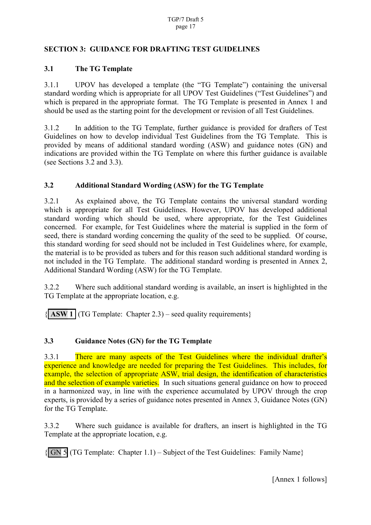### <span id="page-16-0"></span>**SECTION 3: GUIDANCE FOR DRAFTING TEST GUIDELINES**

### **3.1 The TG Template**

3.1.1 UPOV has developed a template (the "TG Template") containing the universal standard wording which is appropriate for all UPOV Test Guidelines ("Test Guidelines") and which is prepared in the appropriate format. The TG Template is presented in Annex 1 and should be used as the starting point for the development or revision of all Test Guidelines.

3.1.2 In addition to the TG Template, further guidance is provided for drafters of Test Guidelines on how to develop individual Test Guidelines from the TG Template. This is provided by means of additional standard wording (ASW) and guidance notes (GN) and indications are provided within the TG Template on where this further guidance is available (see Sections 3.2 and 3.3).

## **3.2 Additional Standard Wording (ASW) for the TG Template**

3.2.1 As explained above, the TG Template contains the universal standard wording which is appropriate for all Test Guidelines. However, UPOV has developed additional standard wording which should be used, where appropriate, for the Test Guidelines concerned. For example, for Test Guidelines where the material is supplied in the form of seed, there is standard wording concerning the quality of the seed to be supplied. Of course, this standard wording for seed should not be included in Test Guidelines where, for example, the material is to be provided as tubers and for this reason such additional standard wording is not included in the TG Template. The additional standard wording is presented in Annex 2, Additional Standard Wording (ASW) for the TG Template.

3.2.2 Where such additional standard wording is available, an insert is highlighted in the TG Template at the appropriate location, e.g.

 $\{$  **ASW 1** (TG Template: Chapter 2.3) – seed quality requirements)

## **3.3 Guidance Notes (GN) for the TG Template**

3.3.1 There are many aspects of the Test Guidelines where the individual drafter's experience and knowledge are needed for preparing the Test Guidelines. This includes, for example, the selection of appropriate ASW, trial design, the identification of characteristics and the selection of example varieties. In such situations general guidance on how to proceed in a harmonized way, in line with the experience accumulated by UPOV through the crop experts, is provided by a series of guidance notes presented in Annex 3, Guidance Notes (GN) for the TG Template.

3.3.2 Where such guidance is available for drafters, an insert is highlighted in the TG Template at the appropriate location, e.g.

 $\{\vert$  GN 5 (TG Template: Chapter 1.1) – Subject of the Test Guidelines: Family Name $\}$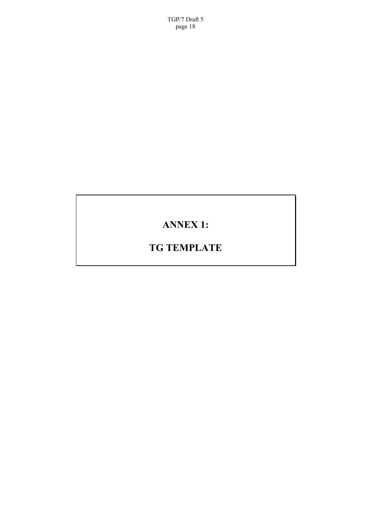<span id="page-17-0"></span>TGP/7 Draft 5 page 18

# **ANNEX 1:**

# **TG TEMPLATE**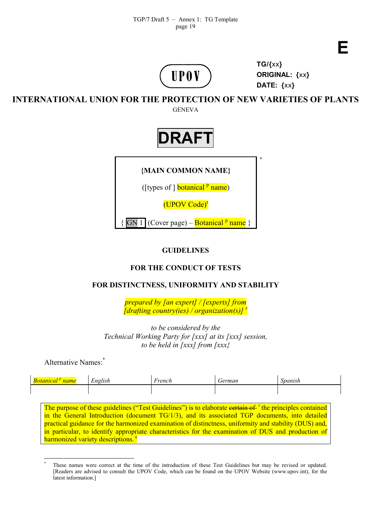



**TG/{**xx**} ORIGINAL: {**xx**} DATE: {**xx**}**

**INTERNATIONAL UNION FOR THE PROTECTION OF NEW VARIETIES OF PLANTS**

**GENEVA** 



## **GUIDELINES**

## **FOR THE CONDUCT OF TESTS**

## **FOR DISTINCTNESS, UNIFORMITY AND STABILITY**

*prepared by [an expert] / [experts] from [drafting country(ies) / organization(s)] s*

*to be considered by the Technical Working Party for [xxx] at its [xxx] session, to be held in [xxx] from [xxx}*

Alternative Names:\*

| $\mathbf{r}$<br>$\mathbf{r}$ .<br>English | h wan a h<br>,,,, | erman | <i>nanish</i> |
|-------------------------------------------|-------------------|-------|---------------|
|                                           |                   |       |               |

The purpose of these guidelines ("Test Guidelines") is to elaborate eertain of <sup>t</sup> the principles contained in the General Introduction (document TG/1/3), and its associated TGP documents, into detailed practical guidance for the harmonized examination of distinctness, uniformity [a](#page-81-0)nd stability (DUS) and, in particular, to identify appropriate characteristics for the examination of DUS and production of harmonized variety descriptions.<sup>u</sup>

 $\overline{a}$ \* These names were correct at the time of the introduction of these Test Guidelines but may be revised or updated. [Readers are advised to consult the UPOV Code, which can be found on the UPOV Website (www.upov.int), for the latest information.]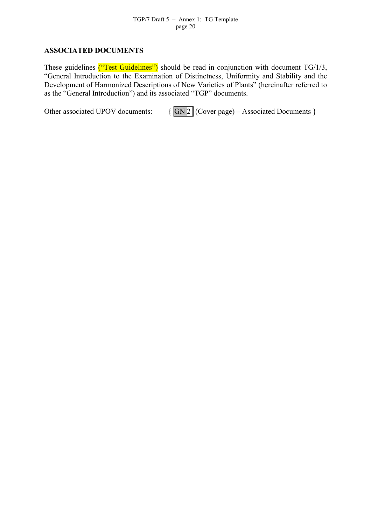#### **ASSOCIATED DOCUMENTS**

These guidelines ("Test Guidelines") should be read in conjunction with document TG/1/3, "General Introduction to the Examination of Distinctness, Uniformity and Stability and the Development of Harmonized Descriptions of New Varieties of Plants" (hereinafter referred to as the "General Introduction") and its associated "TGP" documents.

Other associated UPOV documents:  $\{ \overline{GN2} \}$  (Cover page) – Associated Documents }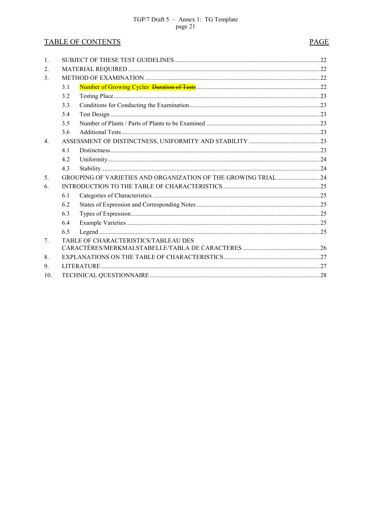## **TABLE OF CONTENTS**

## **PAGE**

| $\mathbf{1}$ .                   |     |                                                                 |  |  |  |  |  |
|----------------------------------|-----|-----------------------------------------------------------------|--|--|--|--|--|
| $\overline{2}$ .                 |     |                                                                 |  |  |  |  |  |
| 3 <sub>1</sub>                   |     |                                                                 |  |  |  |  |  |
|                                  | 3.1 |                                                                 |  |  |  |  |  |
|                                  | 3.2 |                                                                 |  |  |  |  |  |
|                                  | 3.3 |                                                                 |  |  |  |  |  |
|                                  | 3.4 |                                                                 |  |  |  |  |  |
|                                  | 3.5 |                                                                 |  |  |  |  |  |
|                                  | 3.6 |                                                                 |  |  |  |  |  |
| $\overline{4}$ .                 |     |                                                                 |  |  |  |  |  |
|                                  | 4.1 |                                                                 |  |  |  |  |  |
|                                  | 4.2 |                                                                 |  |  |  |  |  |
|                                  | 4.3 |                                                                 |  |  |  |  |  |
| 5 <sub>1</sub>                   |     | GROUPING OF VARIETIES AND ORGANIZATION OF THE GROWING TRIAL  24 |  |  |  |  |  |
| 6.                               |     |                                                                 |  |  |  |  |  |
|                                  | 6.1 |                                                                 |  |  |  |  |  |
|                                  | 6.2 |                                                                 |  |  |  |  |  |
|                                  | 6.3 |                                                                 |  |  |  |  |  |
|                                  | 6.4 |                                                                 |  |  |  |  |  |
|                                  | 6.5 |                                                                 |  |  |  |  |  |
| $7_{\scriptscriptstyle{\ddots}}$ |     | TABLE OF CHARACTERISTICS/TABLEAU DES                            |  |  |  |  |  |
|                                  |     |                                                                 |  |  |  |  |  |
| 8.                               |     |                                                                 |  |  |  |  |  |
| 9.                               |     |                                                                 |  |  |  |  |  |
| 10 <sub>l</sub>                  |     |                                                                 |  |  |  |  |  |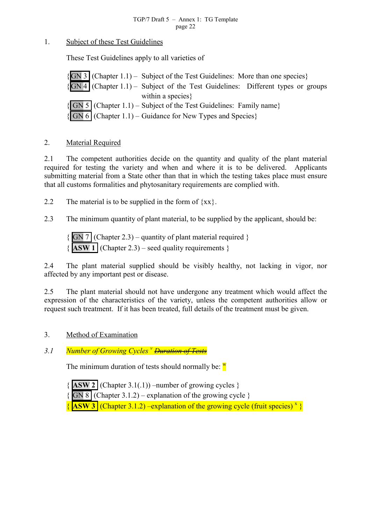#### <span id="page-21-0"></span>1. Subject of these Test Guidelines

These Test Guidelines apply to all varieties of

 $|GN 3|$  (Chapter 1.1) – Subject of the Test Guidelines: More than one species}  ${GN4}$  (Chapter 1.1) – Subject of the Test Guidelines: Different types or groups within a species }  $|$  GN 5 (Chapter 1.1) – Subject of the Test Guidelines: Family name  ${f}$  GN 6 (Chapter 1.1) – Guidance for New Types and Species)

#### 2. Material Required

2.1 The competent authorities decide on the quantity and quality of the plant material required for testing the variety and when and where it is to be delivered. Applicants submitting material from a State other than that in which the testing takes place must ensure that all customs formalities and phytosanitary requirements are complied with.

2.2 The material is to be supplied in the form of  $\{xx\}$ .

2.3 The minimum quantity of plant material, to be supplied by the applicant, should be:

 ${\binom{6}{\text{SN} 7}}$  (Chapter 2.3) – quantity of plant material required }  ${\overline{\{ASW\}}$  (Chapter 2.3) – seed quality requirements  $}$ 

2.4 The plant material supplied should be visibly healthy, not lacking in vigor, nor affected by any important pest or disease.

2.5 The plant material should not have undergone any treatment which would affect the expression of the characteristics of the variety, unless the competent authorities allow or request such treatment. If it has been treated, full details of the treatment must be given.

#### 3. Method of Examination

*3.1 Number of Growing Cycles <sup>v</sup> Duration of Tests*

The minimum duration of t[es](#page-81-0)ts should normally be:  $^{\mathbf{w}}$ 

- ${\bf \{ASW\ 2\}}$  (Chapter 3.1(.1)) –number of growing c[ycl](#page-81-0)es  $}$
- ${\overline{S}}$  (Chapter 3.1.2) explanation of the growing cycle }

 ${\sqrt{ASW3}}$  (Chapter 3.1.2) –explanation of the growing cycle (fruit species)<sup>x</sup>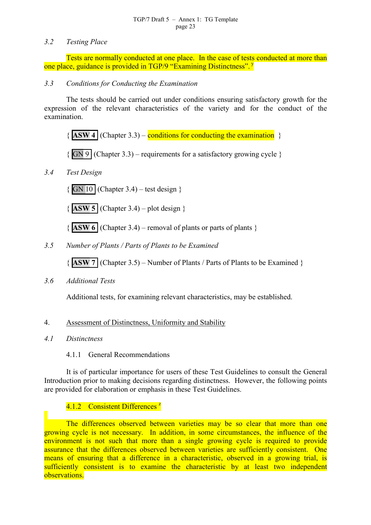#### <span id="page-22-0"></span>*3.2 Testing Place*

Tests are normally conducted at one place. In the case of tests conducted at more than one place, guidance is provided in TGP/9 "Examining Distinctness". y

#### *3.3 Conditions for Conducting the Examination*

The tests should be carried out under conditions ensuring satisfactory growth for the expression of the relevant characteristics of the variety and for the conduct of the examination.

 ${\{ ASW 4 \}}$  (Chapter 3.3) – conditions for conducting the examination  $\}$ 

 ${\overline{S}}$  (Chapter 3.3) – requirements for a satisfactory growing cycle  $\overline{S}$ 

#### *3.4 Test Design*

 ${\binom{6}{N}}$  10 (Chapter 3.4) – test design }

 $\{$  **ASW 5** (Chapter 3.4) – plot design  $\}$ 

 ${\bf \{ASW\ 6} \mid (Chapter 3.4) - removal of plants or parts of plants \}$ 

*3.5 Number of Plants / Parts of Plants to be Examined*

{ **ASW 7** (Chapter 3.5) – Number of Plants / Parts of Plants to be Examined }

*3.6 Additional Tests*

Additional tests, for examining relevant characteristics, may be established.

#### 4. Assessment of Distinctness, Uniformity and Stability

*4.1 Distinctness*

#### 4.1.1 General Recommendations

It is of particular importance for users of these Test Guidelines to consult the General Introduction prior to making decisions regarding distinctness. However, the following points are provided for elaboration or emphasis in these Test Guidelines.

#### 4.1.2 Consistent Differences<sup>z</sup>

The differences observed be[tw](#page-81-0)een varieties may be so clear that more than one growing cycle is not necessary. In addition, in some circumstances, the influence of the environment is not such that more than a single growing cycle is required to provide assurance that the differences observed between varieties are sufficiently consistent. One means of ensuring that a difference in a characteristic, observed in a growing trial, is sufficiently consistent is to examine the characteristic by at least two independent observations.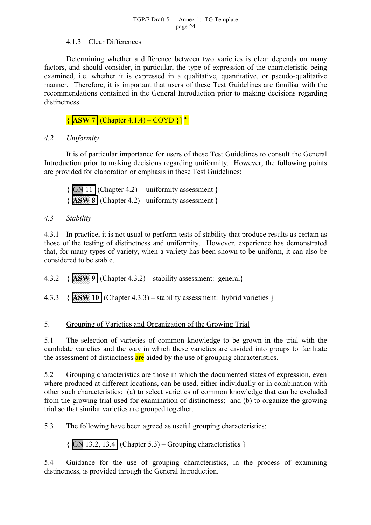#### 4.1.3 Clear Differences

<span id="page-23-0"></span>Determining whether a difference between two varieties is clear depends on many factors, and should consider, in particular, the type of expression of the characteristic being examined, i.e. whether it is expressed in a qualitative, quantitative, or pseudo-qualitative manner. Therefore, it is important that users of these Test Guidelines are familiar with the recommendations contained in the General Introduction prior to making decisions regarding distinctness.

{ **ASW 7** (Chapter 4.1.4) – COYD }] aa

## *4.2 Uniformity*

It is of particular importance for users of these Test Guidelines to consult the General Introduction prior to making decisions regarding uniformity. However, the following points are provided for elaboration or emphasis in these Test Guidelines:

 $\{$  GN 11 (Chapter 4.2) – uniformity assessment  $\}$ { **ASW 8** (Chapter 4.2) –uniformity assessment }

#### *4.3 Stability*

4.3.1 In practice, it is not usual to perform tests of stability that produce results as certain as those of the testing of distinctness and uniformity. However, experience has demonstrated that, for many types of variety, when a variety has been shown to be uniform, it can also be considered to be stable.

4.3.2 { **ASW 9** (Chapter 4.3.2) – stability assessment: general}

4.3.3 { **ASW 10** (Chapter 4.3.3) – stability assessment: hybrid varieties }

## 5. Grouping of Varieties and Organization of the Growing Trial

5.1 The selection of varieties of common knowledge to be grown in the trial with the candidate varieties and the way in which these varieties are divided into groups to facilitate the assessment of distinctness are aided by the use of grouping characteristics.

5.2 Grouping characteristics are those in which the documented states of expression, even where produced at different locations, can be used, either individually or in combination with other such characteristics: (a) to select varieties of common knowledge that can be excluded from the growing trial used for examination of distinctness; and (b) to organize the growing trial so that similar varieties are grouped together.

5.3 The following have been agreed as useful grouping characteristics:

 $\{$  GN 13.2, 13.4 (Chapter 5.3) – Grouping characteristics  $\}$ 

5.4 Guidance for the use of grouping characteristics, in the process of examining distinctness, is provided through the General Introduction.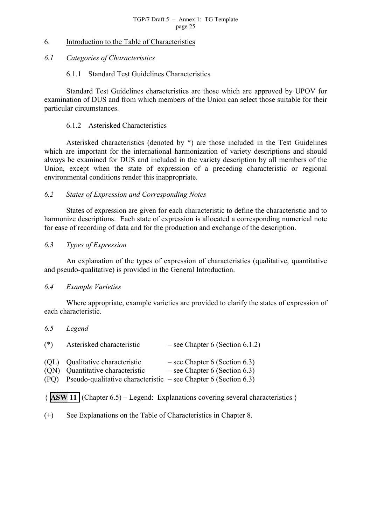#### <span id="page-24-0"></span>6. Introduction to the Table of Characteristics

#### *6.1 Categories of Characteristics*

#### 6.1.1 Standard Test Guidelines Characteristics

Standard Test Guidelines characteristics are those which are approved by UPOV for examination of DUS and from which members of the Union can select those suitable for their particular circumstances.

#### 6.1.2 Asterisked Characteristics

Asterisked characteristics (denoted by \*) are those included in the Test Guidelines which are important for the international harmonization of variety descriptions and should always be examined for DUS and included in the variety description by all members of the Union, except when the state of expression of a preceding characteristic or regional environmental conditions render this inappropriate.

#### *6.2 States of Expression and Corresponding Notes*

States of expression are given for each characteristic to define the characteristic and to harmonize descriptions. Each state of expression is allocated a corresponding numerical note for ease of recording of data and for the production and exchange of the description.

#### *6.3 Types of Expression*

An explanation of the types of expression of characteristics (qualitative, quantitative and pseudo-qualitative) is provided in the General Introduction.

#### *6.4 Example Varieties*

Where appropriate, example varieties are provided to clarify the states of expression of each characteristic.

#### *6.5 Legend*

| $(*)$        | Asterisked characteristic                                                                                                           | $-$ see Chapter 6 (Section 6.1.2)                                  |
|--------------|-------------------------------------------------------------------------------------------------------------------------------------|--------------------------------------------------------------------|
| (ON)<br>(PO) | (QL) Qualitative characteristic<br>Quantitative characteristic<br>Pseudo-qualitative characteristic $-$ see Chapter 6 (Section 6.3) | $-$ see Chapter 6 (Section 6.3)<br>$-$ see Chapter 6 (Section 6.3) |

{ **ASW 11** (Chapter 6.5) – Legend: Explanations covering several characteristics }

(+) See Explanations on the Table of Characteristics in Chapter 8.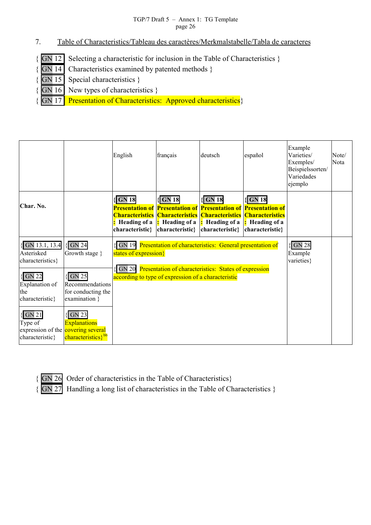- <span id="page-25-0"></span>7. Table of Characteristics/Tableau des caractères/Merkmalstabelle/Tabla de caracteres
- { GN 12 Selecting a characteristic for inclusion in the Table of Characteristics }
- { GN 14 Characteristics examined by patented methods }
	- GN 15 Special characteristics }
- { GN 16 New types of characteristics }

GN 17 Presentation of Characteristics: Approved characteristics}

|                                                                                                                                                                                                                                   |                                                                                                                                                                                                     | English                                                  | français                                                                                                                                                                                                            | deutsch                                                    | español                                                  | Example<br>Varieties/<br>Exemples/<br>Beispielssorten/<br>Variedades<br>ejemplo | Note/<br>Nota |
|-----------------------------------------------------------------------------------------------------------------------------------------------------------------------------------------------------------------------------------|-----------------------------------------------------------------------------------------------------------------------------------------------------------------------------------------------------|----------------------------------------------------------|---------------------------------------------------------------------------------------------------------------------------------------------------------------------------------------------------------------------|------------------------------------------------------------|----------------------------------------------------------|---------------------------------------------------------------------------------|---------------|
| Char. No.                                                                                                                                                                                                                         |                                                                                                                                                                                                     | $\sqrt{\text{GN }18}$<br>Heading of a<br>characteristic} | $\sqrt{\text{GN}}$ 18<br><b>Presentation of Presentation of Presentation of Presentation of</b><br><b>Characteristics Characteristics Characteristics Characteristics</b><br><b>Heading of a</b><br>characteristic} | $\sqrt{\textbf{GN}}$ 18<br>Heading of a<br>characteristic} | $\sqrt{\text{GN}}$ 18<br>Heading of a<br>characteristic} |                                                                                 |               |
| $\sqrt{\text{GN}}$ 13.1, 13.4<br>Asterisked<br>characteristics}<br>$\sqrt{\text{GN }22}$<br>Explanation of<br>the<br>characteristic}<br>$\sqrt{\text{GN}} 21$<br>Type of<br>expression of the covering several<br>characteristic} | $\sqrt{\text{GN }24}$<br>Growth stage }<br>$\sqrt{\text{GN }25}$<br>Recommendations<br>for conducting the<br>examination }<br><b>GN 23</b><br><b>Explanations</b><br>characteristics} <sup>bb</sup> | states of expression}<br><b>GN 20</b>                    | GN 19 Presentation of characteristics: General presentation of<br>Presentation of characteristics: States of expression<br>according to type of expression of a characteristic                                      |                                                            |                                                          | $\{$ GN 28<br>Example<br>varieties}                                             |               |

 ${GN}$  26 Order of characteristics in the Table of Characteristics}

{ GN 27 Handling a long list of characteristics in the Table of Characteristics }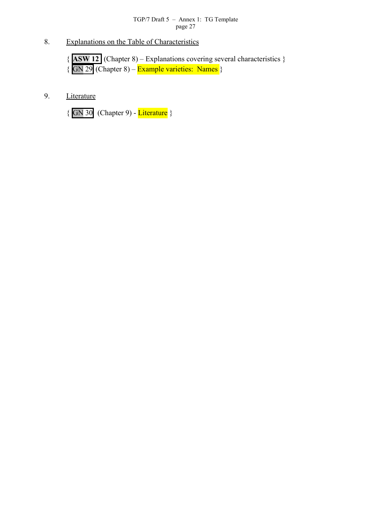<span id="page-26-0"></span>8. Explanations on the Table of Characteristics

{ **ASW 12** (Chapter 8) – Explanations covering several characteristics }  $\{$  GN 29 (Chapter 8) – Example varieties: Names  $\}$ 

9. Literature

 $\{$  GN 30 (Chapter 9) - Literature }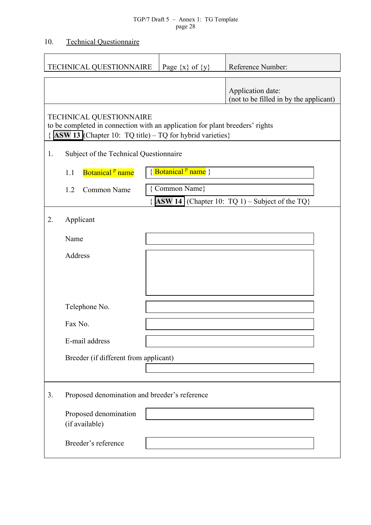## <span id="page-27-0"></span>10. Technical Questionnaire

|                                                                                                                                                                            | <b>TECHNICAL QUESTIONNAIRE</b>                | Page $\{x\}$ of $\{y\}$       | Reference Number:                                               |  |  |  |  |
|----------------------------------------------------------------------------------------------------------------------------------------------------------------------------|-----------------------------------------------|-------------------------------|-----------------------------------------------------------------|--|--|--|--|
|                                                                                                                                                                            |                                               |                               | Application date:<br>(not to be filled in by the applicant)     |  |  |  |  |
| TECHNICAL QUESTIONNAIRE<br>to be completed in connection with an application for plant breeders' rights<br><b>ASW 13</b> (Chapter 10: TQ title) – TQ for hybrid varieties) |                                               |                               |                                                                 |  |  |  |  |
| 1.                                                                                                                                                                         | Subject of the Technical Questionnaire        |                               |                                                                 |  |  |  |  |
|                                                                                                                                                                            | Botanical <sup>p</sup> name<br>1.1            | {Botanical <sup>p</sup> name} |                                                                 |  |  |  |  |
|                                                                                                                                                                            | 1.2<br>Common Name                            | { Common Name}                | $\left\{\right.$ ASW 14 (Chapter 10: TQ 1) – Subject of the TQ} |  |  |  |  |
| 2.                                                                                                                                                                         | Applicant                                     |                               |                                                                 |  |  |  |  |
|                                                                                                                                                                            | Name                                          |                               |                                                                 |  |  |  |  |
|                                                                                                                                                                            | Address                                       |                               |                                                                 |  |  |  |  |
|                                                                                                                                                                            |                                               |                               |                                                                 |  |  |  |  |
|                                                                                                                                                                            |                                               |                               |                                                                 |  |  |  |  |
|                                                                                                                                                                            | Telephone No.                                 |                               |                                                                 |  |  |  |  |
|                                                                                                                                                                            | Fax No.                                       |                               |                                                                 |  |  |  |  |
|                                                                                                                                                                            | E-mail address                                |                               |                                                                 |  |  |  |  |
|                                                                                                                                                                            | Breeder (if different from applicant)         |                               |                                                                 |  |  |  |  |
|                                                                                                                                                                            |                                               |                               |                                                                 |  |  |  |  |
| 3.                                                                                                                                                                         | Proposed denomination and breeder's reference |                               |                                                                 |  |  |  |  |
|                                                                                                                                                                            | Proposed denomination<br>(if available)       |                               |                                                                 |  |  |  |  |
|                                                                                                                                                                            | Breeder's reference                           |                               |                                                                 |  |  |  |  |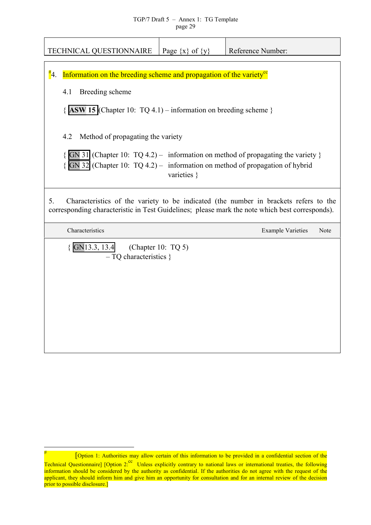<span id="page-28-0"></span>

| <b>TECHNICAL QUESTIONNAIRE</b>                                                                                                                                                               | Page $\{x\}$ of $\{y\}$ | Reference Number:        |      |  |  |  |  |  |  |
|----------------------------------------------------------------------------------------------------------------------------------------------------------------------------------------------|-------------------------|--------------------------|------|--|--|--|--|--|--|
| $\frac{\#}{4}$ .<br>Information on the breeding scheme and propagation of the variety <sup>ce</sup>                                                                                          |                         |                          |      |  |  |  |  |  |  |
| Breeding scheme<br>4.1                                                                                                                                                                       |                         |                          |      |  |  |  |  |  |  |
| $\{$ ASW 15 (Chapter 10: TQ 4.1) – information on breeding scheme }                                                                                                                          |                         |                          |      |  |  |  |  |  |  |
| Method of propagating the variety<br>4.2                                                                                                                                                     |                         |                          |      |  |  |  |  |  |  |
| GN 31 (Chapter 10: $TQ$ 4.2) – information on method of propagating the variety }<br>$\overline{GN}$ 32 (Chapter 10: TQ 4.2) – information on method of propagation of hybrid                | varieties }             |                          |      |  |  |  |  |  |  |
| Characteristics of the variety to be indicated (the number in brackets refers to the<br>5.<br>corresponding characteristic in Test Guidelines; please mark the note which best corresponds). |                         |                          |      |  |  |  |  |  |  |
| Characteristics                                                                                                                                                                              |                         | <b>Example Varieties</b> | Note |  |  |  |  |  |  |
| $\{GN13.3, 13.4\}$<br>$-TO$ characteristics $\}$                                                                                                                                             | (Chapter 10: $TQ_5$ )   |                          |      |  |  |  |  |  |  |
|                                                                                                                                                                                              |                         |                          |      |  |  |  |  |  |  |

 $\overline{a}$ 

<sup># [</sup>Option 1: Authorities may allow certain of this information to be provided in a confidential section of the Technical Questionnaire] [Option 2:<sup>cc</sup> Unless explicitly contrary to national laws or international treaties, the following information should be considered by the authority as confidential. If the authorities do not agree with the request of the applicant, they should inform him and give him an opportunity for consultation and for an internal review of the decision prior to possible disclosure.]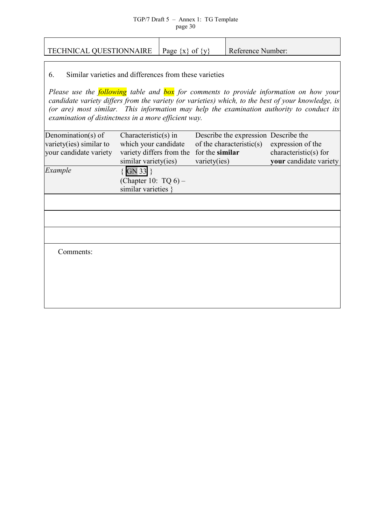| <b>TECHNICAL QUESTIONNAIRE</b>                                                                                       |                                                                                                                                                                       | Page $\{x\}$ of $\{y\}$ |                                 | Reference Number:                                                |                                                                                                                                                                                                                                                                                                         |
|----------------------------------------------------------------------------------------------------------------------|-----------------------------------------------------------------------------------------------------------------------------------------------------------------------|-------------------------|---------------------------------|------------------------------------------------------------------|---------------------------------------------------------------------------------------------------------------------------------------------------------------------------------------------------------------------------------------------------------------------------------------------------------|
| Similar varieties and differences from these varieties<br>6.<br>examination of distinctness in a more efficient way. |                                                                                                                                                                       |                         |                                 |                                                                  | Please use the <b>following</b> table and <b>box</b> for comments to provide information on how your<br>candidate variety differs from the variety (or varieties) which, to the best of your knowledge, is<br>(or are) most similar. This information may help the examination authority to conduct its |
| Denomination(s) of<br>variety(ies) similar to<br>your candidate variety<br>Example                                   | Characteristic $(s)$ in<br>which your candidate<br>variety differs from the<br>similar variety(ies)<br>$\{$ GN 33 }<br>(Chapter 10: $TQ_6$ ) –<br>similar varieties } |                         | for the similar<br>variety(ies) | Describe the expression Describe the<br>of the characteristic(s) | expression of the<br>characteristic( $s$ ) for<br>your candidate variety                                                                                                                                                                                                                                |
| Comments:                                                                                                            |                                                                                                                                                                       |                         |                                 |                                                                  |                                                                                                                                                                                                                                                                                                         |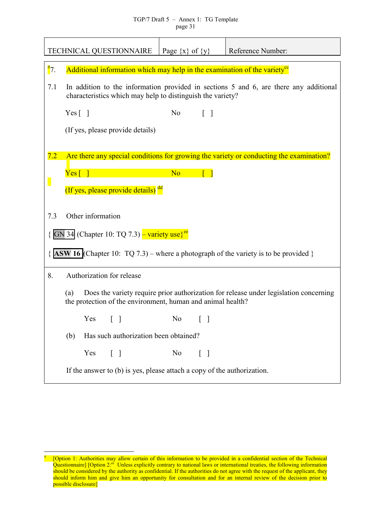|                  |                                                                                                                                                             |                   | TECHNICAL QUESTIONNAIRE                                                 | Page $\{x\}$ of $\{y\}$ |                                   | Reference Number:                                                                          |  |  |
|------------------|-------------------------------------------------------------------------------------------------------------------------------------------------------------|-------------------|-------------------------------------------------------------------------|-------------------------|-----------------------------------|--------------------------------------------------------------------------------------------|--|--|
| $\frac{\#}{7}$ . | Additional information which may help in the examination of the variety <sup>ce</sup>                                                                       |                   |                                                                         |                         |                                   |                                                                                            |  |  |
| 7.1              |                                                                                                                                                             |                   | characteristics which may help to distinguish the variety?              |                         |                                   | In addition to the information provided in sections 5 and 6, are there any additional      |  |  |
|                  | Yes $\lceil \; \rceil$                                                                                                                                      |                   |                                                                         | N <sub>0</sub>          | $\lceil \rceil$                   |                                                                                            |  |  |
|                  |                                                                                                                                                             |                   | (If yes, please provide details)                                        |                         |                                   |                                                                                            |  |  |
|                  |                                                                                                                                                             |                   |                                                                         |                         |                                   |                                                                                            |  |  |
| 7.2              |                                                                                                                                                             |                   |                                                                         |                         |                                   | Are there any special conditions for growing the variety or conducting the examination?    |  |  |
|                  | $Yes \lceil \rceil$                                                                                                                                         |                   |                                                                         | N <sub>o</sub>          |                                   |                                                                                            |  |  |
|                  |                                                                                                                                                             |                   | (If yes, please provide details) dd                                     |                         |                                   |                                                                                            |  |  |
| 7.3              |                                                                                                                                                             | Other information |                                                                         |                         |                                   |                                                                                            |  |  |
|                  |                                                                                                                                                             |                   | GN 34 (Chapter 10: TQ 7.3) – variety use $e^{ee}$                       |                         |                                   |                                                                                            |  |  |
|                  |                                                                                                                                                             |                   |                                                                         |                         |                                   | <b>ASW 16</b> (Chapter 10: TQ 7.3) – where a photograph of the variety is to be provided } |  |  |
| 8.               |                                                                                                                                                             |                   | Authorization for release                                               |                         |                                   |                                                                                            |  |  |
|                  | Does the variety require prior authorization for release under legislation concerning<br>(a)<br>the protection of the environment, human and animal health? |                   |                                                                         |                         |                                   |                                                                                            |  |  |
|                  |                                                                                                                                                             | Yes               |                                                                         | N <sub>o</sub>          |                                   |                                                                                            |  |  |
|                  | (b)                                                                                                                                                         |                   | Has such authorization been obtained?                                   |                         |                                   |                                                                                            |  |  |
|                  |                                                                                                                                                             | Yes               | $\lceil \ \rceil$                                                       | N <sub>0</sub>          | $\begin{bmatrix} 1 \end{bmatrix}$ |                                                                                            |  |  |
|                  |                                                                                                                                                             |                   | If the answer to (b) is yes, please attach a copy of the authorization. |                         |                                   |                                                                                            |  |  |

 $\overline{a}$ 

<sup>&</sup>lt;sup>#</sup> [Option 1: Authorities may allow certain of this information to be provided in a confidential section of the Technical Questionnaire] [Option 2: $c^c$  Unless explicitly contrary to national laws or international treaties, the following information should be considered by the authority as confidential. If the authorities do not agree with the request of the applicant, they should inform him and give him an opportunity for consultation and for an internal review of the decision prior to possible disclosure]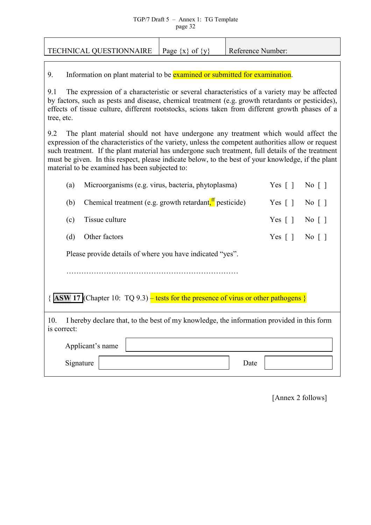| TECHNICAL QUESTIONNAIRE                                                    | Page $\{x\}$ of $\{y\}$ | Reference Number: |
|----------------------------------------------------------------------------|-------------------------|-------------------|
| Information on plant material to be examined or submitted for examination. |                         |                   |

9.1 The expression of a characteristic or several characteristics of a variety may be affected by factors, such as pests and disease, chemical treatment (e.g. growth retardants or pesticides), effects of tissue culture, different rootstocks, scions taken from different growth phases of a tree, etc.

9.2 The plant material should not have undergone any treatment which would affect the expression of the characteristics of the variety, unless the competent authorities allow or request such treatment. If the plant material has undergone such treatment, full details of the treatment must be given. In this respect, please indicate below, to the best of your knowledge, if the plant material to be examined has been subjected to:

|                    | (a)                                                                                        | Microorganisms (e.g. virus, bacteria, phytoplasma)                                        | Yes $\lceil \; \rceil$ | $\mathrm{No}$ $\lceil \; \rceil$  |  |  |  |  |  |
|--------------------|--------------------------------------------------------------------------------------------|-------------------------------------------------------------------------------------------|------------------------|-----------------------------------|--|--|--|--|--|
|                    | (b)                                                                                        | Chemical treatment (e.g. growth retardant, $\frac{H}{I}$ pesticide)                       | Yes $\lceil \; \rceil$ | $\overline{N_0}$                  |  |  |  |  |  |
|                    | (c)                                                                                        | Tissue culture                                                                            | Yes $\lceil \; \rceil$ | $\overline{N_0}$   $\overline{)}$ |  |  |  |  |  |
|                    | (d)                                                                                        | Other factors                                                                             | Yes $\lceil \rceil$    | $\overline{N_0}$                  |  |  |  |  |  |
|                    |                                                                                            | Please provide details of where you have indicated "yes".                                 |                        |                                   |  |  |  |  |  |
|                    |                                                                                            |                                                                                           |                        |                                   |  |  |  |  |  |
|                    | $\{$ ASW 17 (Chapter 10: TQ 9.3) – tests for the presence of virus or other pathogens $\}$ |                                                                                           |                        |                                   |  |  |  |  |  |
| 10.<br>is correct: |                                                                                            | I hereby declare that, to the best of my knowledge, the information provided in this form |                        |                                   |  |  |  |  |  |
|                    |                                                                                            | Applicant's name                                                                          |                        |                                   |  |  |  |  |  |
|                    | Signature                                                                                  | Date                                                                                      |                        |                                   |  |  |  |  |  |

[Annex 2 follows]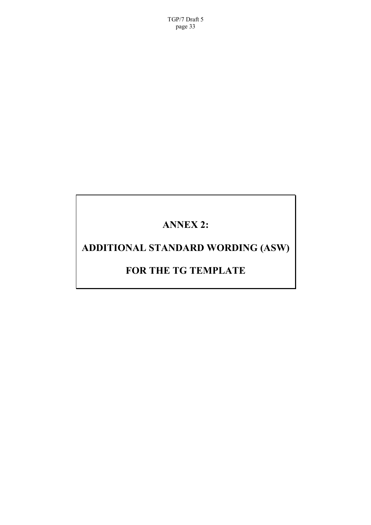<span id="page-32-0"></span>TGP/7 Draft 5 page 33

# **ANNEX 2:**

# **ADDITIONAL STANDARD WORDING (ASW)**

## **FOR THE TG TEMPLATE**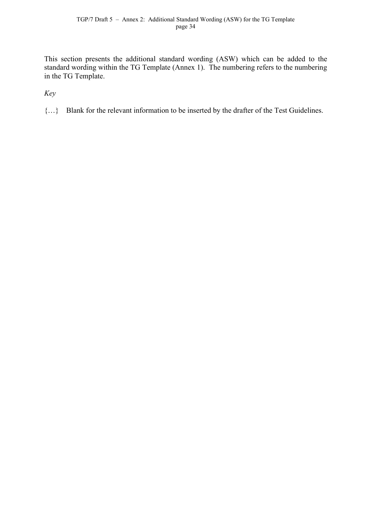This section presents the additional standard wording (ASW) which can be added to the standard wording within the TG Template (Annex 1). The numbering refers to the numbering in the TG Template.

*Key*

{…} Blank for the relevant information to be inserted by the drafter of the Test Guidelines.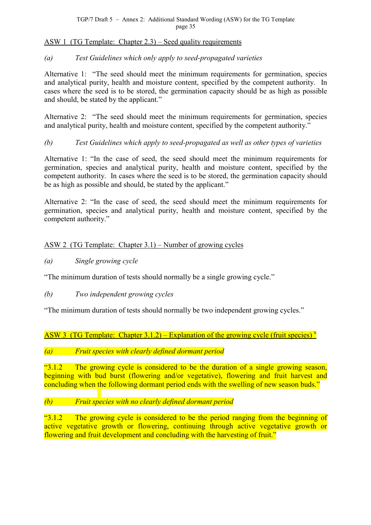### <span id="page-34-0"></span>ASW 1 (TG Template: Chapter 2.3) – Seed quality requirements

#### *(a) Test Guidelines which only apply to seed-propagated varieties*

Alternative 1: "The seed should meet the minimum requirements for germination, species and analytical purity, health and moisture content, specified by the competent authority. In cases where the seed is to be stored, the germination capacity should be as high as possible and should, be stated by the applicant."

Alternative 2: "The seed should meet the minimum requirements for germination, species and analytical purity, health and moisture content, specified by the competent authority."

## *(b) Test Guidelines which apply to seed-propagated as well as other types of varieties*

Alternative 1: "In the case of seed, the seed should meet the minimum requirements for germination, species and analytical purity, health and moisture content, specified by the competent authority. In cases where the seed is to be stored, the germination capacity should be as high as possible and should, be stated by the applicant."

Alternative 2: "In the case of seed, the seed should meet the minimum requirements for germination, species and analytical purity, health and moisture content, specified by the competent authority."

## ASW 2 (TG Template: Chapter 3.1) – Number of growing cycles

*(a) Single growing cycle*

"The minimum duration of tests should normally be a single growing cycle."

*(b) Two independent growing cycles*

"The minimum duration of tests should normally be two independent growing cycles."

ASW 3 (TG Template: Chapter 3.1.2) – Explanation of the growing cycle (fruit species)<sup>x</sup>

#### *(a) Fruit species with clearly defined dormant period*

"3.1.2 The growing cycle is considered to be the duration of a single growing season, beginning with bud burst (flowering and/or vegetative), flowering and fruit harvest and concluding when the following dormant period ends with the swelling of new season buds."

## *(b) Fruit species with no clearly defined dormant period*

 $\frac{1}{2}$  The growing cycle is considered to be the period ranging from the beginning of active vegetative growth or flowering, continuing through active vegetative growth or flowering and fruit development and concluding with the harvesting of fruit."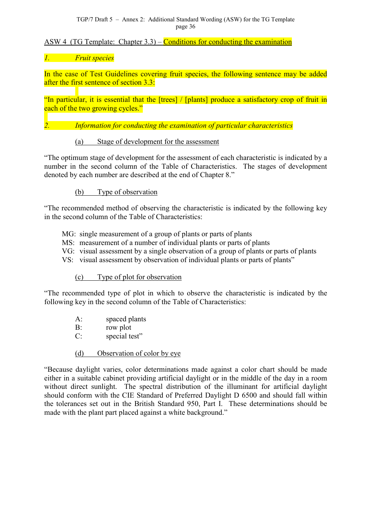#### TGP/7 Draft 5 – Annex 2: Additional Standard Wording (ASW) for the TG Template page 36

### <span id="page-35-0"></span>ASW 4 (TG Template: Chapter  $3.3$ ) – Conditions for conducting the examination

### *1. Fruit species*

In the case of Test Guidelines covering fruit species, the following sentence may be added after the first sentence of section 3.3:

"In particular, it is essential that the [trees] / [plants] produce a satisfactory crop of fruit in each of the two growing cycles."

*2. Information for conducting the examination of particular characteristics*

#### (a) Stage of development for the assessment

"The optimum stage of development for the assessment of each characteristic is indicated by a number in the second column of the Table of Characteristics. The stages of development denoted by each number are described at the end of Chapter 8."

#### (b) Type of observation

"The recommended method of observing the characteristic is indicated by the following key in the second column of the Table of Characteristics:

- MG: single measurement of a group of plants or parts of plants
- MS: measurement of a number of individual plants or parts of plants
- VG: visual assessment by a single observation of a group of plants or parts of plants
- VS: visual assessment by observation of individual plants or parts of plants"

#### (c) Type of plot for observation

"The recommended type of plot in which to observe the characteristic is indicated by the following key in the second column of the Table of Characteristics:

- A: spaced plants
- B: row plot
- C: special test"

#### (d) Observation of color by eye

"Because daylight varies, color determinations made against a color chart should be made either in a suitable cabinet providing artificial daylight or in the middle of the day in a room without direct sunlight. The spectral distribution of the illuminant for artificial daylight should conform with the CIE Standard of Preferred Daylight D 6500 and should fall within the tolerances set out in the British Standard 950, Part I. These determinations should be made with the plant part placed against a white background."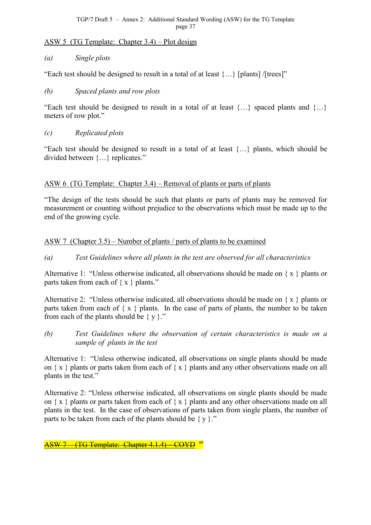TGP/7 Draft 5 – Annex 2: Additional Standard Wording (ASW) for the TG Template page 37

#### ASW 5 (TG Template: Chapter 3.4) – Plot design

#### *(a) Single plots*

"Each test should be designed to result in a total of at least  $\{...\}$  [plants] /[trees]"

## *(b) Spaced plants and row plots*

"Each test should be designed to result in a total of at least  $\{...\}$  spaced plants and  $\{...\}$ meters of row plot."

#### *(c) Replicated plots*

"Each test should be designed to result in a total of at least {…} plants, which should be divided between {…} replicates."

#### ASW 6 (TG Template: Chapter 3.4) – Removal of plants or parts of plants

"The design of the tests should be such that plants or parts of plants may be removed for measurement or counting without prejudice to the observations which must be made up to the end of the growing cycle.

#### ASW 7 (Chapter 3.5) – Number of plants / parts of plants to be examined

*(a) Test Guidelines where all plants in the test are observed for all characteristics*

Alternative 1: "Unless otherwise indicated, all observations should be made on  $\{x\}$  plants or parts taken from each of  $\{x \}$  plants."

Alternative 2: "Unless otherwise indicated, all observations should be made on  $\{x \}$  plants or parts taken from each of  $\{x \}$  plants. In the case of parts of plants, the number to be taken from each of the plants should be  $\{y\}$ ."

*(b) Test Guidelines where the observation of certain characteristics is made on a sample of plants in the test*

Alternative 1: "Unless otherwise indicated, all observations on single plants should be made on  $\{x\}$  plants or parts taken from each of  $\{x\}$  plants and any other observations made on all plants in the test."

Alternative 2: "Unless otherwise indicated, all observations on single plants should be made on  $\{x\}$  plants or parts taken from each of  $\{x\}$  plants and any other observations made on all plants in the test. In the case of observations of parts taken from single plants, the number of parts to be taken from each of the plants should be  $\{y\}$ ."

ASW 7 (TG Template: Chapter 4.1.4) – COYD aa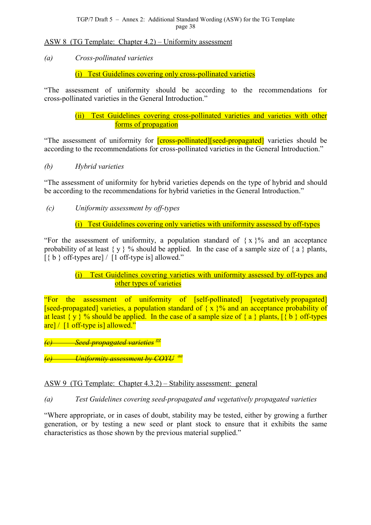## ASW 8 (TG Template: Chapter 4.2) – Uniformity assessment

*(a) Cross-pollinated varieties*

(i) Test Guidelines covering only cross-pollinated varieties

"The assessment of uniformity should be according to the recommendations for cross-pollinated varieties in the General Introduction."

> (ii) Test Guidelines covering cross-pollinated varieties and varieties with other forms of propagation

"The assessment of uniformity for **[cross-pollinated]** seed-propagated] varieties should be according to the recommendations for cross-pollinated varieties in the General Introduction."

*(b) Hybrid varieties*

"The assessment of uniformity for hybrid varieties depends on the type of hybrid and should be according to the recommendations for hybrid varieties in the General Introduction."

 *(c) Uniformity assessment by off-types*

(i) Test Guidelines covering only varieties with uniformity assessed by off-types

"For the assessment of uniformity, a population standard of  $\{x\}$ % and an acceptance probability of at least  $\{y\}$  % should be applied. In the case of a sample size of  $\{a\}$  plants,  $\lceil \{\mathbf{b}\}\rangle$  off-types are  $\lceil \mathbf{b}\rceil$  off-type is allowed."

# (i) Test Guidelines covering varieties with uniformity assessed by off-types and other types of varieties

"For the assessment of uniformity of [self-pollinated] [vegetatively propagated] [seed-propagated] varieties, a population standard of  $\{x\}$ % and an acceptance probability of at least  $\{y\}$  % should be applied. In the case of a sample size of  $\{a\}$  plants,  $\{\{b\}$  off-types are] / [1 off-type is] allowed."

*(c) Seed-propagated varieties gg*

*(e) Uniformity assessment by [CO](#page-81-0)YU aa*

# ASW 9 (TG Template: Chapter 4.3.2) – St[abil](#page-23-0)ity assessment: general

*(a) Test Guidelines covering seed-propagated and vegetatively propagated varieties*

"Where appropriate, or in cases of doubt, stability may be tested, either by growing a further generation, or by testing a new seed or plant stock to ensure that it exhibits the same characteristics as those shown by the previous material supplied."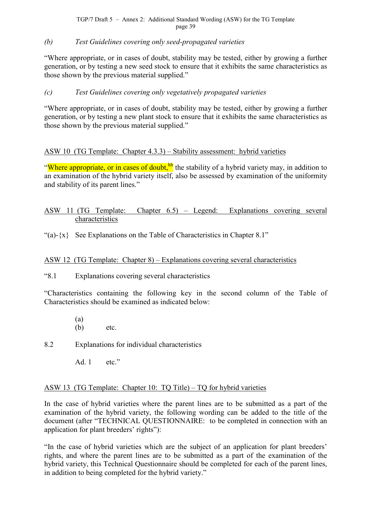TGP/7 Draft 5 – Annex 2: Additional Standard Wording (ASW) for the TG Template page 39

#### *(b) Test Guidelines covering only seed-propagated varieties*

"Where appropriate, or in cases of doubt, stability may be tested, either by growing a further generation, or by testing a new seed stock to ensure that it exhibits the same characteristics as those shown by the previous material supplied."

#### *(c) Test Guidelines covering only vegetatively propagated varieties*

"Where appropriate, or in cases of doubt, stability may be tested, either by growing a further generation, or by testing a new plant stock to ensure that it exhibits the same characteristics as those shown by the previous material supplied."

## ASW 10 (TG Template: Chapter 4.3.3) – Stability assessment: hybrid varieties

"Where appropriate, or in cases of doubt, <sup>hh</sup> the stability of a hybrid variety may, in addition to an examination of the hybrid variety itse[lf,](#page-81-0) also be assessed by examination of the uniformity and stability of its parent lines."

# ASW 11 (TG Template: Chapter 6.5) – Legend: Explanations covering several characteristics

"(a)- $\{x\}$  See Explanations on the Table of Characteristics in Chapter 8.1"

#### ASW 12 (TG Template: Chapter 8) – Explanations covering several characteristics

"8.1 Explanations covering several characteristics

"Characteristics containing the following key in the second column of the Table of Characteristics should be examined as indicated below:

- (a) (b) etc.
- 8.2 Explanations for individual characteristics
	- Ad 1 etc."

#### ASW 13 (TG Template: Chapter 10: TQ Title) – TQ for hybrid varieties

In the case of hybrid varieties where the parent lines are to be submitted as a part of the examination of the hybrid variety, the following wording can be added to the title of the document (after "TECHNICAL QUESTIONNAIRE: to be completed in connection with an application for plant breeders' rights"):

"In the case of hybrid varieties which are the subject of an application for plant breeders' rights, and where the parent lines are to be submitted as a part of the examination of the hybrid variety, this Technical Questionnaire should be completed for each of the parent lines, in addition to being completed for the hybrid variety."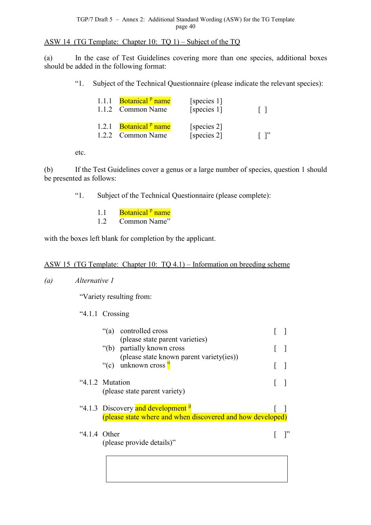ASW 14 (TG Template: Chapter 10: TQ 1) – Subject of the TQ

(a) In the case of Test Guidelines covering more than one species, additional boxes should be added in the following format:

"1. Subject of the Technical Questionnaire (please indicate the relevant species):

| 1.1.1 <b>Botanical</b> <sup>p</sup> name<br>1.1.2 Common Name | [species 1]<br>[species 1] | $\perp$ |
|---------------------------------------------------------------|----------------------------|---------|
| 1.2.1 Botanical <sup>P</sup> name<br>1.2.2 Common Name        | [species 2]<br>[species 2] |         |

etc.

(b) If the Test Guidelines cover a genus or a large number of species, question 1 should be presented as follows:

"1. Subject of the Technical Questionnaire (please complete):

- 1.1 Botanical<sup>p</sup> name
- 1.2 Common Name"

with the boxes left blank for compl[et](#page-13-0)ion by the applicant.

#### ASW 15 (TG Template: Chapter 10: TQ 4.1) – Information on breeding scheme

*(a) Alternative 1*

"Variety resulting from:

"4.1.1 Crossing

| "(a) controlled cross<br>(please state parent varieties)                                                      |  |
|---------------------------------------------------------------------------------------------------------------|--|
| "(b) partially known cross                                                                                    |  |
| (please state known parent variety(ies))<br>"(c) unknown cross $\frac{u}{x}$                                  |  |
| "4.1.2 Mutation<br>(please state parent variety)                                                              |  |
| "4.1.3 Discovery and development <sup> if</sup><br>(please state where and when discovered and how developed) |  |
| $4.1.4$ Other<br>(please provide details)"                                                                    |  |
|                                                                                                               |  |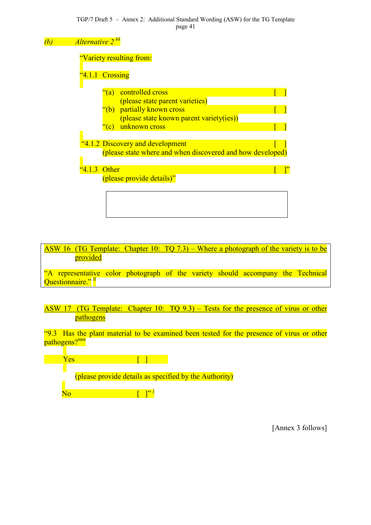



ASW 17 (TG Template: Chapter 10: TQ 9.3) – Tests for the presence of virus or other pathogens

"9.3 Has the plant material to be examined been tested for the presence of virus or other pathogens?<sup>mm</sup>



[Annex 3 follows]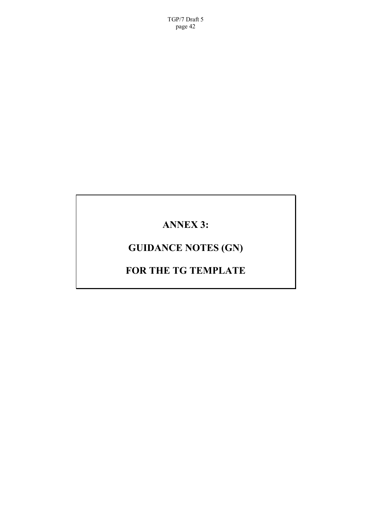TGP/7 Draft 5 page 42

# **ANNEX 3:**

# **GUIDANCE NOTES (GN)**

# **FOR THE TG TEMPLATE**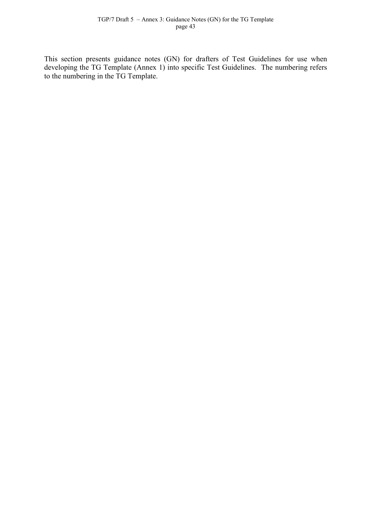This section presents guidance notes (GN) for drafters of Test Guidelines for use when developing the TG Template (Annex 1) into specific Test Guidelines. The numbering refers to the numbering in the TG Template.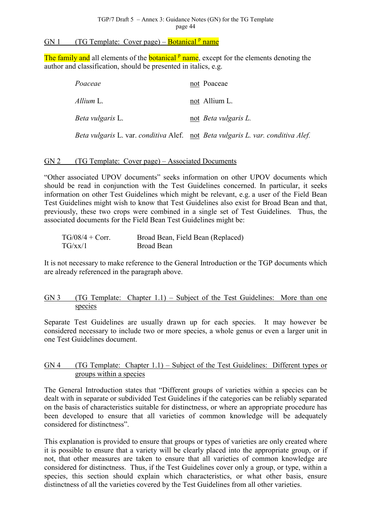# GN 1 (TG Template: Cover page) – **Botanical** <sup>p</sup> name

The family and all [e](#page-13-0)lements of the **botanical** <sup>p</sup> name, except for the elements denoting the author and classification, should be presented in italics, e.g.

| Poaceae                 | not Poaceae                                                                     |
|-------------------------|---------------------------------------------------------------------------------|
| Allium L.               | not Allium L.                                                                   |
| <i>Beta vulgaris L.</i> | not <i>Beta vulgaris L.</i>                                                     |
|                         | Beta vulgaris L. var. conditiva Alef. not Beta vulgaris L. var. conditiva Alef. |

#### GN 2 (TG Template: Cover page) – Associated Documents

"Other associated UPOV documents" seeks information on other UPOV documents which should be read in conjunction with the Test Guidelines concerned. In particular, it seeks information on other Test Guidelines which might be relevant, e.g. a user of the Field Bean Test Guidelines might wish to know that Test Guidelines also exist for Broad Bean and that, previously, these two crops were combined in a single set of Test Guidelines. Thus, the associated documents for the Field Bean Test Guidelines might be:

| $TG/08/4 + Corr$ . | Broad Bean, Field Bean (Replaced) |
|--------------------|-----------------------------------|
| TG/xx/1            | Broad Bean                        |

It is not necessary to make reference to the General Introduction or the TGP documents which are already referenced in the paragraph above.

## GN 3 (TG Template: Chapter 1.1) – Subject of the Test Guidelines: More than one species

Separate Test Guidelines are usually drawn up for each species. It may however be considered necessary to include two or more species, a whole genus or even a larger unit in one Test Guidelines document.

#### GN 4 (TG Template: Chapter 1.1) – Subject of the Test Guidelines: Different types or groups within a species

The General Introduction states that "Different groups of varieties within a species can be dealt with in separate or subdivided Test Guidelines if the categories can be reliably separated on the basis of characteristics suitable for distinctness, or where an appropriate procedure has been developed to ensure that all varieties of common knowledge will be adequately considered for distinctness".

This explanation is provided to ensure that groups or types of varieties are only created where it is possible to ensure that a variety will be clearly placed into the appropriate group, or if not, that other measures are taken to ensure that all varieties of common knowledge are considered for distinctness. Thus, if the Test Guidelines cover only a group, or type, within a species, this section should explain which characteristics, or what other basis, ensure distinctness of all the varieties covered by the Test Guidelines from all other varieties.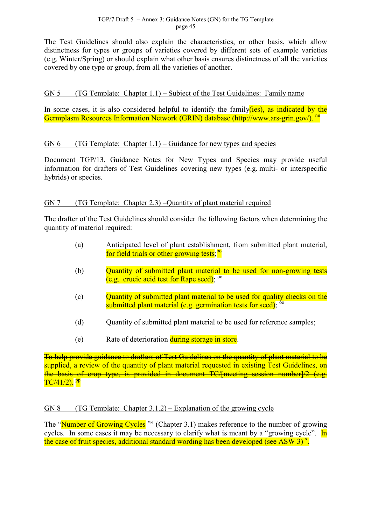<span id="page-44-0"></span>The Test Guidelines should also explain the characteristics, or other basis, which allow distinctness for types or groups of varieties covered by different sets of example varieties (e.g. Winter/Spring) or should explain what other basis ensures distinctness of all the varieties covered by one type or group, from all the varieties of another.

## GN 5 (TG Template: Chapter 1.1) – Subject of the Test Guidelines: Family name

In some cases, it is also considered helpful to identify the family  $(ies)$ , as indicated by the Germplasm Resources Information Network (GRIN) database (http://www.ars-grin.gov/). nn

# GN 6 (TG Template: Chapter 1.1) – Guidance for new types and species

Document TGP/13, Guidance Notes for New Types and Species may provide useful information for drafters of Test Guidelines covering new types (e.g. multi- or interspecific hybrids) or species.

#### GN 7 (TG Template: Chapter 2.3) –Quantity of plant material required

The drafter of the Test Guidelines should consider the following factors when determining the quantity of material required:

- (a) Anticipated level of plant establishment, from submitted plant material, for field trials or other growing tests;<sup>00</sup>
- (b) **Quantity of submitted plant materi[al t](#page-81-0)o be used for non-growing tests** (e.g. erucic acid test for Rape seed);  $\frac{00}{2}$
- (c) Quantity of submitted plant material to be used for quality checks on the submitted plant material (e.g. germination tests for seed); <sup>oo</sup>
- (d) Quantity of submitted plant material to be used for reference samples;
- (e) Rate of deterioration during storage in store.

To help provide guidance to drafters of Test Guidelines on the quantity of plant material to be supplied, a review of the quantity of plant material requested in existing Test Guidelines, on the basis of crop type, is provided in document TC/[meeting session number]/2 (e.g.  $TC/41/2$ ). Pp

## GN 8 (TG Template: Chapter  $3.1.2$ ) – Explanation of the growing cycle

The "Number of Growing Cycles<sup>"</sup>" (Chapter 3.1) makes reference to the number of growing cycles. In some cases it may be necessary to clarify what is meant by a "growing cycle". In the case of fruit species, additiona[l s](#page-21-0)tandard wording has been developed (see ASW 3)<sup>x</sup>.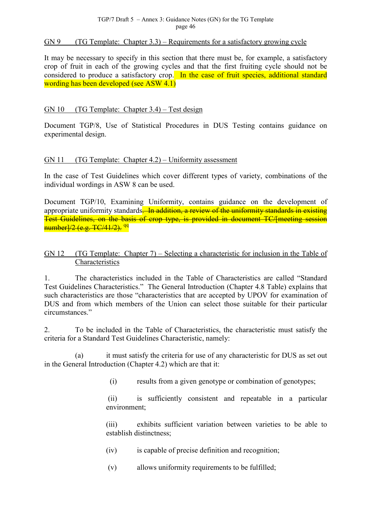#### $GN 9$  (TG Template: Chapter 3.3) – Requirements for a satisfactory growing cycle

It may be necessary to specify in this section that there must be, for example, a satisfactory crop of fruit in each of the growing cycles and that the first fruiting cycle should not be considered to produce a satisfactory crop. In the case of fruit species, additional standard wording has been developed (see ASW 4.1)

#### GN 10 (TG Template: Chapter 3.4) – Test design

Document TGP/8, Use of Statistical Procedures in DUS Testing contains guidance on experimental design.

#### GN 11 (TG Template: Chapter 4.2) – Uniformity assessment

In the case of Test Guidelines which cover different types of variety, combinations of the individual wordings in ASW 8 can be used.

Document TGP/10, Examining Uniformity, contains guidance on the development of appropriate uniformity standards—In addition, a review of the uniformity standards in existing Test Guidelines, on the basis of crop type, is provided in document TC/[meeting session number]/2 (e.g. TC/41/2). <sup>qq</sup>

#### GN 12 (TG Template: Chapter 7) – Selecting a characteristic for inclusion in the Table of **Characteristics**

1. The characteristics included in the Table of Characteristics are called "Standard Test Guidelines Characteristics." The General Introduction (Chapter 4.8 Table) explains that such characteristics are those "characteristics that are accepted by UPOV for examination of DUS and from which members of the Union can select those suitable for their particular circumstances."

2. To be included in the Table of Characteristics, the characteristic must satisfy the criteria for a Standard Test Guidelines Characteristic, namely:

(a) it must satisfy the criteria for use of any characteristic for DUS as set out in the General Introduction (Chapter 4.2) which are that it:

(i) results from a given genotype or combination of genotypes;

 (ii) is sufficiently consistent and repeatable in a particular environment;

(iii) exhibits sufficient variation between varieties to be able to establish distinctness;

- (iv) is capable of precise definition and recognition;
- (v) allows uniformity requirements to be fulfilled;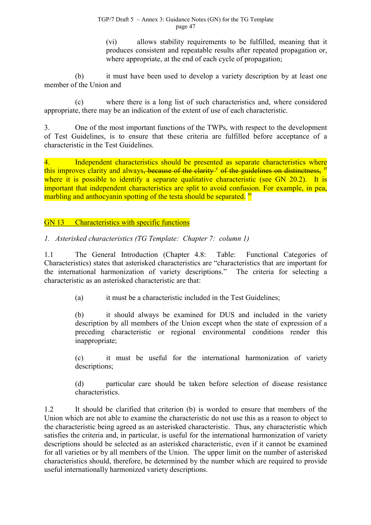(vi) allows stability requirements to be fulfilled, meaning that it produces consistent and repeatable results after repeated propagation or, where appropriate, at the end of each cycle of propagation;

<span id="page-46-0"></span>(b) it must have been used to develop a variety description by at least one member of the Union and

(c) where there is a long list of such characteristics and, where considered appropriate, there may be an indication of the extent of use of each characteristic.

3. One of the most important functions of the TWPs, with respect to the development of Test Guidelines, is to ensure that these criteria are fulfilled before acceptance of a characteristic in the Test Guidelines.

4. Independent characteristics should be presented as separate characteristics where this improves clarity and always<del>, because of the clarity <sup>c</sup> of the guidelines on distinctness,</del> <sup>rr</sup> where it is possible to identify a separate qualitative characteristic (see GN 20.2). It is important that independent characteristics are split to a[vo](#page-7-0)id confusion. For example, in pe[a,](#page-81-0) marbling and anthocyanin spotting of the testa should be separated.<sup>SS</sup>

GN 13 Characteristics with specific functions

*1. Asterisked characteristics (TG Template: Chapter 7: column 1)*

1.1 The General Introduction (Chapter 4.8: Table: Functional Categories of Characteristics) states that asterisked characteristics are "characteristics that are important for the international harmonization of variety descriptions." The criteria for selecting a characteristic as an asterisked characteristic are that:

(a) it must be a characteristic included in the Test Guidelines;

(b) it should always be examined for DUS and included in the variety description by all members of the Union except when the state of expression of a preceding characteristic or regional environmental conditions render this inappropriate;

(c) it must be useful for the international harmonization of variety descriptions;

(d) particular care should be taken before selection of disease resistance characteristics.

1.2 It should be clarified that criterion (b) is worded to ensure that members of the Union which are not able to examine the characteristic do not use this as a reason to object to the characteristic being agreed as an asterisked characteristic. Thus, any characteristic which satisfies the criteria and, in particular, is useful for the international harmonization of variety descriptions should be selected as an asterisked characteristic, even if it cannot be examined for all varieties or by all members of the Union. The upper limit on the number of asterisked characteristics should, therefore, be determined by the number which are required to provide useful internationally harmonized variety descriptions.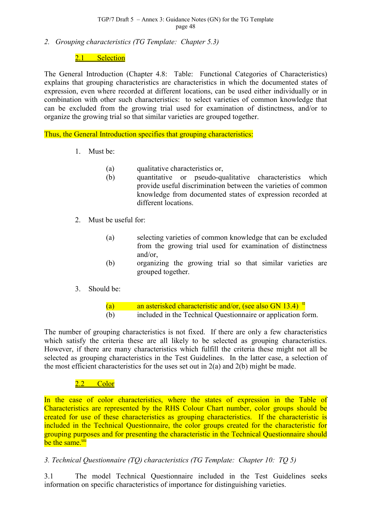*2. Grouping characteristics (TG Template: Chapter 5.3)*

#### 2.1 Selection

The General Introduction (Chapter 4.8: Table: Functional Categories of Characteristics) explains that grouping characteristics are characteristics in which the documented states of expression, even where recorded at different locations, can be used either individually or in combination with other such characteristics: to select varieties of common knowledge that can be excluded from the growing trial used for examination of distinctness, and/or to organize the growing trial so that similar varieties are grouped together.

Thus, the General Introduction specifies that grouping characteristics:

- 1. Must be:
	- (a) qualitative characteristics or,
	- (b) quantitative or pseudo-qualitative characteristics which provide useful discrimination between the varieties of common knowledge from documented states of expression recorded at different locations.
- 2. Must be useful for:
	- (a) selecting varieties of common knowledge that can be excluded from the growing trial used for examination of distinctness and/or,
	- (b) organizing the growing trial so that similar varieties are grouped together.
- 3. Should be:
	- (a) an asterisked characteristic and/or, (see also GN 13.4)  $^{\text{tt}}$ (b) included in the Technical Questionnaire or application [fo](#page-81-0)rm.

The number of grouping characteristics is not fixed. If there are only a few characteristics which satisfy the criteria these are all likely to be selected as grouping characteristics. However, if there are many characteristics which fulfill the criteria these might not all be selected as grouping characteristics in the Test Guidelines. In the latter case, a selection of the most efficient characteristics for the uses set out in 2(a) and 2(b) might be made.

## 2.2 Color

In the case of color characteristics, where the states of expression in the Table of Characteristics are represented by the RHS Colour Chart number, color groups should be created for use of these characteristics as grouping characteristics. If the characteristic is included in the Technical Questionnaire, the color groups created for the characteristic for grouping purposes and for presenting the characteristic in the Technical Questionnaire should be the same.<sup>uu</sup>

## *3. Technical [Q](#page-81-0)uestionnaire (TQ) characteristics (TG Template: Chapter 10: TQ 5)*

3.1 The model Technical Questionnaire included in the Test Guidelines seeks information on specific characteristics of importance for distinguishing varieties.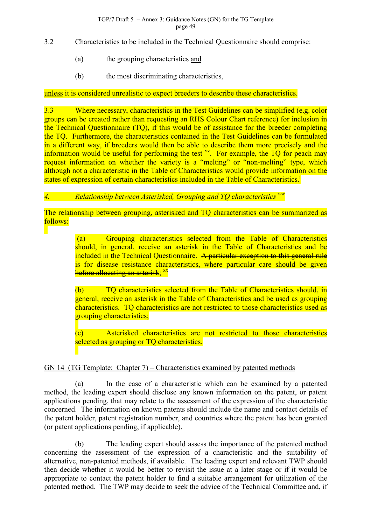- 3.2 Characteristics to be included in the Technical Questionnaire should comprise:
	- (a) the grouping characteristics and
	- (b) the most discriminating characteristics,

#### unless it is considered unrealistic to expect breeders to describe these characteristics.

3.3 Where necessary, characteristics in the Test Guidelines can be simplified (e.g. color groups can be created rather than requesting an RHS Colour Chart reference) for inclusion in the Technical Questionnaire (TQ), if this would be of assistance for the breeder completing the TQ. Furthermore, the characteristics contained in the Test Guidelines can be formulated in a different way, if breeders would then be able to describe them more precisely and the information would be useful for performing the test  $W$ . For example, the  $\overline{IQ}$  for peach may request information on whether the variety is a "melting" or "non-melting" type, which although not a characteristic in the Table of Charact[eris](#page-81-0)tics would provide information on the states of expression of certain characteristics included in the Table of Characteristics.<sup>j</sup>

#### *4. Relationship between Asterisked, Grouping and TQ characteristics ww*

The relationship between grouping, asterisked and TQ characteristics can b[e su](#page-81-0)mmarized as follows:

> (a) Grouping characteristics selected from the Table of Characteristics should, in general, receive an asterisk in the Table of Characteristics and be included in the Technical Questionnaire. A particular exception to this general rule is for disease resistance characteristics, where particular care should be given before allocating an asterisk: <sup>xx</sup>

> (b) TQ characteristics [se](#page-81-0)lected from the Table of Characteristics should, in general, receive an asterisk in the Table of Characteristics and be used as grouping characteristics. TQ characteristics are not restricted to those characteristics used as grouping characteristics;

> (c) Asterisked characteristics are not restricted to those characteristics selected as grouping or TQ characteristics.

#### GN 14 (TG Template: Chapter 7) – Characteristics examined by patented methods

(a) In the case of a characteristic which can be examined by a patented method, the leading expert should disclose any known information on the patent, or patent applications pending, that may relate to the assessment of the expression of the characteristic concerned. The information on known patents should include the name and contact details of the patent holder, patent registration number, and countries where the patent has been granted (or patent applications pending, if applicable).

(b) The leading expert should assess the importance of the patented method concerning the assessment of the expression of a characteristic and the suitability of alternative, non-patented methods, if available. The leading expert and relevant TWP should then decide whether it would be better to revisit the issue at a later stage or if it would be appropriate to contact the patent holder to find a suitable arrangement for utilization of the patented method. The TWP may decide to seek the advice of the Technical Committee and, if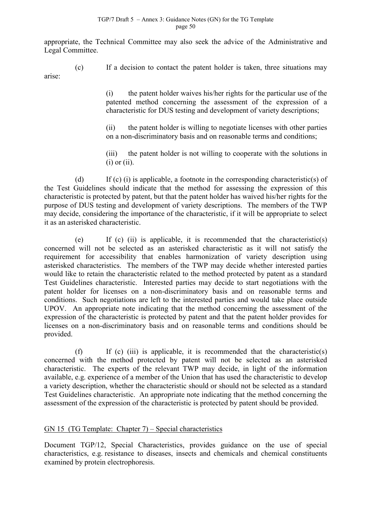appropriate, the Technical Committee may also seek the advice of the Administrative and Legal Committee.

(c) If a decision to contact the patent holder is taken, three situations may arise:

> (i) the patent holder waives his/her rights for the particular use of the patented method concerning the assessment of the expression of a characteristic for DUS testing and development of variety descriptions;

> (ii) the patent holder is willing to negotiate licenses with other parties on a non-discriminatory basis and on reasonable terms and conditions;

> (iii) the patent holder is not willing to cooperate with the solutions in  $(i)$  or  $(ii)$ .

(d) If (c) (i) is applicable, a footnote in the corresponding characteristic(s) of the Test Guidelines should indicate that the method for assessing the expression of this characteristic is protected by patent, but that the patent holder has waived his/her rights for the purpose of DUS testing and development of variety descriptions. The members of the TWP may decide, considering the importance of the characteristic, if it will be appropriate to select it as an asterisked characteristic.

(e) If (c) (ii) is applicable, it is recommended that the characteristic(s) concerned will not be selected as an asterisked characteristic as it will not satisfy the requirement for accessibility that enables harmonization of variety description using asterisked characteristics. The members of the TWP may decide whether interested parties would like to retain the characteristic related to the method protected by patent as a standard Test Guidelines characteristic. Interested parties may decide to start negotiations with the patent holder for licenses on a non-discriminatory basis and on reasonable terms and conditions. Such negotiations are left to the interested parties and would take place outside UPOV. An appropriate note indicating that the method concerning the assessment of the expression of the characteristic is protected by patent and that the patent holder provides for licenses on a non-discriminatory basis and on reasonable terms and conditions should be provided.

(f) If (c) (iii) is applicable, it is recommended that the characteristic(s) concerned with the method protected by patent will not be selected as an asterisked characteristic. The experts of the relevant TWP may decide, in light of the information available, e.g. experience of a member of the Union that has used the characteristic to develop a variety description, whether the characteristic should or should not be selected as a standard Test Guidelines characteristic. An appropriate note indicating that the method concerning the assessment of the expression of the characteristic is protected by patent should be provided.

## GN 15 (TG Template: Chapter 7) – Special characteristics

Document TGP/12, Special Characteristics, provides guidance on the use of special characteristics, e.g. resistance to diseases, insects and chemicals and chemical constituents examined by protein electrophoresis.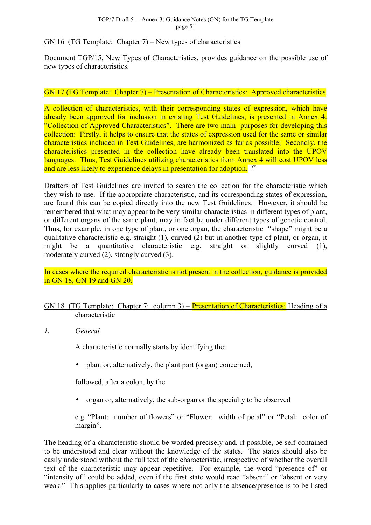#### GN 16 (TG Template: Chapter  $\overline{7}$ ) – New types of characteristics

Document TGP/15, New Types of Characteristics, provides guidance on the possible use of new types of characteristics.

#### GN 17 (TG Template: Chapter 7) – Presentation of Characteristics: Approved characteristics

A collection of characteristics, with their corresponding states of expression, which have already been approved for inclusion in existing Test Guidelines, is presented in Annex 4: "Collection of Approved Characteristics". There are two main purposes for developing this collection: Firstly, it helps to ensure that the states of expression used for the same or similar characteristics included in Test Guidelines, are harmonized as far as possible; Secondly, the characteristics presented in the collection have already been translated into the UPOV languages. Thus, Test Guidelines utilizing characteristics from Annex 4 will cost UPOV less and are less likely to experience delays in presentation for adoption. <sup>yy</sup>

Drafters of Test Guidelines are invited to search the collection for [th](#page-81-0)e characteristic which they wish to use. If the appropriate characteristic, and its corresponding states of expression, are found this can be copied directly into the new Test Guidelines. However, it should be remembered that what may appear to be very similar characteristics in different types of plant, or different organs of the same plant, may in fact be under different types of genetic control. Thus, for example, in one type of plant, or one organ, the characteristic "shape" might be a qualitative characteristic e.g. straight (1), curved (2) but in another type of plant, or organ, it might be a quantitative characteristic e.g. straight or slightly curved (1), moderately curved (2), strongly curved (3).

In cases where the required characteristic is not present in the collection, guidance is provided in GN 18, GN 19 and GN 20.

## GN 18 (TG Template: Chapter 7: column 3) – Presentation of Characteristics: Heading of a characteristic

*1. General*

A characteristic normally starts by identifying the:

• plant or, alternatively, the plant part (organ) concerned,

followed, after a colon, by the

• organ or, alternatively, the sub-organ or the specialty to be observed

e.g. "Plant: number of flowers" or "Flower: width of petal" or "Petal: color of margin".

The heading of a characteristic should be worded precisely and, if possible, be self-contained to be understood and clear without the knowledge of the states. The states should also be easily understood without the full text of the characteristic, irrespective of whether the overall text of the characteristic may appear repetitive. For example, the word "presence of" or "intensity of" could be added, even if the first state would read "absent" or "absent or very weak." This applies particularly to cases where not only the absence/presence is to be listed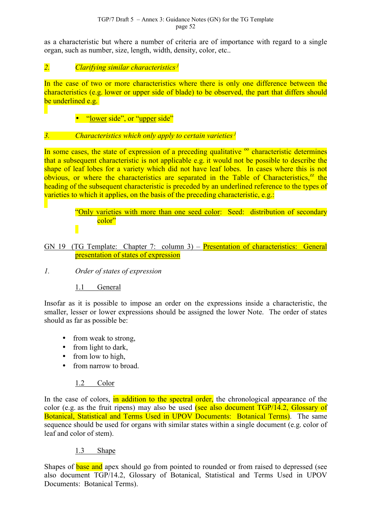as a characteristic but where a number of criteria are of importance with regard to a single organ, such as number, size, length, width, density, color, etc..

*2. Clarifying similar characteristics j*

In the case of two or more characteristics [w](#page-11-0)here there is only one difference between the characteristics (e.g. lower or upper side of blade) to be observed, the part that differs should be underlined e.g.

• "lower side", or "upper side"

# *3. Characteristics which only apply to certain varieties j*

In some cases, the state of expression of a preceding qualitati[v](#page-11-0)e  $\degree$  characteristic determines that a subsequent characteristic is not applicable e.g. it would not be possible to describe the shape of leaf lobes for a variety which did not have leaf lobes. [In](#page-44-0) cases where this is not obvious, or where the characteristics are separated in the Table of Characteristics, $^{zz}$  the heading of the subsequent characteristic is preceded by an underlined reference to the ty[pe](#page-81-0)s of varieties to which it applies, on the basis of the preceding characteristic, e.g.:

> "Only varieties with more than one seed color: Seed: distribution of secondary color"

GN 19 (TG Template: Chapter 7: column 3) – Presentation of characteristics: General presentation of states of expression

## *1. Order of states of expression*

## 1.1 General

Insofar as it is possible to impose an order on the expressions inside a characteristic, the smaller, lesser or lower expressions should be assigned the lower Note. The order of states should as far as possible be:

- from weak to strong,
- from light to dark,
- from low to high,
- from narrow to broad.

## 1.2 Color

In the case of colors, in addition to the spectral order, the chronological appearance of the color (e.g. as the fruit ripens) may also be used (see also document  $TGP/14.2$ , Glossary of Botanical, Statistical and Terms Used in UPOV Documents: Botanical Terms). The same sequence should be used for organs with similar states within a single document (e.g. color of leaf and color of stem).

## 1.3 Shape

Shapes of **base and** apex should go from pointed to rounded or from raised to depressed (see also document TGP/14.2, Glossary of Botanical, Statistical and Terms Used in UPOV Documents: Botanical Terms).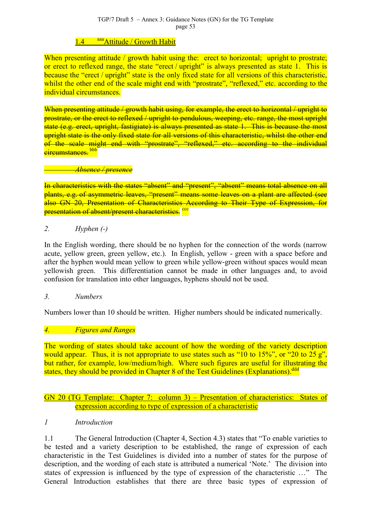# 1.4 aaa Attitude / Growth Habit

When presenting [att](#page-81-0)itude / growth habit using the: erect to horizontal; upright to prostrate; or erect to reflexed range, the state "erect / upright" is always presented as state 1. This is because the "erect / upright" state is the only fixed state for all versions of this characteristic. whilst the other end of the scale might end with "prostrate", "reflexed," etc. according to the individual circumstances.

When presenting attitude / growth habit using, for example, the erect to horizontal / upright to prostrate, or the erect to reflexed / upright to pendulous, weeping, etc. range, the most upright state (e.g. erect, upright, fastigiate) is always presented as state 1. This is because the most upright state is the only fixed state for all versions of this characteristic, whilst the other end of the scale might end with "prostrate", "reflexed," etc. according to the individual circumstances bbb

#### *Abse[nce](#page-81-0) / presence*

In characteristics with the states "absent" and "present", "absent" means total absence on all plants, e.g. of asymmetric leaves, "present" means some leaves on a plant are affected (see also GN 20, Presentation of Characteristics According to Their Type of Expression, for presentation of absent/present characteristics.<sup>ccc</sup>

## *2. Hyphen (-)*

In the English wording, there should be no hyphen for the connection of the words (narrow acute, yellow green, green yellow, etc.). In English, yellow - green with a space before and after the hyphen would mean yellow to green while yellow-green without spaces would mean yellowish green. This differentiation cannot be made in other languages and, to avoid confusion for translation into other languages, hyphens should not be used.

#### *3. Numbers*

Numbers lower than 10 should be written. Higher numbers should be indicated numerically.

## *4. Figures and Ranges*

The wording of states should take account of how the wording of the variety description would appear. Thus, it is not appropriate to use states such as "10 to  $15\%$ ", or "20 to  $25 g$ ", but rather, for example, low/medium/high. Where such figures are useful for illustrating the states, they should be provided in Chapter 8 of the Test Guidelines (Explanations).<sup>ddd</sup>

#### GN 20 (TG Template: Chapter 7: column 3) – Presentation of characteristics: States of expression according to type of expression of a characteristic

## *1 Introduction*

1.1 The General Introduction (Chapter 4, Section 4.3) states that "To enable varieties to be tested and a variety description to be established, the range of expression of each characteristic in the Test Guidelines is divided into a number of states for the purpose of description, and the wording of each state is attributed a numerical 'Note.' The division into states of expression is influenced by the type of expression of the characteristic …" The General Introduction establishes that there are three basic types of expression of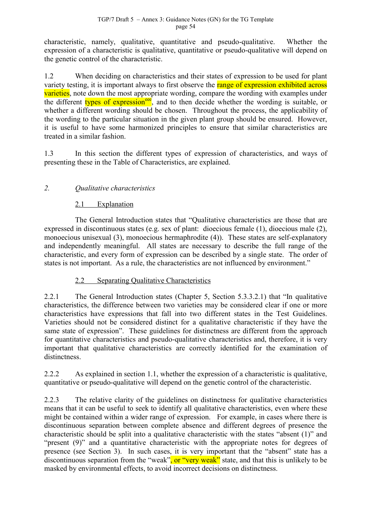characteristic, namely, qualitative, quantitative and pseudo-qualitative. Whether the expression of a characteristic is qualitative, quantitative or pseudo-qualitative will depend on the genetic control of the characteristic.

1.2 When deciding on characteristics and their states of expression to be used for plant variety testing, it is important always to first observe the range of expression exhibited across varieties, note down the most appropriate wording, compare the wording with examples under the different types of expression<sup>ee</sup>, and to then decide whether the wording is suitable, or whether a different wording should be chosen. Throughout the process, the applicability of the wording to the particular situ[atio](#page-81-0)n in the given plant group should be ensured. However, it is useful to have some harmonized principles to ensure that similar characteristics are treated in a similar fashion.

1.3 In this section the different types of expression of characteristics, and ways of presenting these in the Table of Characteristics, are explained.

# *2. Qualitative characteristics*

# 2.1 Explanation

The General Introduction states that "Qualitative characteristics are those that are expressed in discontinuous states (e.g. sex of plant: dioecious female (1), dioecious male (2), monoecious unisexual (3), monoecious hermaphrodite (4)). These states are self-explanatory and independently meaningful. All states are necessary to describe the full range of the characteristic, and every form of expression can be described by a single state. The order of states is not important. As a rule, the characteristics are not influenced by environment."

# 2.2 Separating Qualitative Characteristics

2.2.1 The General Introduction states (Chapter 5, Section 5.3.3.2.1) that "In qualitative characteristics, the difference between two varieties may be considered clear if one or more characteristics have expressions that fall into two different states in the Test Guidelines. Varieties should not be considered distinct for a qualitative characteristic if they have the same state of expression". These guidelines for distinctness are different from the approach for quantitative characteristics and pseudo-qualitative characteristics and, therefore, it is very important that qualitative characteristics are correctly identified for the examination of distinctness.

2.2.2 As explained in section 1.1, whether the expression of a characteristic is qualitative, quantitative or pseudo-qualitative will depend on the genetic control of the characteristic.

2.2.3 The relative clarity of the guidelines on distinctness for qualitative characteristics means that it can be useful to seek to identify all qualitative characteristics, even where these might be contained within a wider range of expression. For example, in cases where there is discontinuous separation between complete absence and different degrees of presence the characteristic should be split into a qualitative characteristic with the states "absent (1)" and "present (9)" and a quantitative characteristic with the appropriate notes for degrees of presence (see Section 3). In such cases, it is very important that the "absent" state has a discontinuous separation from the "weak", or "very weak" state, and that this is unlikely to be masked by environmental effects, to avoid incorrect decisions on distinctness.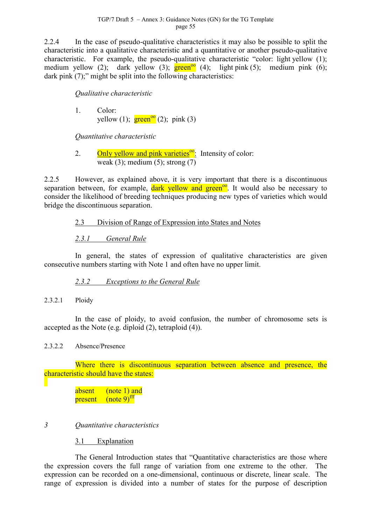2.2.4 In the case of pseudo-qualitative characteristics it may also be possible to split the characteristic into a qualitative characteristic and a quantitative or another pseudo-qualitative characteristic. For example, the pseudo-qualitative characteristic "color: light yellow (1); medium yellow (2); dark yellow (3);  $\frac{\text{green}^{90}}{\text{green}^{90}}$  (4); light pink (5); medium pink (6); dark pink (7);" might be split into the following characteristics:

*Qualitative characteristic*

1. Color: yellow (1);  $\frac{\text{green}^{oo}}{2}$  (2); pink (3)

*Quantitative characteris[tic](#page-44-0)*

2. Only yellow and pink varieties<sup> $\frac{1}{2}$ </sup>. Intensity of color: weak (3); medium (5); strong  $(7)$ 

2.2.5 However, as explained above, it is very important that there is a discontinuous separation between, for example,  $\frac{dark}{dt}$  vellow and green<sup>oo</sup>. It would also be necessary to consider the likelihood of breeding techniques producing new types of varieties which would bridge the discontinuous separation.

# 2.3 Division of Range of Expression into States and Notes

*2.3.1 General Rule*

In general, the states of expression of qualitative characteristics are given consecutive numbers starting with Note 1 and often have no upper limit.

*2.3.2 Exceptions to the General Rule*

2.3.2.1 Ploidy

In the case of ploidy, to avoid confusion, the number of chromosome sets is accepted as the Note (e.g. diploid (2), tetraploid (4)).

2.3.2.2 Absence/Presence

Where there is discontinuous separation between absence and presence, the characteristic should have the states:

> absent (note 1) and  $\frac{1}{2}$  present (note 9)<sup>fff</sup>

## *3 Quantitative characteristics*

3.1 Explanation

The General Introduction states that "Quantitative characteristics are those where the expression covers the full range of variation from one extreme to the other. The expression can be recorded on a one-dimensional, continuous or discrete, linear scale. The range of expression is divided into a number of states for the purpose of description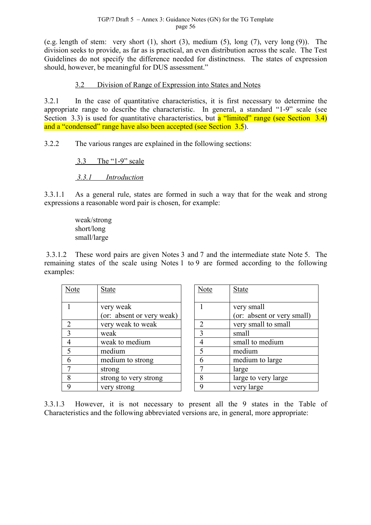(e.g. length of stem: very short  $(1)$ , short  $(3)$ , medium  $(5)$ , long  $(7)$ , very long  $(9)$ ). The division seeks to provide, as far as is practical, an even distribution across the scale. The Test Guidelines do not specify the difference needed for distinctness. The states of expression should, however, be meaningful for DUS assessment."

#### 3.2 Division of Range of Expression into States and Notes

3.2.1 In the case of quantitative characteristics, it is first necessary to determine the appropriate range to describe the characteristic. In general, a standard "1-9" scale (see Section 3.3) is used for quantitative characteristics, but a "limited" range (see Section 3.4) and a "condensed" range have also been accepted (see Section 3.5).

3.2.2 The various ranges are explained in the following sections:

3.3 The "1-9" scale

 *3.3.1 Introduction*

3.3.1.1 As a general rule, states are formed in such a way that for the weak and strong expressions a reasonable word pair is chosen, for example:

> weak/strong short/long small/large

 3.3.1.2 These word pairs are given Notes 3 and 7 and the intermediate state Note 5. The remaining states of the scale using Notes 1 to 9 are formed according to the following examples:

| Note | <b>State</b>              | Note           | <b>State</b>        |
|------|---------------------------|----------------|---------------------|
|      |                           |                |                     |
|      | very weak                 |                | very small          |
|      | (or: absent or very weak) |                | (or: absent or very |
|      | very weak to weak         | $\overline{2}$ | very small to small |
| 3    | weak                      | 3              | small               |
|      | weak to medium            | $\overline{4}$ | small to medium     |
| 5    | medium                    | 5              | medium              |
| 6    | medium to strong          | 6              | medium to large     |
|      | strong                    |                | large               |
| 8    | strong to very strong     | 8              | large to very large |
| 9    | very strong               | q              | very large          |

| Note           | <b>State</b>               |
|----------------|----------------------------|
|                |                            |
|                | very small                 |
|                | (or: absent or very small) |
| $\overline{2}$ | very small to small        |
| $\overline{3}$ | small                      |
| 4              | small to medium            |
| 5              | medium                     |
| 6              | medium to large            |
| 7              | large                      |
| 8              | large to very large        |
| q              | very large                 |

3.3.1.3 However, it is not necessary to present all the 9 states in the Table of Characteristics and the following abbreviated versions are, in general, more appropriate: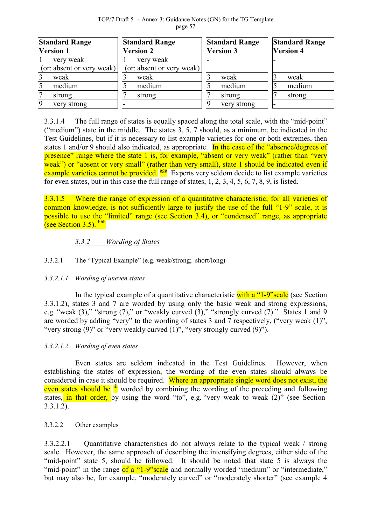TGP/7 Draft 5 – Annex 3: Guidance Notes (GN) for the TG Template page 57

| <b>Standard Range</b><br><b>Version 1</b> | <b>Standard Range</b><br><b>Version 2</b> | <b>Standard Range</b><br><b>Version 3</b> | <b>Standard Range</b><br><b>Version 4</b> |
|-------------------------------------------|-------------------------------------------|-------------------------------------------|-------------------------------------------|
| very weak                                 | very weak                                 |                                           |                                           |
| (or: absent or very weak)                 | (or: absent or very weak)                 |                                           |                                           |
| weak                                      | weak                                      | weak                                      | weak                                      |
| medium                                    | medium                                    | medium                                    | medium                                    |
| strong                                    | strong                                    | strong                                    | strong                                    |
| very strong                               |                                           | very strong                               |                                           |

3.3.1.4 The full range of states is equally spaced along the total scale, with the "mid-point" ("medium") state in the middle. The states 3, 5, 7 should, as a minimum, be indicated in the Test Guidelines, but if it is necessary to list example varieties for one or both extremes, then states 1 and/or 9 should also indicated, as appropriate. In the case of the "absence/degrees of presence" range where the state 1 is, for example, "absent or very weak" (rather than "very weak") or "absent or very small" (rather than very small), state 1 should be indicated even if example varieties cannot be provided. <sup>ggg</sup> Experts very seldom decide to list example varieties for even states, but in this case the full [ran](#page-81-0)ge of states, 1, 2, 3, 4, 5, 6, 7, 8, 9, is listed.

3.3.1.5 Where the range of expression of a quantitative characteristic, for all varieties of common knowledge, is not sufficiently large to justify the use of the full "1-9" scale, it is possible to use the "limited" range (see Section 3.4), or "condensed" range, as appropriate (see Section 3.5). hhh

## *3.3.2 [W](#page-81-0)ording of States*

#### 3.3.2.1 The "Typical Example" (e.g. weak/strong; short/long)

#### *3.3.2.1.1 Wording of uneven states*

In the typical example of a quantitative characteristic with a "1-9" scale (see Section 3.3.1.2), states 3 and 7 are worded by using only the basic weak and strong expressions, e.g. "weak  $(3)$ ," "strong  $(7)$ ," or "weakly curved  $(3)$ ," "strongly curved  $(7)$ ." States 1 and 9 are worded by adding "very" to the wording of states 3 and 7 respectively, ("very weak (1)", "very strong (9)" or "very weakly curved (1)", "very strongly curved (9)").

#### *3.3.2.1.2 Wording of even states*

Even states are seldom indicated in the Test Guidelines. However, when establishing the states of expression, the wording of the even states should always be considered in case it should be required. Where an appropriate single word does not exist, the even states should be <sup>iii</sup> worded by combining the wording of the preceding and following states, in that order, [by](#page-81-0) using the word "to", e.g. "very weak to weak (2)" (see Section 3.3.1.2).

#### 3.3.2.2 Other examples

3.3.2.2.1 Quantitative characteristics do not always relate to the typical weak / strong scale. However, the same approach of describing the intensifying degrees, either side of the "mid-point" state 5, should be followed. It should be noted that state 5 is always the "mid-point" in the range of a "1-9" scale and normally worded "medium" or "intermediate," but may also be, for example, "moderately curved" or "moderately shorter" (see example 4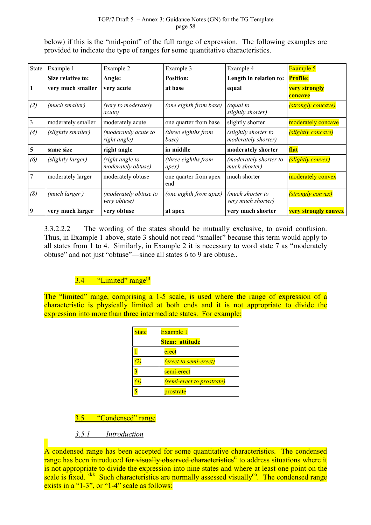below) if this is the "mid-point" of the full range of expression. The following examples are provided to indicate the type of ranges for some quantitative characteristics.

| <b>State</b>   | Example 1          | Example 2                                     | Example 3                    | Example 4                                   | <b>Example 5</b>                |
|----------------|--------------------|-----------------------------------------------|------------------------------|---------------------------------------------|---------------------------------|
|                | Size relative to:  | Angle:                                        | <b>Position:</b>             | Length in relation to:                      | <b>Profile:</b>                 |
| 1              | very much smaller  | very acute                                    | at base                      | equal                                       | <b>very strongly</b><br>concave |
| (2)            | (much smaller)     | (very to moderately<br><i>acute</i> )         | (one eighth from base)       | (equal to<br>slightly shorter)              | <i>(strongly concave)</i>       |
| $\mathfrak{Z}$ | moderately smaller | moderately acute                              | one quarter from base        | slightly shorter                            | moderately concave              |
| (4)            | (slightly smaller) | <i>(moderately acute to</i> )<br>right angle) | (three eighths from<br>base) | (slightly shorter to<br>moderately shorter) | (slightly concave)              |
| 5              | same size          | right angle                                   | in middle                    | moderately shorter                          | flat                            |
| (6)            | (slightly larger)  | (right angle to<br>moderately obtuse)         | (three eighths from<br>apex) | (moderately shorter to<br>much shorter)     | (slightly convex)               |
| $\overline{7}$ | moderately larger  | moderately obtuse                             | one quarter from apex<br>end | much shorter                                | moderately convex               |
| (8)            | (much larger)      | (moderately obtuse to<br>very obtuse)         | (one eighth from apex)       | (much shorter to<br>very much shorter)      | <i>(strongly convex)</i>        |
| $\overline{9}$ | very much larger   | very obtuse                                   | at apex                      | very much shorter                           | <b>very strongly convex</b>     |

3.3.2.2.2 The wording of the states should be mutually exclusive, to avoid confusion. Thus, in Example 1 above, state 3 should not read "smaller" because this term would apply to all states from 1 to 4. Similarly, in Example 2 it is necessary to word state 7 as "moderately obtuse" and not just "obtuse"—since all states 6 to 9 are obtuse..

# 3.4 "Limited" range<sup>ijj</sup>

The "limited" range, comprisin[g a](#page-81-0) 1-5 scale, is used where the range of expression of a characteristic is physically limited at both ends and it is not appropriate to divide the expression into more than three intermediate states. For example:

| <b>State</b> | Example 1                        |
|--------------|----------------------------------|
|              | <b>Stem: attitude</b>            |
|              | erect                            |
|              | <i>(erect to semi-erect)</i>     |
|              | semi-erect                       |
|              | <i>(semi-erect to prostrate)</i> |
|              | prostrate                        |

# 3.5 "Condensed" range

# *3.5.1 Introduction*

A condensed range has been accepted for some quantitative characteristics. The condensed range has been introduced for visually observed characteristics<sup>tr</sup> to address situations where it is not appropriate to divide the expression into nine states and where at least one point on the scale is fixed. <sup>kkk</sup> Such characteristics are normally assessed v[isu](#page-46-0)ally<sup>oo</sup>. The condensed range exists in a "1-[3", o](#page-81-0)r "1-4" scale as follows: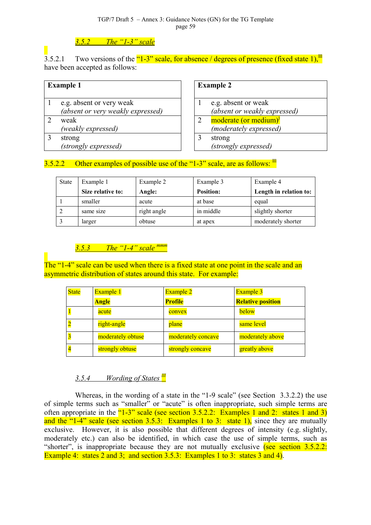#### TGP/7 Draft 5 – Annex 3: Guidance Notes (GN) for the TG Template page 59

## *3.5.2 The "1-3" scale*

3.5.2.1 Two versions of the "1-3" scale, for absence / degrees of presence (fixed state 1),  $\frac{1}{10}$ have been accepted as follows:

| <b>Example 1</b> |                                   |  |  |
|------------------|-----------------------------------|--|--|
|                  | e.g. absent or very weak          |  |  |
|                  | (absent or very weakly expressed) |  |  |
|                  | weak                              |  |  |
|                  | (weakly expressed)                |  |  |
|                  | strong                            |  |  |
|                  | (strongly expressed)              |  |  |

**Example 2** 1 e.g. absent or weak *(absent or weakly expressed)* 2 moderate (or medium)<sup>j</sup> *(moderately expressed)* 3 strong *(strongly expressed)*

# 3.5.2.2 Other examples of possible use of the "1-3" scale, are as follows:  $\frac{10}{10}$

| <b>State</b> | Example 1         | Example 2   | Example 3        | Example 4              |
|--------------|-------------------|-------------|------------------|------------------------|
|              | Size relative to: | Angle:      | <b>Position:</b> | Length in relation to: |
|              | smaller           | acute       | at base          | equal                  |
|              | same size         | right angle | in middle        | slightly shorter       |
|              | larger            | obtuse      | at apex          | moderately shorter     |

## *3.5.3 The "1-4" scale mmm*

The "1-4" scale can be used when th[ere is](#page-81-0) a fixed state at one point in the scale and an asymmetric distribution of states around this state. For example:

| <b>State</b> | Example 1         | Example 2          | <b>Example</b> 3         |
|--------------|-------------------|--------------------|--------------------------|
|              | <b>Angle</b>      | <b>Profile</b>     | <b>Relative position</b> |
|              | acute             | convex             | below                    |
|              | right-angle       | plane              | same level               |
|              | moderately obtuse | moderately concave | moderately above         |
|              | strongly obtuse   | strongly concave   | greatly above            |

# *3.5.4 Wording of States lll*

Whereas, in the wording of a state in the "1-9 scale" (see Section 3.3.2.2) the use of simple terms such as "smaller" or "acute" is often inappropriate, such simple terms are often appropriate in the "1-3" scale (see section 3.5.2.2: Examples 1 and 2: states 1 and 3) and the "1-4" scale (see section 3.5.3: Examples 1 to 3: state 1), since they are mutually exclusive. However, it is also possible that different degrees of intensity (e.g. slightly, moderately etc.) can also be identified, in which case the use of simple terms, such as "shorter", is inappropriate because they are not mutually exclusive (see section  $3.5.2.2$ ) Example 4: states 2 and 3; and section 3.5.3: Examples 1 to 3: states 3 and 4).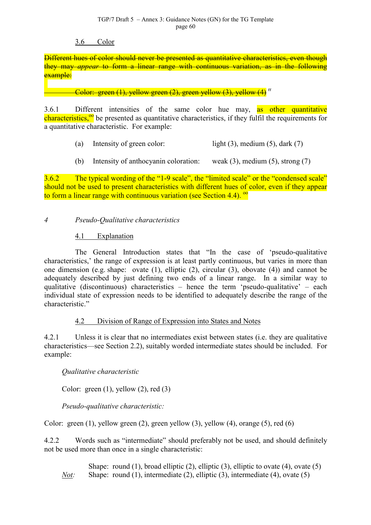#### TGP/7 Draft 5 – Annex 3: Guidance Notes (GN) for the TG Template page 60

#### 3.6 Color

Different hues of color should never be presented as quantitative characteristics, even though they may *appear* to form a linear range with continuous variation, as in the following example:

**Color: green (1), yellow green (2), green yellow (3), yellow (4)**  $\text{r}$ 

3.6.1 Different intensities [o](#page-46-0)f the same color hue may, as other quantitative characteristics,<sup>oo</sup> be presented as quantitative characteristics, if they fulfil the requirements for a quantitative characteristic. For example:

- (a) Intensity of green color: light  $(3)$ , medium  $(5)$ , dark  $(7)$
- (b) Intensity of anthocyanin coloration: weak (3), medium (5), strong (7)

3.6.2 The typical wording of the "1-9 scale", the "limited scale" or the "condensed scale" should not be used to present characteristics with different hues of color, even if they appear to form a linear range with continuous variation (see Section 4.4).  $^{\circ\circ}$ 

*4 Pseudo-Qualitative characteristics*

## 4.1 Explanation

The General Introduction states that "In the case of 'pseudo-qualitative characteristics,' the range of expression is at least partly continuous, but varies in more than one dimension (e.g. shape: ovate (1), elliptic (2), circular (3), obovate (4)) and cannot be adequately described by just defining two ends of a linear range. In a similar way to qualitative (discontinuous) characteristics – hence the term 'pseudo-qualitative' – each individual state of expression needs to be identified to adequately describe the range of the characteristic<sup>"</sup>

## 4.2 Division of Range of Expression into States and Notes

4.2.1 Unless it is clear that no intermediates exist between states (i.e. they are qualitative characteristics—see Section 2.2), suitably worded intermediate states should be included. For example:

## *Qualitative characteristic*

Color: green  $(1)$ , yellow  $(2)$ , red  $(3)$ 

*Pseudo-qualitative characteristic:*

Color: green (1), yellow green (2), green yellow (3), yellow (4), orange (5), red (6)

4.2.2 Words such as "intermediate" should preferably not be used, and should definitely not be used more than once in a single characteristic:

Shape: round (1), broad elliptic (2), elliptic (3), elliptic to ovate (4), ovate (5) *Not:* Shape: round (1), intermediate (2), elliptic (3), intermediate (4), ovate (5)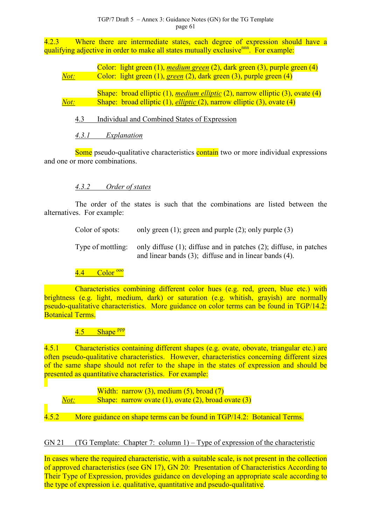4.2.3 Where there are intermediate states, each degree of expression should have a qualifying adjective in order to make all states mutually exclusive<sup>nnn</sup>. For example:

|      | Color: light green $(1)$ , <i>medium green</i> $(2)$ , dark green $(3)$ , purple green $(4)$     |
|------|--------------------------------------------------------------------------------------------------|
| Not: | Color: light green (1), green (2), dark green (3), purple green (4)                              |
|      |                                                                                                  |
|      | Shape: broad elliptic $(1)$ , <i>medium elliptic</i> $(2)$ , narrow elliptic $(3)$ , ovate $(4)$ |

*Not:* Shape: broad elliptic (1), *elliptic* (2), narrow elliptic (3), ovate (4)

4.3 Individual and Combined States of Expression

*4.3.1 Explanation*

Some pseudo-qualitative characteristics contain two or more individual expressions and one or more combinations.

# *4.3.2 Order of states*

The order of the states is such that the combinations are listed between the alternatives. For example:

> Color of spots: only green (1); green and purple (2); only purple (3) Type of mottling: only diffuse (1); diffuse and in patches (2); diffuse, in patches and linear bands (3); diffuse and in linear bands (4).

 $4.4$  Color  $\frac{000}{2}$ 

Characteristi[cs c](#page-81-0)ombining different color hues (e.g. red, green, blue etc.) with brightness (e.g. light, medium, dark) or saturation (e.g. whitish, grayish) are normally pseudo-qualitative characteristics. More guidance on color terms can be found in TGP/14.2: Botanical Terms.

4.5 Shape <sup>ppp</sup>

4.5.1 Characteristic[s co](#page-81-0)ntaining different shapes (e.g. ovate, obovate, triangular etc.) are often pseudo-qualitative characteristics. However, characteristics concerning different sizes of the same shape should not refer to the shape in the states of expression and should be presented as quantitative characteristics. For example:

Width: narrow  $(3)$ , medium  $(5)$ , broad  $(7)$ *Not:* Shape: narrow ovate (1), ovate (2), broad ovate (3)

4.5.2 More guidance on shape terms can be found in TGP/14.2: Botanical Terms.

# GN 21 (TG Template: Chapter 7: column 1) – Type of expression of the characteristic

In cases where the required characteristic, with a suitable scale, is not present in the collection of approved characteristics (see GN 17), GN 20: Presentation of Characteristics According to Their Type of Expression, provides guidance on developing an appropriate scale according to the type of expression i.e. qualitative, quantitative and pseudo-qualitative.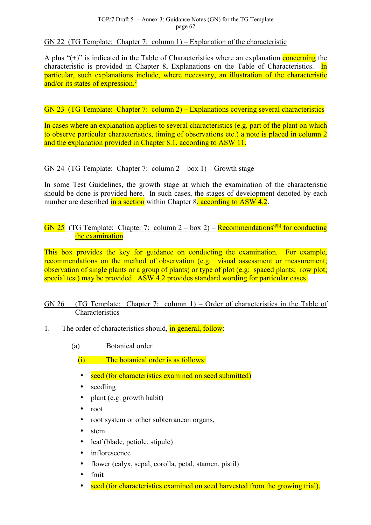GN 22 (TG Template: Chapter 7: column  $1$ ) – Explanation of the characteristic

A plus " $(+)$ " is indicated in the Table of Characteristics where an explanation concerning the characteristic is provided in Chapter 8, Explanations on the Table of Characteristics. In particular, such explanations include, where necessary, an illustration of the characteristic and/or its states of expression.<sup>e</sup>

GN 23 (TG Template: Chap[ter](#page-7-0) 7: column 2) – Explanations covering several characteristics

In cases where an explanation applies to several characteristics (e.g. part of the plant on which to observe particular characteristics, timing of observations etc.) a note is placed in column 2 and the explanation provided in Chapter 8.1, according to ASW 11.

## GN 24 (TG Template: Chapter 7: column  $2 - box 1$ ) – Growth stage

In some Test Guidelines, the growth stage at which the examination of the characteristic should be done is provided here. In such cases, the stages of development denoted by each number are described in a section within Chapter  $8$ , according to ASW 4.2.

GN 25 (TG Template: Chapter 7: column  $2 - box 2$ ) – Recommendations<sup>qqq</sup> for conducting the examination

This box provides the key for guidance on conducting the examination. For example, recommendations on the method of observation (e.g: visual assessment or measurement; observation of single plants or a group of plants) or type of plot (e.g: spaced plants; row plot; special test) may be provided. ASW 4.2 provides standard wording for particular cases.

# GN 26 (TG Template: Chapter 7: column 1) – Order of characteristics in the Table of Characteristics

- 1. The order of characteristics should, in general, follow:
	- (a) Botanical order
		- (i) The botanical order is as follows:
		- seed (for characteristics examined on seed submitted)
		- seedling
		- plant (e.g. growth habit)
		- root
		- root system or other subterranean organs.
		- stem
		- leaf (blade, petiole, stipule)
		- inflorescence
		- flower (calyx, sepal, corolla, petal, stamen, pistil)
		- fruit
		- seed (for characteristics examined on seed harvested from the growing trial).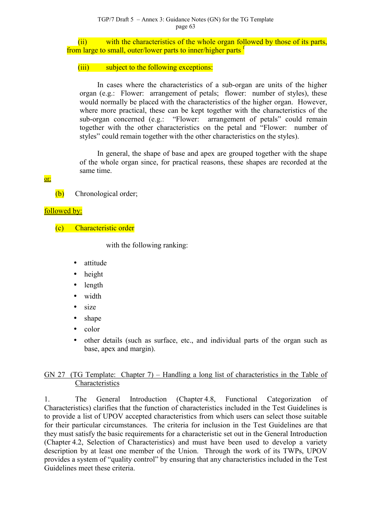(ii) with the characteristics of the whole organ followed by those of its parts, from large to small, outer/lower parts to inner/higher parts f

#### (iii) subject to the following exceptions:

In cases where the characteristics of a sub-organ are units of the higher organ (e.g.: Flower: arrangement of petals; flower: number of styles), these would normally be placed with the characteristics of the higher organ. However, where more practical, these can be kept together with the characteristics of the sub-organ concerned (e.g.: "Flower: arrangement of petals" could remain together with the other characteristics on the petal and "Flower: number of styles" could remain together with the other characteristics on the styles).

In general, the shape of base and apex are grouped together with the shape of the whole organ since, for practical reasons, these shapes are recorded at the same time.

#### or:

(b) Chronological order;

## followed by:

(c) Characteristic order

with the following ranking:

- attitude
- height
- length
- width
- size
- shape
- color
- other details (such as surface, etc., and individual parts of the organ such as base, apex and margin).

## GN 27 (TG Template: Chapter 7) – Handling a long list of characteristics in the Table of **Characteristics**

1. The General Introduction (Chapter 4.8, Functional Categorization of Characteristics) clarifies that the function of characteristics included in the Test Guidelines is to provide a list of UPOV accepted characteristics from which users can select those suitable for their particular circumstances. The criteria for inclusion in the Test Guidelines are that they must satisfy the basic requirements for a characteristic set out in the General Introduction (Chapter 4.2, Selection of Characteristics) and must have been used to develop a variety description by at least one member of the Union. Through the work of its TWPs, UPOV provides a system of "quality control" by ensuring that any characteristics included in the Test Guidelines meet these criteria.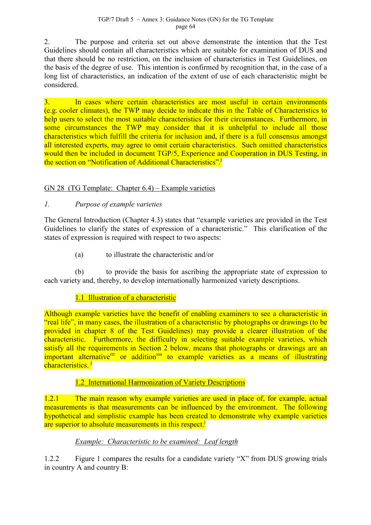2. The purpose and criteria set out above demonstrate the intention that the Test Guidelines should contain all characteristics which are suitable for examination of DUS and that there should be no restriction, on the inclusion of characteristics in Test Guidelines, on the basis of the degree of use. This intention is confirmed by recognition that, in the case of a long list of characteristics, an indication of the extent of use of each characteristic might be considered.

3. In cases where certain characteristics are most useful in certain environments (e.g. cooler climates), the TWP may decide to indicate this in the Table of Characteristics to help users to select the most suitable characteristics for their circumstances. Furthermore, in some circumstances the TWP may consider that it is unhelpful to include all those characteristics which fulfill the criteria for inclusion and, if there is a full consensus amongst all interested experts, may agree to omit certain characteristics. Such omitted characteristics would then be included in document TGP/5, Experience and Cooperation in DUS Testing, in the section on "Notification of Additional Characteristics".<sup>j</sup>

# GN 28 (TG Template: Chapter 6.4) – Example varieties

# *1. Purpose of example varieties*

The General Introduction (Chapter 4.3) states that "example varieties are provided in the Test Guidelines to clarify the states of expression of a characteristic." This clarification of the states of expression is required with respect to two aspects:

(a) to illustrate the characteristic and/or

(b) to provide the basis for ascribing the appropriate state of expression to each variety and, thereby, to develop internationally harmonized variety descriptions.

## 1.1 Illustration of a characteristic

Although example varieties have the benefit of enabling examiners to see a characteristic in "real life", in many cases, the illustration of a characteristic by photographs or drawings (to be provided in chapter 8 of the Test Guidelines) may provide a clearer illustration of the characteristic. Furthermore, the difficulty in selecting suitable example varieties, which satisfy all the requirements in Section 2 below, means that photographs or drawings are an important alternative<sup>rr</sup> or addition<sup>sss</sup> to example varieties as a means of illustrating characteristics.<sup>j</sup>

## 1.2 I[n](#page-11-0)ternational Harmonization of Variety Descriptions

1.2.1 The main reason why example varieties are used in place of, for example, actual measurements is that measurements can be influenced by the environment. The following hypothetical and simplistic example has been created to demonstrate why example varieties are superior to absolute measurements in this respect.<sup>j</sup>

## *Example: Characteristic to be examined: [L](#page-11-0)eaf length*

1.2.2 Figure 1 compares the results for a candidate variety "X" from DUS growing trials in country A and country B: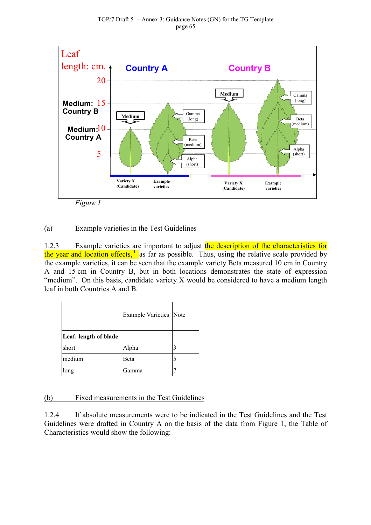<span id="page-64-0"></span>

*Figure 1*

# (a) Example varieties in the Test Guidelines

1.2.3 Example varieties are important to adjust the description of the characteristics for the year and location effects,<sup>ttl</sup> as far as possible. Thus, using the relative scale provided by the example varieties, it can be seen that the example variety Beta measured 10 cm in Country A and 15 cm in Country [B,](#page-81-0) but in both locations demonstrates the state of expression "medium". On this basis, candidate variety X would be considered to have a medium length leaf in both Countries A and B.

|                       | Example Varieties Note |  |
|-----------------------|------------------------|--|
| Leaf: length of blade |                        |  |
| short                 | Alpha                  |  |
| medium                | Beta                   |  |
| long                  | Gamma                  |  |

(b) Fixed measurements in the Test Guidelines

1.2.4 If absolute measurements were to be indicated in the Test Guidelines and the Test Guidelines were drafted in Country A on the basis of the data from Figure 1, the Table of Characteristics would show the following: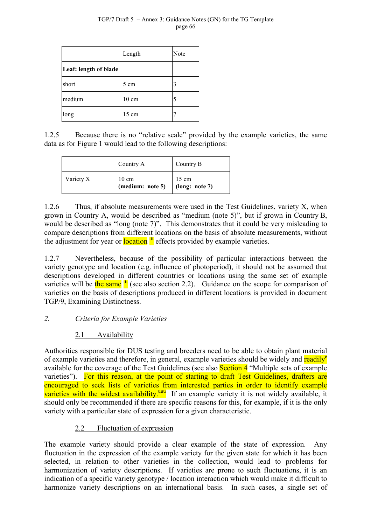|                       | Length          | Note |
|-----------------------|-----------------|------|
| Leaf: length of blade |                 |      |
| short                 | 5 cm            |      |
| medium                | $10 \text{ cm}$ | 5    |
| long                  | $15 \text{ cm}$ |      |

1.2.5 Because there is no "relative scale" provided by the example varieties, the same data as for Figure 1 would lead to the following descriptions:

|           | Country A                           | Country B                         |  |
|-----------|-------------------------------------|-----------------------------------|--|
| Variety X | $10 \text{ cm}$<br>(medium: note 5) | $15 \text{ cm}$<br>(long: note 7) |  |

1.2.6 Thus, if absolute measurements were used in the Test Guidelines, variety X, when grown in Country A, would be described as "medium (note 5)", but if grown in Country B, would be described as "long (note 7)". This demonstrates that it could be very misleading to compare descriptions from different locations on the basis of absolute measurements, without the adjustment for year or **location**  $\mathbf{u}$  effects provided by example varieties.

1.2.7 Nevertheless, because [of](#page-64-0) the possibility of particular interactions between the variety genotype and location (e.g. influence of photoperiod), it should not be assumed that descriptions developed in different countries or locations using the same set of example varieties will be the same  $\frac{du}{dx}$  (see also section 2.2). Guidance on the scope for comparison of varieties on the basis of descriptions produced in different locations is provided in document TGP/9, Examining Distin[ctn](#page-64-0)ess.

# *2. Criteria for Example Varieties*

# 2.1 Availability

Authorities responsible for DUS testing and breeders need to be able to obtain plant material of example varieties and therefore, in general, example varieties should be widely and readily<sup>e</sup> available for the coverage of the Test Guidelines (see also **Section 4** "Multiple sets of example vari[e](#page-7-0)ties"). For this reason, at the point of starting to draft Test Guidelines, drafters are encouraged to seek lists of varieties from interested parties in order to identify example varieties with the widest availability.<sup>uuu</sup> If an example variety it is not widely available, it should only be recommended if there are specific reasons for this, for example, if it is the only variety with a particular state of expre[ssio](#page-81-0)n for a given characteristic.

# 2.2 Fluctuation of expression

The example variety should provide a clear example of the state of expression. Any fluctuation in the expression of the example variety for the given state for which it has been selected, in relation to other varieties in the collection, would lead to problems for harmonization of variety descriptions. If varieties are prone to such fluctuations, it is an indication of a specific variety genotype / location interaction which would make it difficult to harmonize variety descriptions on an international basis. In such cases, a single set of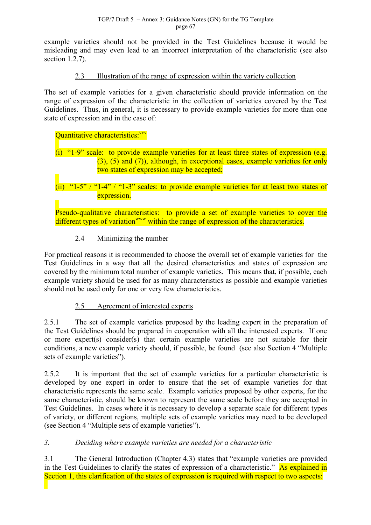example varieties should not be provided in the Test Guidelines because it would be misleading and may even lead to an incorrect interpretation of the characteristic (see also section 1.2.7).

# 2.3 Illustration of the range of expression within the variety collection

The set of example varieties for a given characteristic should provide information on the range of expression of the characteristic in the collection of varieties covered by the Test Guidelines. Thus, in general, it is necessary to provide example varieties for more than one state of expression and in the case of:

#### Quantitative characteristics<sup>-vvv</sup>

# (i) "1-9" scale: to provid[e ex](#page-81-0)ample varieties for at least three states of expression (e.g. (3), (5) and (7)), although, in exceptional cases, example varieties for only two states of expression may be accepted;

# (ii) " $1-5$ " / " $1-4$ " / " $1-3$ " scales: to provide example varieties for at least two states of expression.

Pseudo-qualitative characteristics: to provide a set of example varieties to cover the different types of variation<sup>www</sup> within the range of expression of the characteristics.

# 2.4 Minimizing [the n](#page-81-0)umber

For practical reasons it is recommended to choose the overall set of example varieties for the Test Guidelines in a way that all the desired characteristics and states of expression are covered by the minimum total number of example varieties. This means that, if possible, each example variety should be used for as many characteristics as possible and example varieties should not be used only for one or very few characteristics.

# 2.5 Agreement of interested experts

2.5.1 The set of example varieties proposed by the leading expert in the preparation of the Test Guidelines should be prepared in cooperation with all the interested experts. If one or more expert(s) consider(s) that certain example varieties are not suitable for their conditions, a new example variety should, if possible, be found (see also Section 4 "Multiple sets of example varieties").

2.5.2 It is important that the set of example varieties for a particular characteristic is developed by one expert in order to ensure that the set of example varieties for that characteristic represents the same scale. Example varieties proposed by other experts, for the same characteristic, should be known to represent the same scale before they are accepted in Test Guidelines. In cases where it is necessary to develop a separate scale for different types of variety, or different regions, multiple sets of example varieties may need to be developed (see Section 4 "Multiple sets of example varieties").

## *3. Deciding where example varieties are needed for a characteristic*

3.1 The General Introduction (Chapter 4.3) states that "example varieties are provided in the Test Guidelines to clarify the states of expression of a characteristic." As explained in Section 1, this clarification of the states of expression is required with respect to two aspects: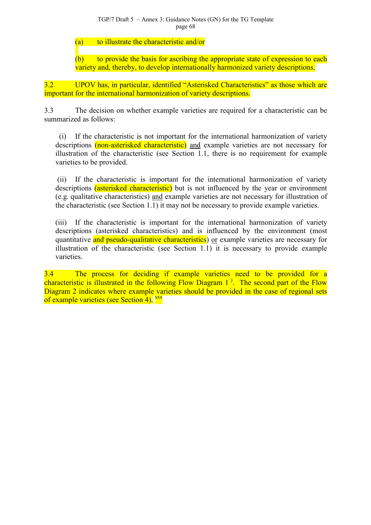TGP/7 Draft 5 – Annex 3: Guidance Notes (GN) for the TG Template page 68

(a) to illustrate the characteristic and/or

(b) to provide the basis for ascribing the appropriate state of expression to each variety and, thereby, to develop internationally harmonized variety descriptions.

3.2 UPOV has, in particular, identified "Asterisked Characteristics" as those which are important for the international harmonization of variety descriptions.

3.3 The decision on whether example varieties are required for a characteristic can be summarized as follows:

 (i) If the characteristic is not important for the international harmonization of variety descriptions (non-asterisked characteristic) and example varieties are not necessary for illustration of the characteristic (see Section 1.1, there is no requirement for example varieties to be provided.

 (ii) If the characteristic is important for the international harmonization of variety descriptions *(asterisked characteristic)* but is not influenced by the year or environment (e.g. qualitative characteristics) and example varieties are not necessary for illustration of the characteristic (see Section 1.1) it may not be necessary to provide example varieties.

(iii) If the characteristic is important for the international harmonization of variety descriptions (asterisked characteristics) and is influenced by the environment (most quantitative and pseudo-qualitative characteristics) or example varieties are necessary for illustration of the characteristic (see Section 1.1) it is necessary to provide example varieties.

3.4 The process for deciding if example varieties need to be provided for a characteristic is illustrated in the following Flow Diagram  $1<sup>j</sup>$ . The second part of the Flow Diagram 2 indicates where example varieties should be provided in the case of regional sets of example varieties (see Section 4).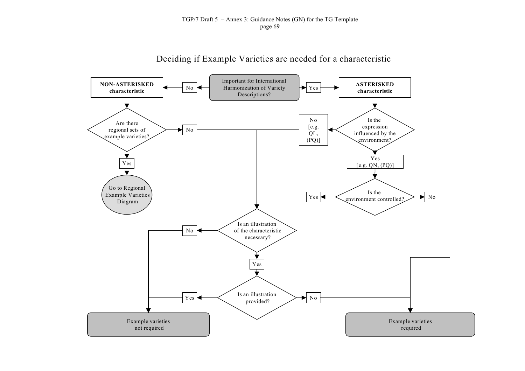Deciding if Example Varieties are needed for a characteristic

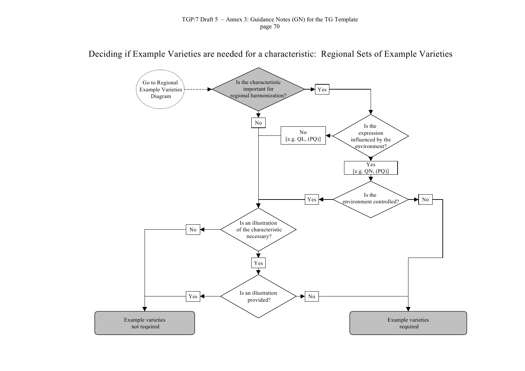Deciding if Example Varieties are needed for a characteristic: Regional Sets of Example Varieties

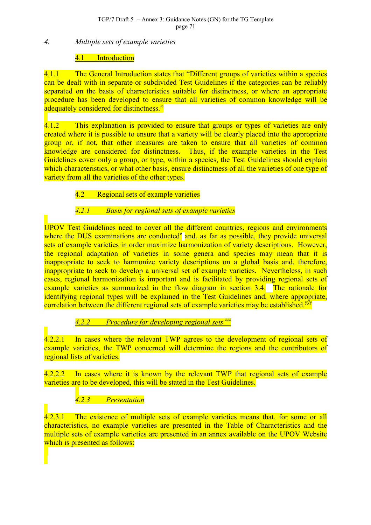#### *4. Multiple sets of example varieties*

## 4.1 Introduction

4.1.1 The General Introduction states that "Different groups of varieties within a species can be dealt with in separate or subdivided Test Guidelines if the categories can be reliably separated on the basis of characteristics suitable for distinctness, or where an appropriate procedure has been developed to ensure that all varieties of common knowledge will be adequately considered for distinctness."

4.1.2 This explanation is provided to ensure that groups or types of varieties are only created where it is possible to ensure that a variety will be clearly placed into the appropriate group or, if not, that other measures are taken to ensure that all varieties of common knowledge are considered for distinctness. Thus, if the example varieties in the Test Guidelines cover only a group, or type, within a species, the Test Guidelines should explain which characteristics, or what other basis, ensure distinctness of all the varieties of one type of variety from all the varieties of the other types.

# 4.2 Regional sets of example varieties

# *4.2.1 Basis for regional sets of example varieties*

UPOV Test Guidelines need to cover all the different countries, regions and environments where the DUS examinations are conducted<sup>e</sup> and, as far as possible, they provide universal sets of example varieties in order maximize harmonization of variety descriptions. However, the regional adaptation of varieties in s[om](#page-7-0)e genera and species may mean that it is inappropriate to seek to harmonize variety descriptions on a global basis and, therefore, inappropriate to seek to develop a universal set of example varieties. Nevertheless, in such cases, regional harmonization is important and is facilitated by providing regional sets of example varieties as summarized in the flow diagram in section 3.4. The rationale for identifying regional types will be explained in the Test Guidelines and, where appropriate, correlation between the different regional sets of example varieties may be established.<sup>yyy</sup>

# *4.2.2 Procedure for developing regional sets zzz*

4.2.2.1 In cases where the relevant TWP agrees to the [de](#page-81-0)velopment of regional sets of example varieties, the TWP concerned will determine the regions and the contributors of regional lists of varieties.

4.2.2.2 In cases where it is known by the relevant TWP that regional sets of example varieties are to be developed, this will be stated in the Test Guidelines.

# *4.2.3 Presentation*

4.2.3.1 The existence of multiple sets of example varieties means that, for some or all characteristics, no example varieties are presented in the Table of Characteristics and the multiple sets of example varieties are presented in an annex available on the UPOV Website which is presented as follows: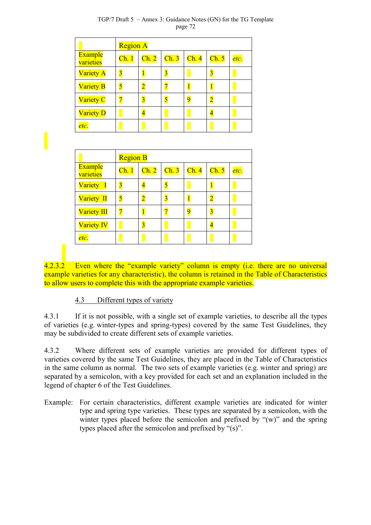#### TGP/7 Draft 5 – Annex 3: Guidance Notes (GN) for the TG Template page 72

|                             | <b>Region A</b>           |                |                           |                           |                           |      |
|-----------------------------|---------------------------|----------------|---------------------------|---------------------------|---------------------------|------|
| <b>Example</b><br>varieties | $\overline{\text{Ch. 1}}$ | Ch. 2          | $\overline{\text{Ch. 3}}$ | $\overline{\text{Ch. 4}}$ | $\overline{\text{Ch. 5}}$ | etc. |
| <b>Variety A</b>            | $\overline{3}$            | $\overline{1}$ | $\overline{\mathbf{3}}$   |                           | $\overline{3}$            |      |
| <b>Variety B</b>            | 5                         | $\overline{2}$ |                           |                           |                           |      |
| <b>Variety C</b>            |                           | $\overline{3}$ |                           |                           | 2                         |      |
| <b>Variety D</b>            |                           | 4              |                           |                           |                           |      |
| etc.                        |                           |                |                           |                           |                           |      |

|                             | <b>Region B</b>         |                           |                           |                           |                         |      |
|-----------------------------|-------------------------|---------------------------|---------------------------|---------------------------|-------------------------|------|
| <b>Example</b><br>varieties | Ch.1                    | $\overline{\text{Ch. 2}}$ | $\overline{\text{Ch. 3}}$ | $\overline{\text{Ch. 4}}$ | Ch. 5                   | etc. |
| Variety I                   | $\overline{\mathbf{3}}$ | $\overline{4}$            | 5                         |                           | 1                       |      |
| Variety II                  | 5                       | $\overline{2}$            | $\overline{\mathbf{3}}$   |                           | $\overline{2}$          |      |
| <b>Variety III</b>          |                         |                           |                           | $\Omega$                  | $\overline{\mathbf{3}}$ |      |
| <b>Variety IV</b>           |                         | $\overline{3}$            |                           |                           |                         |      |
| etc.                        |                         |                           |                           |                           |                         |      |

4.2.3.2 Even where the "example variety" column is empty (i.e. there are no universal example varieties for any characteristic), the column is retained in the Table of Characteristics to allow users to complete this with the appropriate example varieties.

# 4.3 Different types of variety

4.3.1 If it is not possible, with a single set of example varieties, to describe all the types of varieties (e.g. winter-types and spring-types) covered by the same Test Guidelines, they may be subdivided to create different sets of example varieties.

4.3.2 Where different sets of example varieties are provided for different types of varieties covered by the same Test Guidelines, they are placed in the Table of Characteristics in the same column as normal. The two sets of example varieties (e.g. winter and spring) are separated by a semicolon, with a key provided for each set and an explanation included in the legend of chapter 6 of the Test Guidelines.

Example: For certain characteristics, different example varieties are indicated for winter type and spring type varieties. These types are separated by a semicolon, with the winter types placed before the semicolon and prefixed by " $(w)$ " and the spring types placed after the semicolon and prefixed by "(s)".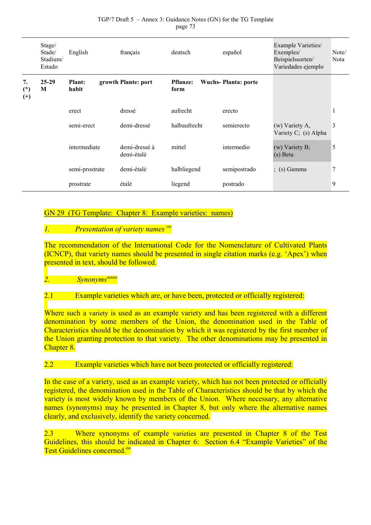|                         | Stage/<br>Stade/<br>Stadium/<br>Estado | English                | français                    | deutsch                 | español                    | Example Varieties/<br>Exemples/<br>Beispielssorten/<br>Variedades ejemplo | Note/<br>Nota |
|-------------------------|----------------------------------------|------------------------|-----------------------------|-------------------------|----------------------------|---------------------------------------------------------------------------|---------------|
| 7.<br>$(*)$<br>$^{(+)}$ | $25-29$<br>M                           | <b>Plant:</b><br>habit | growth Plante: port         | <b>Pflanze:</b><br>form | <b>Wuchs-Planta: porte</b> |                                                                           |               |
|                         |                                        | erect                  | dressé                      | aufrecht                | erecto                     |                                                                           | -1            |
|                         |                                        | semi-erect             | demi-dressé                 | halbaufrecht            | semierecto                 | (w) Variety A,<br>Variety C; (s) Alpha                                    | 3             |
|                         |                                        | intermediate           | demi-dressé à<br>demi-étalé | mittel                  | intermedio                 | (w) Variety B;<br>(s) Beta                                                | 5             |
|                         |                                        | semi-prostrate         | demi-étalé                  | halbliegend             | semipostrado               | $\frac{1}{2}$ (s) Gamma                                                   |               |
|                         |                                        | prostrate              | étalé                       | liegend                 | postrado                   |                                                                           | 9             |

#### TGP/7 Draft 5 – Annex 3: Guidance Notes (GN) for the TG Template page 73

## GN 29 (TG Template: Chapter 8: Example varieties: names)

## *1. Presentation of variety names oo*

The recommendation of the Internatio[nal](#page-44-0) Code for the Nomenclature of Cultivated Plants (ICNCP), that variety names should be presented in single citation marks (e.g. 'Apex') when presented in text, should be followed.

*2. Synonymsaaaa*

## 2.1 Example [variet](#page-81-0)ies which are, or have been, protected or officially registered:

Where such a variety is used as an example variety and has been registered with a different denomination by some members of the Union, the denomination used in the Table of Characteristics should be the denomination by which it was registered by the first member of the Union granting protection to that variety. The other denominations may be presented in Chapter 8.

#### 2.2 Example varieties which have not been protected or officially registered:

In the case of a variety, used as an example variety, which has not been protected or officially registered, the denomination used in the Table of Characteristics should be that by which the variety is most widely known by members of the Union. Where necessary, any alternative names (synonyms) may be presented in Chapter 8, but only where the alternative names clearly, and exclusively, identify the variety concerned.

2.3 Where synonyms of example varieties are presented in Chapter 8 of the Test Guidelines, this should be indicated in Chapter 6: Section 6.4 "Example Varieties" of the Test Guidelines concerned.<sup>00</sup>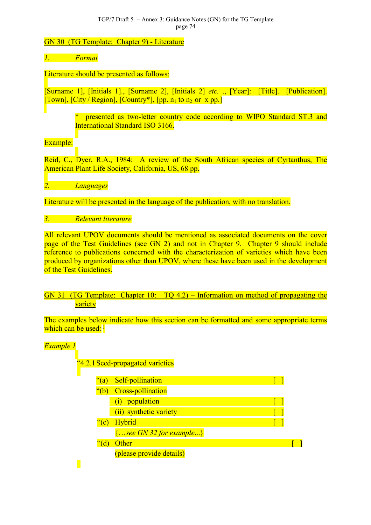#### TGP/7 Draft 5 – Annex 3: Guidance Notes (GN) for the TG Template page 74

## GN 30 (TG Template: Chapter 9) - Literature

## *1. Format*

## Literature should be presented as follows:

[Surname 1], [Initials 1]., [Surname 2], [Initials 2] *etc.* ., [Year]: [Title]. [Publication]. [Town],  $[City / Region]$ ,  $[Country*]$ ,  $[pp. n_1$  to  $n_2$  or x pp.]

> \* presented as two-letter country code according to WIPO Standard ST.3 and International Standard ISO 3166.

## Example:

Reid, C., Dyer, R.A., 1984: A review of the South African species of Cyrtanthus, The American Plant Life Society, California, US, 68 pp.

*2. Languages*

Literature will be presented in the language of the publication, with no translation.

#### *3. Relevant literature*

All relevant UPOV documents should be mentioned as associated documents on the cover page of the Test Guidelines (see GN 2) and not in Chapter 9. Chapter 9 should include reference to publications concerned with the characterization of varieties which have been produced by organizations other than UPOV, where these have been used in the development of the Test Guidelines.

## GN 31 (TG Template: Chapter 10: TQ 4.2) – Information on method of propagating the variety

The examples below indicate how this section can be formatted and some appropriate terms which can be used: <sup>j</sup>

### *Example 1*

 $\blacksquare$ 

"4.2.1 Seed-propagated varieties

| $\frac{a}{a}$ | Self-pollination            |  |
|---------------|-----------------------------|--|
| $\degree$ (b) | <b>Cross-pollination</b>    |  |
|               | (i) population              |  |
|               | (ii) synthetic variety      |  |
| ``(c)         | Hybrid                      |  |
|               | $\{see GN 32 for example\}$ |  |
|               | Other                       |  |
|               | (please provide details)    |  |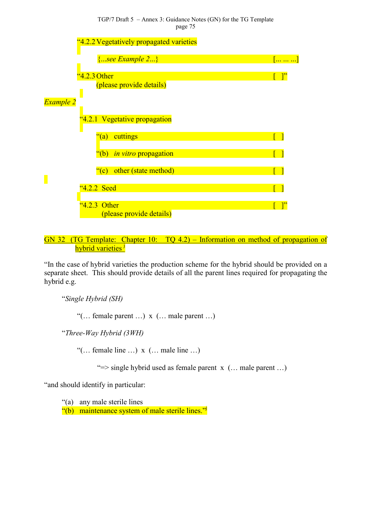TGP/7 Draft 5 – Annex 3: Guidance Notes (GN) for the TG Template page 75



GN 32 (TG Template: Chapter 10: TQ 4.2) – Information on method of propagation of hybrid varieties <sup>j</sup>

"In the case of hybrid var[ie](#page-11-0)ties the production scheme for the hybrid should be provided on a separate sheet. This should provide details of all the parent lines required for propagating the hybrid e.g.

"*Single Hybrid (SH)*

"(… female parent …) x (… male parent …)

"*Three-Way Hybrid (3WH)*

"(… female line …) x (… male line …)

" $\Rightarrow$  single hybrid used as female parent x (... male parent ...)

"and should identify in particular:

"(a) any male sterile lines  $\frac{d}{d}$  maintenance system of male sterile lines."<sup>j</sup>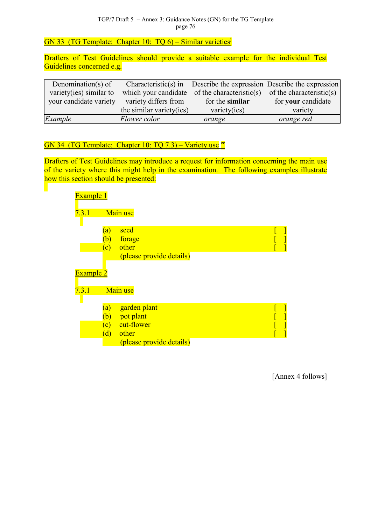GN 33 (TG Template: Chapter 10: TQ 6) – Similar varieties<sup>j</sup>

Drafters of Test Guidelines should provide a suitable e[xa](#page-11-0)mple for the individual Test Guidelines concerned e.g.

| Denomination(s) of      |                          |                                               | Characteristic(s) in Describe the expression Describe the expression |
|-------------------------|--------------------------|-----------------------------------------------|----------------------------------------------------------------------|
| variety(ies) similar to |                          | which your candidate of the characteristic(s) | of the characteristic(s)                                             |
| your candidate variety  | variety differs from     | for the similar                               | for your candidate                                                   |
|                         | the similar variety(ies) | variety(ies)                                  | variety                                                              |
| Example                 | Flower color             | orange                                        | orange red                                                           |

## GN 34 (TG Template: Chapter 10: TQ 7.3) – Variety use  $ee$

Drafters of Test Guidelines may introduce a request for i[nfo](#page-30-0)rmation concerning the main use of the variety where this might help in the examination. The following examples illustrate how this section should be presented:



[Annex 4 follows]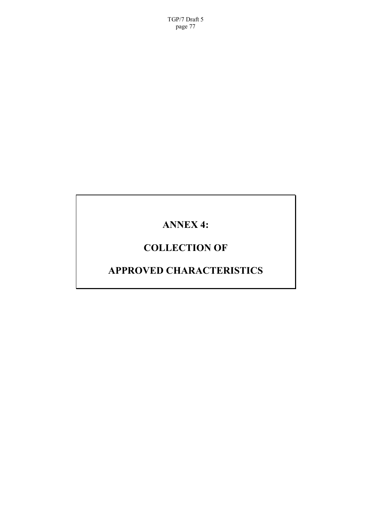TGP/7 Draft 5 page 77

# **ANNEX 4:**

# **COLLECTION OF**

# **APPROVED CHARACTERISTICS**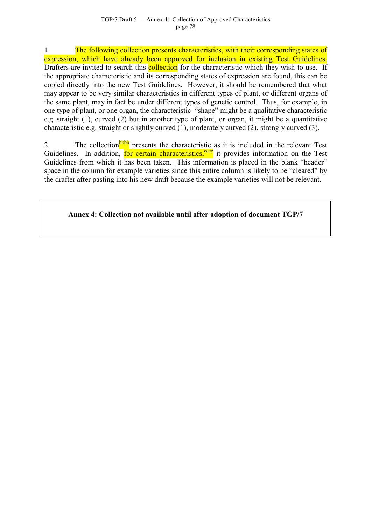1. The following collection presents characteristics, with their corresponding states of expression, which have already been approved for inclusion in existing Test Guidelines. Drafters are invited to search this **collection** for the characteristic which they wish to use. If the appropriate characteristic and its corresponding states of expression are found, this can be copied directly into the new Test Guidelines. However, it should be remembered that what may appear to be very similar characteristics in different types of plant, or different organs of the same plant, may in fact be under different types of genetic control. Thus, for example, in one type of plant, or one organ, the characteristic "shape" might be a qualitative characteristic e.g. straight (1), curved (2) but in another type of plant, or organ, it might be a quantitative characteristic e.g. straight or slightly curved (1), moderately curved (2), strongly curved (3).

2. The collection **bubb** presents the characteristic as it is included in the relevant Test Guidelines. In addition, for certain characteristics,<sup>cccc</sup> it provides information on the Test Guidelines from which [it ha](#page-81-0)s been taken. This information is placed in the blank "header" space in the column for example varieties since this [entir](#page-81-0)e column is likely to be "cleared" by the drafter after pasting into his new draft because the example varieties will not be relevant.

**Annex 4: Collection not available until after adoption of document TGP/7**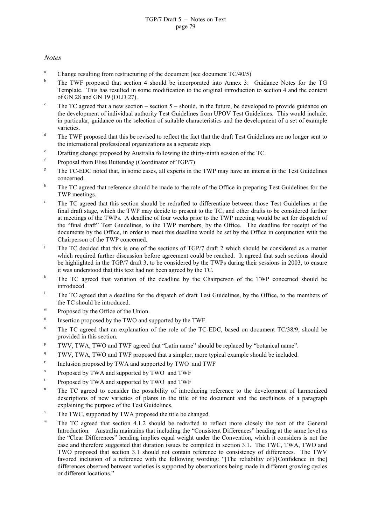#### *Notes*

- <sup>a</sup> Change resulting from restructuring of the document (see document  $TC/40/5$ )
- <sup>b</sup> The TWF proposed that section 4 should be incorporated into Annex 3: Guidance Notes for the TG Template. This has resulted in some modification to the original introduction to section 4 and the content of GN 28 and GN 19 (OLD 27).
- <sup>c</sup> The TC agreed that a new section section  $5$  should, in the future, be developed to provide guidance on the development of individual authority Test Guidelines from UPOV Test Guidelines. This would include, in particular, guidance on the selection of suitable characteristics and the development of a set of example varieties.
- <sup>d</sup> The TWF proposed that this be revised to reflect the fact that the draft Test Guidelines are no longer sent to the international professional organizations as a separate step.
- <sup>e</sup> Drafting change proposed by Australia following the thirty-ninth session of the TC.
- $f$  Proposal from Elise Buitendag (Coordinator of TGP/7)
- <sup>g</sup> The TC-EDC noted that, in some cases, all experts in the TWP may have an interest in the Test Guidelines concerned.
- <sup>h</sup> The TC agreed that reference should be made to the role of the Office in preparing Test Guidelines for the TWP meetings.
- <sup>i</sup> The TC agreed that this section should be redrafted to differentiate between those Test Guidelines at the final draft stage, which the TWP may decide to present to the TC, and other drafts to be considered further at meetings of the TWPs. A deadline of four weeks prior to the TWP meeting would be set for dispatch of the "final draft" Test Guidelines, to the TWP members, by the Office. The deadline for receipt of the documents by the Office, in order to meet this deadline would be set by the Office in conjunction with the Chairperson of the TWP concerned.
- <sup>j</sup> The TC decided that this is one of the sections of TGP/7 draft 2 which should be considered as a matter which required further discussion before agreement could be reached. It agreed that such sections should be highlighted in the TGP/7 draft 3, to be considered by the TWPs during their sessions in 2003, to ensure it was understood that this text had not been agreed by the TC.
- <sup>k</sup> The TC agreed that variation of the deadline by the Chairperson of the TWP concerned should be introduced.
- <sup>1</sup> The TC agreed that a deadline for the dispatch of draft Test Guidelines, by the Office, to the members of the TC should be introduced.
- <sup>m</sup> Proposed by the Office of the Union.
- $n$  Insertion proposed by the TWO and supported by the TWF.
- $^{\circ}$  The TC agreed that an explanation of the role of the TC-EDC, based on document TC/38/9, should be provided in this section.
- $p$  TWV, TWA, TWO and TWF agreed that "Latin name" should be replaced by "botanical name".
- <sup>q</sup> TWV, TWA, TWO and TWF proposed that a simpler, more typical example should be included.
- $r$  Inclusion proposed by TWA and supported by TWO and TWF
- Proposed by TWA and supported by TWO and TWF
- <sup>t</sup> Proposed by TWA and supported by TWO and TWF
- <sup>u</sup> The TC agreed to consider the possibility of introducing reference to the development of harmonized descriptions of new varieties of plants in the title of the document and the usefulness of a paragraph explaining the purpose of the Test Guidelines.
- The TWC, supported by TWA proposed the title be changed.
- The TC agreed that section 4.1.2 should be redrafted to reflect more closely the text of the General Introduction. Australia maintains that including the "Consistent Differences" heading at the same level as the "Clear Differences" heading implies equal weight under the Convention, which it considers is not the case and therefore suggested that duration issues be compiled in section 3.1. The TWC, TWA, TWO and TWO proposed that section 3.1 should not contain reference to consistency of differences. The TWV favored inclusion of a reference with the following wording: "[The reliability of]/[Confidence in the] differences observed between varieties is supported by observations being made in different growing cycles or different locations."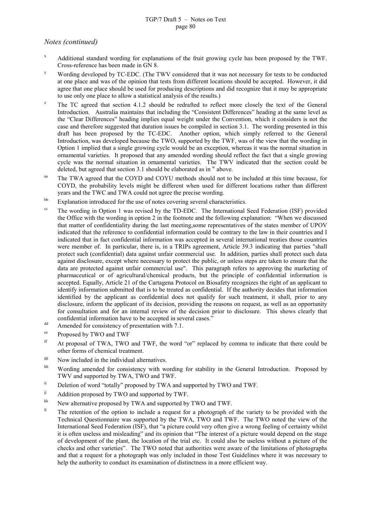#### TGP/7 Draft 5 – Notes on Text page 80

#### *Notes (continued)*

- <sup>x</sup> Additional standard wording for explanations of the fruit growing cycle has been proposed by the TWF. Cross-reference has been made in GN 8.
- <sup>y</sup> Wording developed by TC-EDC. (The TWV considered that it was not necessary for tests to be conducted at one place and was of the opinion that tests from different locations should be accepted. However, it did agree that one place should be used for producing descriptions and did recognize that it may be appropriate to use only one place to allow a statistical analysis of the results.)
- The TC agreed that section 4.1.2 should be redrafted to reflect more closely the text of the General Introduction. Australia maintains that including the "Consistent Differences" heading at the same level as the "Clear Differences" heading implies equal weight under the Convention, which it considers is not the case and therefore suggested that duration issues be compiled in section 3.1. The wording presented in this draft has been proposed by the TC-EDC. Another option, which simply referred to the General Introduction, was developed because the TWO, supported by the TWF, was of the view that the wording in Option 1 implied that a single growing cycle would be an exception, whereas it was the normal situation in ornamental varieties. It proposed that any amended wording should reflect the fact that a single growing cycle was the normal situation in ornamental varieties. The TWV indicated that the section could be deleted, but agreed that section 3.1 should be elaborated as in  $w$  above.
- <sup>aa</sup> The TWA agreed that the COYD and COYU methods should not to be included at this time because, for COYD, the probability levels might be different when used for different locations rather than different years and the TWC and TWA could not agree the precise wording.
- <sup>bb</sup> Explanation introduced for the use of notes covering several characteristics.
- <sup>cc</sup> The wording in Option 1 was revised by the TD-EDC. The International Seed Federation (ISF) provided the Office with the wording in option 2 in the footnote and the following explanation: "When we discussed that matter of confidentiality during the last meeting,some representatives of the states member of UPOV indicated that the reference to confidential information could be contrary to the law in their countries and I indicated that in fact confidential information was accepted in several international treaties those countries were member of. In particular, there is, in a TRIPs agreement, Article 39.3 indicating that parties "shall protect such (confidential) data against unfair commercial use. In addition, parties shall protect such data against disclosure, except where necessary to protect the public, or unless steps are taken to ensure that the data are protected against unfair commercial use". This paragraph refers to approving the marketing of pharmaceutical or of agricultural/chemical products, but the principle of confidential information is accepted. Equally, Article 21 of the Cartagena Protocol on Biosafety recognizes the right of an applicant to identify information submitted that is to be treated as confidential. If the authority decides that information identified by the applicant as confidential does not qualify for such treatment, it shall, prior to any disclosure, inform the applicant of its decision, providing the reasons on request, as well as an opportunity for consultation and for an internal review of the decision prior to disclosure. This shows clearly that confidential information have to be accepted in several cases."
- dd Amended for consistency of presentation with 7.1.
- ee Proposed by TWO and TWF
- ff At proposal of TWA, TWO and TWF, the word "or" replaced by comma to indicate that there could be other forms of chemical treatment.
- $e^{gg}$  Now included in the individual alternatives.
- hh Wording amended for consistency with wording for stability in the General Introduction. Proposed by TWV and supported by TWA, TWO and TWF.
- ii Deletion of word "totally" proposed by TWA and supported by TWO and TWF.
- <sup>jj</sup> Addition proposed by TWO and supported by TWF.
- <sup>kk</sup> New alternative proposed by TWA and supported by TWO and TWF.
- <sup>Il</sup> The retention of the option to include a request for a photograph of the variety to be provided with the Technical Questionnaire was supported by the TWA, TWO and TWF. The TWO noted the view of the International Seed Federation (ISF), that "a picture could very often give a wrong feeling of certainty whilst it is often useless and misleading" and its opinion that "The interest of a picture would depend on the stage of development of the plant, the location of the trial etc. It could also be useless without a picture of the checks and other varieties". The TWO noted that authorities were aware of the limitations of photographs and that a request for a photograph was only included in those Test Guidelines where it was necessary to help the authority to conduct its examination of distinctness in a more efficient way.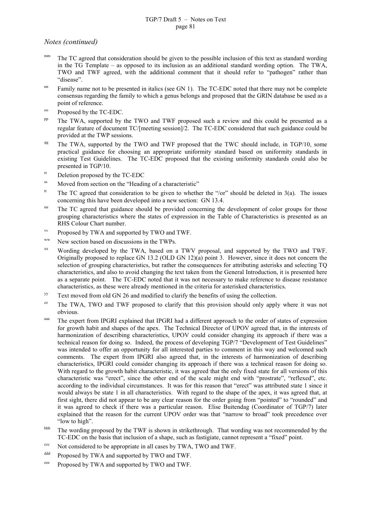#### TGP/7 Draft 5 – Notes on Text page 81

*Notes (continued)*

- mm The TC agreed that consideration should be given to the possible inclusion of this text as standard wording in the TG Template – as opposed to its inclusion as an additional standard wording option. The TWA, TWO and TWF agreed, with the additional comment that it should refer to "pathogen" rather than "disease".
- nn Family name not to be presented in italics (see GN 1). The TC-EDC noted that there may not be complete consensus regarding the family to which a genus belongs and proposed that the GRIN database be used as a point of reference.
- <sup>oo</sup> Proposed by the TC-EDC.
- <sup>pp</sup> The TWA, supported by the TWO and TWF proposed such a review and this could be presented as a regular feature of document TC/[meeting session]/2. The TC-EDC considered that such guidance could be provided at the TWP sessions.
- <sup>qq</sup> The TWA, supported by the TWO and TWF proposed that the TWC should include, in TGP/10, some practical guidance for choosing an appropriate uniformity standard based on uniformity standards in existing Test Guidelines. The TC-EDC proposed that the existing uniformity standards could also be presented in TGP/10.
- $\text{r}$  Deletion proposed by the TC-EDC
- ss Moved from section on the "Heading of a characteristic"
- <sup>tt</sup> The TC agreed that consideration to be given to whether the "/or" should be deleted in 3(a). The issues concerning this have been developed into a new section: GN 13.4.
- <sup>uu</sup> The TC agreed that guidance should be provided concerning the development of color groups for those grouping characteristics where the states of expression in the Table of Characteristics is presented as an RHS Colour Chart number.
- vv Proposed by TWA and supported by TWO and TWF.
- ww New section based on discussions in the TWPs.
- xx Wording developed by the TWA, based on a TWV proposal, and supported by the TWO and TWF. Originally proposed to replace GN 13.2 (OLD GN 12)(a) point 3. However, since it does not concern the selection of grouping characteristics, but rather the consequences for attributing asterisks and selecting TQ characteristics, and also to avoid changing the text taken from the General Introduction, it is presented here as a separate point. The TC-EDC noted that it was not necessary to make reference to disease resistance characteristics, as these were already mentioned in the criteria for asterisked characteristics.
- <sup>yy</sup> Text moved from old GN 26 and modified to clarify the benefits of using the collection.
- $Z^z$  The TWA, TWO and TWF proposed to clarify that this provision should only apply where it was not obvious.
- aaa The expert from IPGRI explained that IPGRI had a different approach to the order of states of expression for growth habit and shapes of the apex. The Technical Director of UPOV agreed that, in the interests of harmonization of describing characteristics, UPOV could consider changing its approach if there was a technical reason for doing so. Indeed, the process of developing TGP/7 "Development of Test Guidelines" was intended to offer an opportunity for all interested parties to comment in this way and welcomed such comments. The expert from IPGRI also agreed that, in the interests of harmonization of describing characteristics, IPGRI could consider changing its approach if there was a technical reason for doing so. With regard to the growth habit characteristic, it was agreed that the only fixed state for all versions of this characteristic was "erect", since the other end of the scale might end with "prostrate", "reflexed", etc. according to the individual circumstances. It was for this reason that "erect" was attributed state 1 since it would always be state 1 in all characteristics. With regard to the shape of the apex, it was agreed that, at first sight, there did not appear to be any clear reason for the order going from "pointed" to "rounded" and it was agreed to check if there was a particular reason. Elise Buitendag (Coordinator of TGP/7) later explained that the reason for the current UPOV order was that "narrow to broad" took precedence over "low to high".
- <sup>bbb</sup> The wording proposed by the TWF is shown in strikethrough. That wording was not recommended by the TC-EDC on the basis that inclusion of a shape, such as fastigiate, cannot represent a "fixed" point.
- ccc Not considered to be appropriate in all cases by TWA, TWO and TWF.
- ddd Proposed by TWA and supported by TWO and TWF.
- eee Proposed by TWA and supported by TWO and TWF.